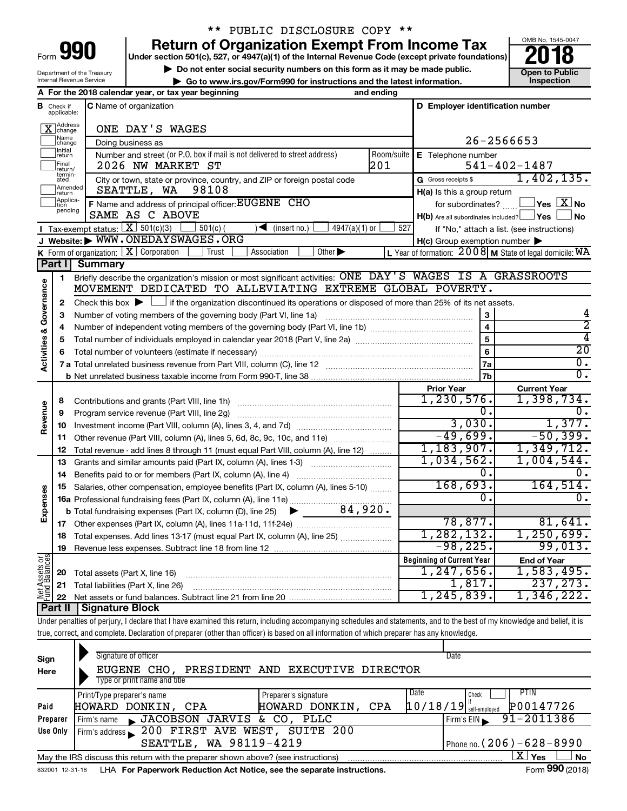Department of the Treasury

## \*\* PUBLIC DISCLOSURE COPY \*\*

**990** Return of Organization Exempt From Income Tax **Punce 1845-004 Puncer section 501(c), 527, or 4947(a)(1)** of the Internal Revenue Code (except private foundations) **2018** 

▶ Do not enter social security numbers on this form as it may be made public. <br>**● Go to www.irs.gov/Form990 for instructions and the latest information.** Inspection



| Internal Revenue Service<br>Go to www.irs.gov/Form990 for instructions and the latest information. |                             |                                                |                                                                                                                                                    |            |                                                         |                                            |  |  |
|----------------------------------------------------------------------------------------------------|-----------------------------|------------------------------------------------|----------------------------------------------------------------------------------------------------------------------------------------------------|------------|---------------------------------------------------------|--------------------------------------------|--|--|
| A For the 2018 calendar year, or tax year beginning<br>and ending                                  |                             |                                                |                                                                                                                                                    |            |                                                         |                                            |  |  |
| <b>B</b> Check if applicable:<br><b>C</b> Name of organization<br>D Employer identification number |                             |                                                |                                                                                                                                                    |            |                                                         |                                            |  |  |
|                                                                                                    | X Address                   |                                                | ONE DAY'S WAGES                                                                                                                                    |            |                                                         |                                            |  |  |
|                                                                                                    | Name<br>change              |                                                | Doing business as                                                                                                                                  |            | 26-2566653                                              |                                            |  |  |
|                                                                                                    | Initial<br>return           |                                                | Number and street (or P.O. box if mail is not delivered to street address)                                                                         | Room/suite | E Telephone number                                      |                                            |  |  |
|                                                                                                    | Final<br>return/            |                                                | 2026 NW MARKET ST                                                                                                                                  | 201        |                                                         | $541 - 402 - 1487$                         |  |  |
|                                                                                                    | termin-<br>ated             |                                                | City or town, state or province, country, and ZIP or foreign postal code                                                                           |            | G Gross receipts \$                                     | 1,402,135.                                 |  |  |
|                                                                                                    | Amended<br>return           |                                                | 98108<br>SEATTLE, WA                                                                                                                               |            | H(a) Is this a group return                             |                                            |  |  |
|                                                                                                    | Applica-<br>tion<br>pending |                                                | F Name and address of principal officer: EUGENE CHO                                                                                                |            | for subordinates?                                       | $\overline{\ }$ Yes $\overline{\rm X}$ No  |  |  |
|                                                                                                    |                             |                                                | SAME AS C ABOVE                                                                                                                                    |            | $H(b)$ Are all subordinates included? $\Box$ Yes $\Box$ | ⊥No                                        |  |  |
|                                                                                                    |                             | <b>I</b> Tax-exempt status: $X \mid 501(c)(3)$ | $4947(a)(1)$ or<br>$501(c)$ (<br>(insert no.)<br>$\rightarrow$                                                                                     | 527        |                                                         | If "No," attach a list. (see instructions) |  |  |
|                                                                                                    |                             |                                                | J Website: WWW.ONEDAYSWAGES.ORG                                                                                                                    |            | $H(c)$ Group exemption number $\blacktriangleright$     |                                            |  |  |
|                                                                                                    |                             |                                                | <b>K</b> Form of organization: $\boxed{\textbf{X}}$ Corporation<br>Other $\blacktriangleright$<br>Trust<br>Association                             |            | L Year of formation: 2008 M State of legal domicile: WA |                                            |  |  |
|                                                                                                    | Part I                      | <b>Summary</b>                                 |                                                                                                                                                    |            |                                                         |                                            |  |  |
|                                                                                                    | 1                           |                                                | Briefly describe the organization's mission or most significant activities: ONE DAY'S WAGES IS A GRASSROOTS                                        |            |                                                         |                                            |  |  |
|                                                                                                    |                             |                                                | MOVEMENT DEDICATED TO ALLEVIATING EXTREME GLOBAL POVERTY.                                                                                          |            |                                                         |                                            |  |  |
| Activities & Governance                                                                            | $\mathbf{2}$                |                                                | Check this box $\blacktriangleright \Box$ if the organization discontinued its operations or disposed of more than 25% of its net assets.          |            |                                                         |                                            |  |  |
|                                                                                                    | З                           |                                                | Number of voting members of the governing body (Part VI, line 1a)                                                                                  |            | $\mathbf 3$                                             | 4<br>2                                     |  |  |
|                                                                                                    | 4                           |                                                |                                                                                                                                                    |            | $\overline{\mathbf{4}}$                                 |                                            |  |  |
|                                                                                                    | 5                           |                                                |                                                                                                                                                    |            | 5                                                       | 4<br>$\overline{20}$                       |  |  |
|                                                                                                    | 6                           |                                                |                                                                                                                                                    |            | $6\phantom{1}6$                                         |                                            |  |  |
|                                                                                                    |                             |                                                |                                                                                                                                                    |            | <b>7a</b>                                               | 0.<br>$\overline{0}$ .                     |  |  |
|                                                                                                    |                             |                                                |                                                                                                                                                    |            | 7b                                                      |                                            |  |  |
|                                                                                                    |                             |                                                |                                                                                                                                                    |            | <b>Prior Year</b><br>1,230,576.                         | <b>Current Year</b><br>1,398,734.          |  |  |
|                                                                                                    | 8                           |                                                |                                                                                                                                                    |            | 0.                                                      | ο.                                         |  |  |
| Revenue                                                                                            | 9                           |                                                | Program service revenue (Part VIII, line 2g)                                                                                                       |            | 3,030.                                                  | 1,377.                                     |  |  |
|                                                                                                    | 10                          |                                                |                                                                                                                                                    |            | $-49,699.$                                              | $-50,399.$                                 |  |  |
|                                                                                                    | 11                          |                                                | Other revenue (Part VIII, column (A), lines 5, 6d, 8c, 9c, 10c, and 11e)                                                                           |            | 1,183,907.                                              | 1,349,712.                                 |  |  |
|                                                                                                    | 12                          |                                                | Total revenue - add lines 8 through 11 (must equal Part VIII, column (A), line 12)                                                                 |            | 1,034,562.                                              | 1,004,544.                                 |  |  |
|                                                                                                    | 13                          |                                                | Grants and similar amounts paid (Part IX, column (A), lines 1-3)                                                                                   |            | 0.                                                      | ο.                                         |  |  |
|                                                                                                    | 14<br>15                    |                                                | Benefits paid to or for members (Part IX, column (A), line 4)<br>Salaries, other compensation, employee benefits (Part IX, column (A), lines 5-10) |            | 168,693.                                                | 164,514.                                   |  |  |
| Expenses                                                                                           |                             |                                                | 16a Professional fundraising fees (Part IX, column (A), line 11e)                                                                                  |            | 0.                                                      | 0.                                         |  |  |
|                                                                                                    |                             |                                                | 84,920.<br><b>b</b> Total fundraising expenses (Part IX, column (D), line 25) $\blacktriangleright$                                                |            |                                                         |                                            |  |  |
|                                                                                                    |                             |                                                |                                                                                                                                                    |            | 78,877.                                                 | 81,641.                                    |  |  |
|                                                                                                    |                             |                                                | 18 Total expenses. Add lines 13-17 (must equal Part IX, column (A), line 25)                                                                       |            | .282.132.                                               | 1,250,699.                                 |  |  |
|                                                                                                    | 19                          |                                                |                                                                                                                                                    |            | $-98,225$ .                                             | 99,013.                                    |  |  |
|                                                                                                    |                             |                                                |                                                                                                                                                    |            | <b>Beginning of Current Year</b>                        | <b>End of Year</b>                         |  |  |
| Net Assets or<br>Fund Balances                                                                     | 20                          |                                                | Total assets (Part X, line 16)                                                                                                                     |            | 1, 247, 656.                                            | 1,583,495.                                 |  |  |
|                                                                                                    | 21                          |                                                | Total liabilities (Part X, line 26)                                                                                                                |            | 1,817.                                                  | 237, 273.                                  |  |  |
|                                                                                                    | 22                          |                                                |                                                                                                                                                    |            | 1, 245, 839.                                            | 1,346,222.                                 |  |  |
|                                                                                                    | Part II                     | <b>Signature Block</b>                         |                                                                                                                                                    |            |                                                         |                                            |  |  |
|                                                                                                    |                             |                                                |                                                                                                                                                    |            |                                                         |                                            |  |  |

Under penalties of perjury, I declare that I have examined this return, including accompanying schedules and statements, and to the best of my knowledge and belief, it is true, correct, and complete. Declaration of preparer (other than officer) is based on all information of which preparer has any knowledge.

| Sign<br>Here | Signature of officer<br>EUGENE CHO.<br>Type or print name and title                                          | PRESIDENT AND EXECUTIVE DIRECTOR | Date                                  |  |  |  |  |  |
|--------------|--------------------------------------------------------------------------------------------------------------|----------------------------------|---------------------------------------|--|--|--|--|--|
|              | Print/Type preparer's name                                                                                   | Preparer's signature             | Date<br>PTIN<br>Check                 |  |  |  |  |  |
| Paid         | HOWARD DONKIN, CPA                                                                                           | CPA<br>HOWARD DONKIN,            | P00147726<br>$10/18/19$ self-employed |  |  |  |  |  |
| Preparer     | JACOBSON JARVIS & CO, PLLC<br>Firm's name                                                                    |                                  | 91-2011386<br>Firm's EIN              |  |  |  |  |  |
| Use Only     | Firm's address 200 FIRST AVE WEST, SUITE 200                                                                 |                                  |                                       |  |  |  |  |  |
|              | SEATTLE, WA 98119-4219                                                                                       |                                  | Phone no. $(206) - 628 - 8990$        |  |  |  |  |  |
|              | x<br>Yes<br><b>No</b><br>May the IRS discuss this return with the preparer shown above? (see instructions)   |                                  |                                       |  |  |  |  |  |
|              | Form 990 (2018)<br>LHA For Paperwork Reduction Act Notice, see the separate instructions.<br>832001 12-31-18 |                                  |                                       |  |  |  |  |  |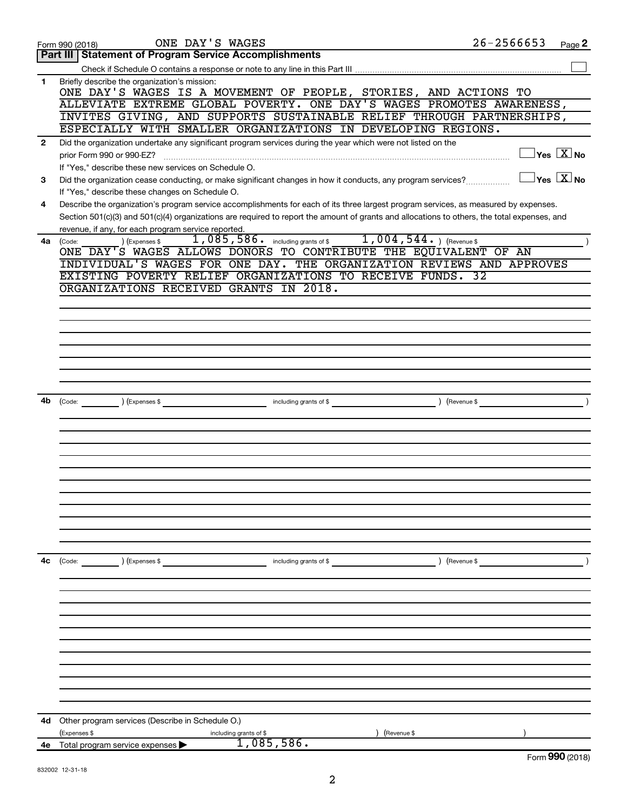|                | ONE DAY'S WAGES<br>Form 990 (2018)                                                                                                                                                                        | $26 - 2566653$ | Page 2                                  |
|----------------|-----------------------------------------------------------------------------------------------------------------------------------------------------------------------------------------------------------|----------------|-----------------------------------------|
|                | <b>Part III   Statement of Program Service Accomplishments</b>                                                                                                                                            |                |                                         |
|                |                                                                                                                                                                                                           |                |                                         |
| 1              | Briefly describe the organization's mission:<br>ONE DAY'S WAGES IS A MOVEMENT OF PEOPLE, STORIES, AND ACTIONS TO                                                                                          |                |                                         |
|                | ALLEVIATE EXTREME GLOBAL POVERTY. ONE DAY'S WAGES PROMOTES AWARENESS,                                                                                                                                     |                |                                         |
|                | INVITES GIVING, AND SUPPORTS SUSTAINABLE RELIEF THROUGH PARTNERSHIPS,                                                                                                                                     |                |                                         |
|                | ESPECIALLY WITH SMALLER ORGANIZATIONS IN DEVELOPING REGIONS.                                                                                                                                              |                |                                         |
| $\overline{2}$ | Did the organization undertake any significant program services during the year which were not listed on the                                                                                              |                |                                         |
|                | prior Form 990 or 990-EZ?                                                                                                                                                                                 |                | $\Box$ Yes $[\overline{\mathrm{X}}]$ No |
|                | If "Yes," describe these new services on Schedule O.                                                                                                                                                      |                |                                         |
| 3              | Did the organization cease conducting, or make significant changes in how it conducts, any program services?                                                                                              |                | $\Box$ Yes $[\overline{\mathrm{X}}]$ No |
|                | If "Yes," describe these changes on Schedule O.                                                                                                                                                           |                |                                         |
| 4              | Describe the organization's program service accomplishments for each of its three largest program services, as measured by expenses.                                                                      |                |                                         |
|                | Section 501(c)(3) and 501(c)(4) organizations are required to report the amount of grants and allocations to others, the total expenses, and                                                              |                |                                         |
|                | revenue, if any, for each program service reported.                                                                                                                                                       |                |                                         |
| 4a             | 1,085,586. including grants of \$1,004,544. ) (Revenue \$<br>(Expenses \$                                                                                                                                 |                |                                         |
|                | (Code:<br>ONE DAY'S WAGES ALLOWS DONORS TO CONTRIBUTE THE EQUIVALENT OF AN                                                                                                                                |                |                                         |
|                | INDIVIDUAL'S WAGES FOR ONE DAY. THE ORGANIZATION REVIEWS AND APPROVES                                                                                                                                     |                |                                         |
|                | EXISTING POVERTY RELIEF ORGANIZATIONS TO RECEIVE FUNDS. 32                                                                                                                                                |                |                                         |
|                | ORGANIZATIONS RECEIVED GRANTS IN 2018.                                                                                                                                                                    |                |                                         |
|                |                                                                                                                                                                                                           |                |                                         |
|                |                                                                                                                                                                                                           |                |                                         |
|                |                                                                                                                                                                                                           |                |                                         |
|                |                                                                                                                                                                                                           |                |                                         |
|                |                                                                                                                                                                                                           |                |                                         |
|                |                                                                                                                                                                                                           |                |                                         |
|                |                                                                                                                                                                                                           |                |                                         |
|                |                                                                                                                                                                                                           |                |                                         |
|                |                                                                                                                                                                                                           |                |                                         |
| 4b             | (Code: ) (Expenses \$<br>$\begin{array}{c} \hline \text{including grants of $$\Big( $}, \begin{array}{cc} \text{if } \end{array} \end{array}$ \begin{array}{c} \hline \text{if } \end{array} \end{array}$ |                |                                         |
|                |                                                                                                                                                                                                           |                |                                         |
|                |                                                                                                                                                                                                           |                |                                         |
|                |                                                                                                                                                                                                           |                |                                         |
|                |                                                                                                                                                                                                           |                |                                         |
|                |                                                                                                                                                                                                           |                |                                         |
|                |                                                                                                                                                                                                           |                |                                         |
|                |                                                                                                                                                                                                           |                |                                         |
|                |                                                                                                                                                                                                           |                |                                         |
|                |                                                                                                                                                                                                           |                |                                         |
|                |                                                                                                                                                                                                           |                |                                         |
|                |                                                                                                                                                                                                           |                |                                         |
| 4с             | (Code: ) (Expenses \$<br>including grants of \$                                                                                                                                                           | ) (Revenue \$  |                                         |
|                |                                                                                                                                                                                                           |                |                                         |
|                |                                                                                                                                                                                                           |                |                                         |
|                |                                                                                                                                                                                                           |                |                                         |
|                |                                                                                                                                                                                                           |                |                                         |
|                |                                                                                                                                                                                                           |                |                                         |
|                |                                                                                                                                                                                                           |                |                                         |
|                |                                                                                                                                                                                                           |                |                                         |
|                |                                                                                                                                                                                                           |                |                                         |
|                |                                                                                                                                                                                                           |                |                                         |
|                |                                                                                                                                                                                                           |                |                                         |
|                |                                                                                                                                                                                                           |                |                                         |
|                |                                                                                                                                                                                                           |                |                                         |
|                |                                                                                                                                                                                                           |                |                                         |
| 4d             | Other program services (Describe in Schedule O.)                                                                                                                                                          |                |                                         |
|                | (Expenses \$<br>Revenue \$<br>including grants of \$<br>1,085,586.<br><b>4e</b> Total program service expenses $\blacktriangleright$                                                                      |                |                                         |
|                |                                                                                                                                                                                                           |                | Form 990 (2018)                         |
|                |                                                                                                                                                                                                           |                |                                         |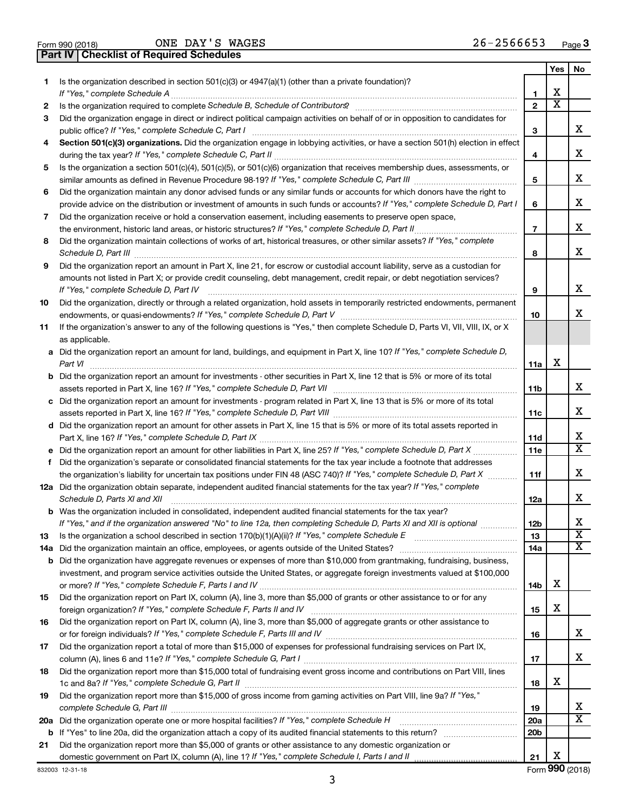| Form 990 (2018) |  |  |
|-----------------|--|--|

ONE DAY'S WAGES 26-2566653

**Part IV Checklist of Required Schedules**

|    |                                                                                                                                                         |                          | Yes | No                      |
|----|---------------------------------------------------------------------------------------------------------------------------------------------------------|--------------------------|-----|-------------------------|
| 1. | Is the organization described in section 501(c)(3) or 4947(a)(1) (other than a private foundation)?<br>If "Yes," complete Schedule A                    | 1                        | х   |                         |
| 2  |                                                                                                                                                         | $\mathbf{2}$             | X   |                         |
| 3  | Did the organization engage in direct or indirect political campaign activities on behalf of or in opposition to candidates for                         |                          |     |                         |
|    | public office? If "Yes," complete Schedule C, Part I                                                                                                    | 3                        |     | x                       |
| 4  | Section 501(c)(3) organizations. Did the organization engage in lobbying activities, or have a section 501(h) election in effect                        |                          |     |                         |
|    |                                                                                                                                                         | 4                        |     | х                       |
| 5  | Is the organization a section 501(c)(4), 501(c)(5), or 501(c)(6) organization that receives membership dues, assessments, or                            |                          |     |                         |
|    |                                                                                                                                                         | 5                        |     | х                       |
| 6  | Did the organization maintain any donor advised funds or any similar funds or accounts for which donors have the right to                               |                          |     |                         |
|    | provide advice on the distribution or investment of amounts in such funds or accounts? If "Yes," complete Schedule D, Part I                            | 6                        |     | x                       |
| 7  | Did the organization receive or hold a conservation easement, including easements to preserve open space,                                               |                          |     |                         |
|    |                                                                                                                                                         | $\overline{\phantom{a}}$ |     | х                       |
| 8  | Did the organization maintain collections of works of art, historical treasures, or other similar assets? If "Yes," complete                            |                          |     |                         |
|    | Schedule D, Part III                                                                                                                                    | 8                        |     | х                       |
| 9  | Did the organization report an amount in Part X, line 21, for escrow or custodial account liability, serve as a custodian for                           |                          |     |                         |
|    | amounts not listed in Part X; or provide credit counseling, debt management, credit repair, or debt negotiation services?                               |                          |     |                         |
|    | If "Yes," complete Schedule D, Part IV                                                                                                                  | 9                        |     | х                       |
| 10 | Did the organization, directly or through a related organization, hold assets in temporarily restricted endowments, permanent                           |                          |     |                         |
|    |                                                                                                                                                         | 10                       |     | x                       |
| 11 | If the organization's answer to any of the following questions is "Yes," then complete Schedule D, Parts VI, VII, VIII, IX, or X                        |                          |     |                         |
|    | as applicable.                                                                                                                                          |                          |     |                         |
|    | a Did the organization report an amount for land, buildings, and equipment in Part X, line 10? If "Yes," complete Schedule D,                           |                          |     |                         |
|    | Part VI                                                                                                                                                 | 11a                      | х   |                         |
|    | <b>b</b> Did the organization report an amount for investments - other securities in Part X, line 12 that is 5% or more of its total                    |                          |     |                         |
|    |                                                                                                                                                         | 11b                      |     | x                       |
|    | c Did the organization report an amount for investments - program related in Part X, line 13 that is 5% or more of its total                            |                          |     |                         |
|    |                                                                                                                                                         | 11c                      |     | х                       |
|    | d Did the organization report an amount for other assets in Part X, line 15 that is 5% or more of its total assets reported in                          |                          |     |                         |
|    |                                                                                                                                                         | 11d                      |     | х<br>X                  |
|    |                                                                                                                                                         | 11e                      |     |                         |
| f  | Did the organization's separate or consolidated financial statements for the tax year include a footnote that addresses                                 |                          |     | х                       |
|    | the organization's liability for uncertain tax positions under FIN 48 (ASC 740)? If "Yes," complete Schedule D, Part X                                  | 11f                      |     |                         |
|    | 12a Did the organization obtain separate, independent audited financial statements for the tax year? If "Yes," complete<br>Schedule D, Parts XI and XII |                          |     | x                       |
|    | <b>b</b> Was the organization included in consolidated, independent audited financial statements for the tax year?                                      | 12a                      |     |                         |
|    | If "Yes." and if the organization answered "No" to line 12a. then completing Schedule D. Parts XI and XII is optional                                   | 12 <sub>b</sub>          |     | х                       |
| 13 | Is the organization a school described in section 170(b)(1)(A)(ii)? If "Yes," complete Schedule E [[[[[[[[[[[[                                          | 13                       |     | $\overline{\mathbf{X}}$ |
|    |                                                                                                                                                         | 14a                      |     | х                       |
|    | <b>b</b> Did the organization have aggregate revenues or expenses of more than \$10,000 from grantmaking, fundraising, business,                        |                          |     |                         |
|    | investment, and program service activities outside the United States, or aggregate foreign investments valued at \$100,000                              |                          |     |                         |
|    |                                                                                                                                                         | 14b                      | х   |                         |
| 15 | Did the organization report on Part IX, column (A), line 3, more than \$5,000 of grants or other assistance to or for any                               |                          |     |                         |
|    |                                                                                                                                                         | 15                       | х   |                         |
| 16 | Did the organization report on Part IX, column (A), line 3, more than \$5,000 of aggregate grants or other assistance to                                |                          |     |                         |
|    |                                                                                                                                                         | 16                       |     | х                       |
| 17 | Did the organization report a total of more than \$15,000 of expenses for professional fundraising services on Part IX,                                 |                          |     |                         |
|    |                                                                                                                                                         | 17                       |     | х                       |
| 18 | Did the organization report more than \$15,000 total of fundraising event gross income and contributions on Part VIII, lines                            |                          |     |                         |
|    |                                                                                                                                                         | 18                       | х   |                         |
| 19 | Did the organization report more than \$15,000 of gross income from gaming activities on Part VIII, line 9a? If "Yes,"                                  |                          |     |                         |
|    |                                                                                                                                                         | 19                       |     | х                       |
|    |                                                                                                                                                         | 20a                      |     | $\overline{\text{X}}$   |
|    |                                                                                                                                                         | 20 <sub>b</sub>          |     |                         |
| 21 | Did the organization report more than \$5,000 of grants or other assistance to any domestic organization or                                             |                          |     |                         |
|    |                                                                                                                                                         | 21                       | х   |                         |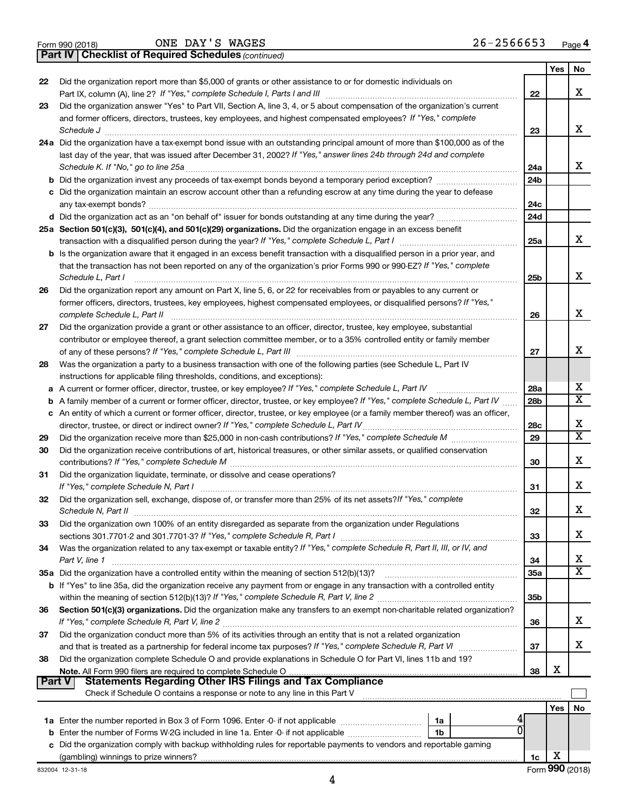|  | Form 990 (2018) |  |
|--|-----------------|--|
|  |                 |  |

ONE DAY'S WAGES 26-2566653

**Part IV Checklist of Required Schedules**

*(continued)*

|                                                                                                                                   |                                                                                                                                             |                 | Yes | No                      |
|-----------------------------------------------------------------------------------------------------------------------------------|---------------------------------------------------------------------------------------------------------------------------------------------|-----------------|-----|-------------------------|
| 22                                                                                                                                | Did the organization report more than \$5,000 of grants or other assistance to or for domestic individuals on                               |                 |     |                         |
|                                                                                                                                   |                                                                                                                                             | 22              |     | x                       |
| 23                                                                                                                                | Did the organization answer "Yes" to Part VII, Section A, line 3, 4, or 5 about compensation of the organization's current                  |                 |     |                         |
|                                                                                                                                   | and former officers, directors, trustees, key employees, and highest compensated employees? If "Yes," complete                              |                 |     |                         |
|                                                                                                                                   | Schedule J <b>www.communications.communications.communications.com</b>                                                                      | 23              |     | x                       |
|                                                                                                                                   | 24a Did the organization have a tax-exempt bond issue with an outstanding principal amount of more than \$100,000 as of the                 |                 |     |                         |
|                                                                                                                                   | last day of the year, that was issued after December 31, 2002? If "Yes," answer lines 24b through 24d and complete                          |                 |     |                         |
|                                                                                                                                   | Schedule K. If "No," go to line 25a                                                                                                         | 24a             |     | x                       |
|                                                                                                                                   |                                                                                                                                             | 24 <sub>b</sub> |     |                         |
|                                                                                                                                   | c Did the organization maintain an escrow account other than a refunding escrow at any time during the year to defease                      |                 |     |                         |
|                                                                                                                                   |                                                                                                                                             | 24c             |     |                         |
|                                                                                                                                   |                                                                                                                                             | 24d             |     |                         |
|                                                                                                                                   | 25a Section 501(c)(3), 501(c)(4), and 501(c)(29) organizations. Did the organization engage in an excess benefit                            |                 |     | x                       |
|                                                                                                                                   |                                                                                                                                             | 25a             |     |                         |
|                                                                                                                                   | b Is the organization aware that it engaged in an excess benefit transaction with a disqualified person in a prior year, and                |                 |     |                         |
|                                                                                                                                   | that the transaction has not been reported on any of the organization's prior Forms 990 or 990-EZ? If "Yes," complete<br>Schedule L, Part I |                 |     | x                       |
| 26                                                                                                                                | Did the organization report any amount on Part X, line 5, 6, or 22 for receivables from or payables to any current or                       | 25b             |     |                         |
|                                                                                                                                   | former officers, directors, trustees, key employees, highest compensated employees, or disqualified persons? If "Yes,"                      |                 |     |                         |
|                                                                                                                                   | complete Schedule L, Part II                                                                                                                | 26              |     | x                       |
| 27                                                                                                                                | Did the organization provide a grant or other assistance to an officer, director, trustee, key employee, substantial                        |                 |     |                         |
|                                                                                                                                   | contributor or employee thereof, a grant selection committee member, or to a 35% controlled entity or family member                         |                 |     |                         |
|                                                                                                                                   |                                                                                                                                             | 27              |     | x                       |
| 28                                                                                                                                | Was the organization a party to a business transaction with one of the following parties (see Schedule L, Part IV                           |                 |     |                         |
|                                                                                                                                   | instructions for applicable filing thresholds, conditions, and exceptions):                                                                 |                 |     |                         |
| a                                                                                                                                 | A current or former officer, director, trustee, or key employee? If "Yes," complete Schedule L, Part IV                                     | 28a             |     | х                       |
| b                                                                                                                                 | A family member of a current or former officer, director, trustee, or key employee? If "Yes," complete Schedule L, Part IV                  | 28 <sub>b</sub> |     | $\overline{\mathbf{X}}$ |
|                                                                                                                                   | c An entity of which a current or former officer, director, trustee, or key employee (or a family member thereof) was an officer,           |                 |     |                         |
|                                                                                                                                   |                                                                                                                                             | 28c             |     | х                       |
| 29                                                                                                                                |                                                                                                                                             | 29              |     | $\overline{\mathtt{x}}$ |
| Did the organization receive contributions of art, historical treasures, or other similar assets, or qualified conservation<br>30 |                                                                                                                                             |                 |     |                         |
|                                                                                                                                   |                                                                                                                                             | 30              |     | X                       |
| 31                                                                                                                                | Did the organization liquidate, terminate, or dissolve and cease operations?                                                                |                 |     |                         |
|                                                                                                                                   |                                                                                                                                             | 31              |     | X                       |
| 32                                                                                                                                | Did the organization sell, exchange, dispose of, or transfer more than 25% of its net assets? If "Yes," complete                            |                 |     |                         |
|                                                                                                                                   |                                                                                                                                             | 32              |     | x                       |
| 33                                                                                                                                | Did the organization own 100% of an entity disregarded as separate from the organization under Regulations                                  |                 |     |                         |
|                                                                                                                                   |                                                                                                                                             | 33              |     | х                       |
| 34                                                                                                                                | Was the organization related to any tax-exempt or taxable entity? If "Yes," complete Schedule R, Part II, III, or IV, and                   |                 |     |                         |
|                                                                                                                                   | Part V, line 1                                                                                                                              | 34              |     | x                       |
|                                                                                                                                   | 35a Did the organization have a controlled entity within the meaning of section 512(b)(13)?                                                 | 35a             |     | $\overline{\mathbf{X}}$ |
|                                                                                                                                   | <b>b</b> If "Yes" to line 35a, did the organization receive any payment from or engage in any transaction with a controlled entity          |                 |     |                         |
|                                                                                                                                   |                                                                                                                                             | 35 <sub>b</sub> |     |                         |
| 36                                                                                                                                | Section 501(c)(3) organizations. Did the organization make any transfers to an exempt non-charitable related organization?                  |                 |     |                         |
|                                                                                                                                   |                                                                                                                                             | 36              |     | x                       |
| 37                                                                                                                                | Did the organization conduct more than 5% of its activities through an entity that is not a related organization                            |                 |     |                         |
|                                                                                                                                   |                                                                                                                                             | 37              |     | x                       |
| 38                                                                                                                                | Did the organization complete Schedule O and provide explanations in Schedule O for Part VI, lines 11b and 19?                              |                 | х   |                         |
| <b>Part V</b>                                                                                                                     | <b>Statements Regarding Other IRS Filings and Tax Compliance</b>                                                                            | 38              |     |                         |
|                                                                                                                                   | Check if Schedule O contains a response or note to any line in this Part V                                                                  |                 |     |                         |
|                                                                                                                                   |                                                                                                                                             |                 | Yes | No                      |
|                                                                                                                                   | 1a                                                                                                                                          |                 |     |                         |
| b                                                                                                                                 | Enter the number of Forms W-2G included in line 1a. Enter -0- if not applicable manufacture in the number of Forms<br>1b                    |                 |     |                         |
| с                                                                                                                                 | Did the organization comply with backup withholding rules for reportable payments to vendors and reportable gaming                          |                 |     |                         |
|                                                                                                                                   |                                                                                                                                             | 1c              | х   |                         |
|                                                                                                                                   |                                                                                                                                             |                 |     |                         |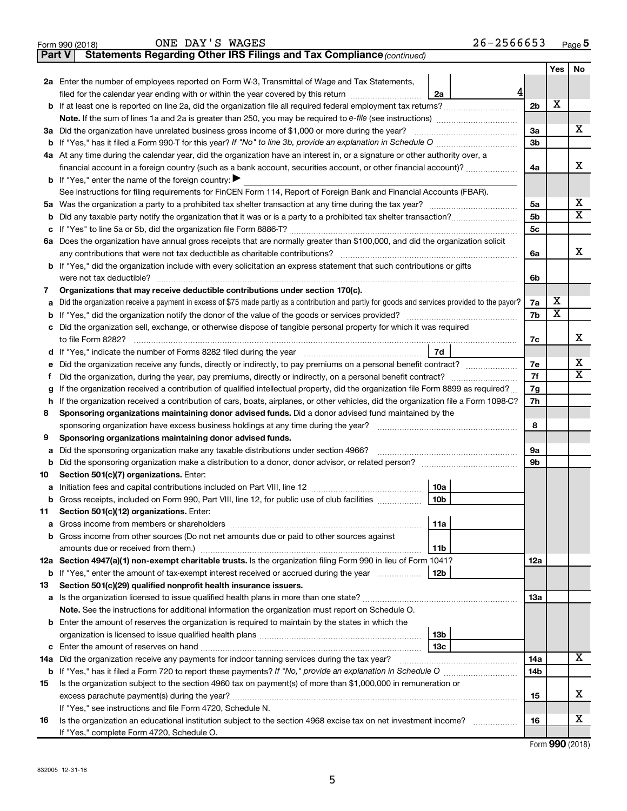| Form 990 (2018) | ONE<br>____ | ----<br>DAY | <b>WAGES</b> | -------<br>7 L<br>.<br>. .<br>. .<br>.<br>2 U<br>__ | Page |
|-----------------|-------------|-------------|--------------|-----------------------------------------------------|------|
|                 |             |             |              |                                                     |      |

| ONE DAY'S WAGES | $26 - 2566653$ |
|-----------------|----------------|
|-----------------|----------------|

| Part V | Statements Regarding Other IRS Filings and Tax Compliance (continued)                                                                           |     |                         |     |  |
|--------|-------------------------------------------------------------------------------------------------------------------------------------------------|-----|-------------------------|-----|--|
|        |                                                                                                                                                 |     | Yes                     | No. |  |
|        | 2a Enter the number of employees reported on Form W-3, Transmittal of Wage and Tax Statements,                                                  |     |                         |     |  |
|        | 4<br>filed for the calendar year ending with or within the year covered by this return<br>2a                                                    |     |                         |     |  |
|        |                                                                                                                                                 | 2b  | X                       |     |  |
|        | Note. If the sum of lines 1a and 2a is greater than 250, you may be required to e-file (see instructions) <i></i>                               |     |                         |     |  |
|        | 3a Did the organization have unrelated business gross income of \$1,000 or more during the year?                                                | За  |                         | х   |  |
| b      |                                                                                                                                                 | Зb  |                         |     |  |
|        | 4a At any time during the calendar year, did the organization have an interest in, or a signature or other authority over, a                    |     |                         |     |  |
|        | financial account in a foreign country (such as a bank account, securities account, or other financial account)?                                | 4a  |                         | x   |  |
|        | <b>b</b> If "Yes," enter the name of the foreign country: $\blacktriangleright$                                                                 |     |                         |     |  |
|        | See instructions for filing requirements for FinCEN Form 114, Report of Foreign Bank and Financial Accounts (FBAR).                             |     |                         |     |  |
| 5a     |                                                                                                                                                 | 5a  |                         | х   |  |
| b      |                                                                                                                                                 | 5b  |                         | X   |  |
| с      |                                                                                                                                                 | 5c  |                         |     |  |
|        | 6a Does the organization have annual gross receipts that are normally greater than \$100,000, and did the organization solicit                  |     |                         |     |  |
|        |                                                                                                                                                 | 6a  |                         | x   |  |
|        | <b>b</b> If "Yes," did the organization include with every solicitation an express statement that such contributions or gifts                   |     |                         |     |  |
|        |                                                                                                                                                 | 6b  |                         |     |  |
| 7      | Organizations that may receive deductible contributions under section 170(c).                                                                   |     |                         |     |  |
| а      | Did the organization receive a payment in excess of \$75 made partly as a contribution and partly for goods and services provided to the payor? | 7a  | х                       |     |  |
| b      |                                                                                                                                                 | 7b  | $\overline{\textbf{x}}$ |     |  |
| с      | Did the organization sell, exchange, or otherwise dispose of tangible personal property for which it was required                               |     |                         |     |  |
|        |                                                                                                                                                 | 7c  |                         | x   |  |
|        | 7d                                                                                                                                              |     |                         |     |  |
| е      | Did the organization receive any funds, directly or indirectly, to pay premiums on a personal benefit contract?                                 | 7е  |                         | х   |  |
| f.     |                                                                                                                                                 |     |                         |     |  |
| g      | If the organization received a contribution of qualified intellectual property, did the organization file Form 8899 as required?                |     |                         |     |  |
| h      | If the organization received a contribution of cars, boats, airplanes, or other vehicles, did the organization file a Form 1098-C?              |     |                         |     |  |
| 8      | Sponsoring organizations maintaining donor advised funds. Did a donor advised fund maintained by the                                            |     |                         |     |  |
|        |                                                                                                                                                 | 8   |                         |     |  |
| 9      | Sponsoring organizations maintaining donor advised funds.                                                                                       |     |                         |     |  |
| а      | Did the sponsoring organization make any taxable distributions under section 4966?                                                              | 9а  |                         |     |  |
| b      |                                                                                                                                                 | 9b  |                         |     |  |
| 10     | Section 501(c)(7) organizations. Enter:                                                                                                         |     |                         |     |  |
| а      | 10a                                                                                                                                             |     |                         |     |  |
|        | 10 <sub>b</sub><br>b Gross receipts, included on Form 990, Part VIII, line 12, for public use of club facilities                                |     |                         |     |  |
| 11     | Section 501(c)(12) organizations. Enter:                                                                                                        |     |                         |     |  |
| а      | 11a                                                                                                                                             |     |                         |     |  |
|        | b Gross income from other sources (Do not net amounts due or paid to other sources against                                                      |     |                         |     |  |
|        | 11b                                                                                                                                             |     |                         |     |  |
|        | 12a Section 4947(a)(1) non-exempt charitable trusts. Is the organization filing Form 990 in lieu of Form 1041?                                  | 12a |                         |     |  |
|        | <b>b</b> If "Yes," enter the amount of tax-exempt interest received or accrued during the year<br>12b                                           |     |                         |     |  |
| 13     | Section 501(c)(29) qualified nonprofit health insurance issuers.                                                                                |     |                         |     |  |
| а      | Is the organization licensed to issue qualified health plans in more than one state?                                                            | 1За |                         |     |  |
|        | Note. See the instructions for additional information the organization must report on Schedule O.                                               |     |                         |     |  |
|        | <b>b</b> Enter the amount of reserves the organization is required to maintain by the states in which the                                       |     |                         |     |  |
|        | 13b                                                                                                                                             |     |                         |     |  |
| с      | 13 <sub>c</sub>                                                                                                                                 |     |                         | x   |  |
| 14a    | Did the organization receive any payments for indoor tanning services during the tax year?                                                      | 14a |                         |     |  |
| b      |                                                                                                                                                 | 14b |                         |     |  |
| 15     | Is the organization subject to the section 4960 tax on payment(s) of more than \$1,000,000 in remuneration or                                   |     |                         | х   |  |
|        |                                                                                                                                                 | 15  |                         |     |  |
|        | If "Yes," see instructions and file Form 4720, Schedule N.                                                                                      |     |                         | х   |  |
| 16     | Is the organization an educational institution subject to the section 4968 excise tax on net investment income?                                 | 16  |                         |     |  |
|        | If "Yes," complete Form 4720, Schedule O.                                                                                                       |     |                         |     |  |

Form (2018) **990**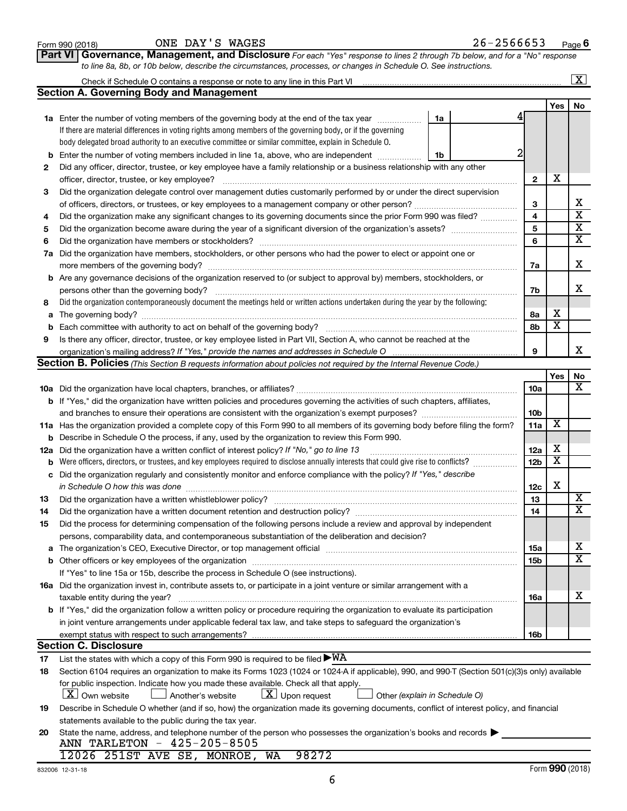|     | Check if Schedule O contains a response or note to any line in this Part VI                                                                                                                                                    |                               |                         |                         | <u>  x</u>              |  |  |  |
|-----|--------------------------------------------------------------------------------------------------------------------------------------------------------------------------------------------------------------------------------|-------------------------------|-------------------------|-------------------------|-------------------------|--|--|--|
|     | <b>Section A. Governing Body and Management</b>                                                                                                                                                                                |                               |                         |                         |                         |  |  |  |
|     |                                                                                                                                                                                                                                |                               |                         | Yes                     | No                      |  |  |  |
|     | <b>1a</b> Enter the number of voting members of the governing body at the end of the tax year                                                                                                                                  | 1a                            |                         |                         |                         |  |  |  |
|     | If there are material differences in voting rights among members of the governing body, or if the governing                                                                                                                    |                               |                         |                         |                         |  |  |  |
|     | body delegated broad authority to an executive committee or similar committee, explain in Schedule O.                                                                                                                          |                               |                         |                         |                         |  |  |  |
| b   | Enter the number of voting members included in line 1a, above, who are independent <i>manumum</i>                                                                                                                              | 1b                            |                         |                         |                         |  |  |  |
| 2   | Did any officer, director, trustee, or key employee have a family relationship or a business relationship with any other                                                                                                       |                               |                         |                         |                         |  |  |  |
|     | officer, director, trustee, or key employee?                                                                                                                                                                                   |                               | $\mathbf{2}$            | X                       |                         |  |  |  |
| З   | Did the organization delegate control over management duties customarily performed by or under the direct supervision                                                                                                          |                               |                         |                         |                         |  |  |  |
|     |                                                                                                                                                                                                                                |                               | 3                       |                         | x                       |  |  |  |
| 4   | Did the organization make any significant changes to its governing documents since the prior Form 990 was filed?                                                                                                               |                               | $\overline{\mathbf{4}}$ |                         | $\overline{\mathbf{x}}$ |  |  |  |
| 5   |                                                                                                                                                                                                                                |                               | 5                       |                         | $\overline{\mathbf{X}}$ |  |  |  |
| 6   | Did the organization have members or stockholders?                                                                                                                                                                             |                               |                         |                         |                         |  |  |  |
|     | 7a Did the organization have members, stockholders, or other persons who had the power to elect or appoint one or                                                                                                              |                               |                         |                         |                         |  |  |  |
|     |                                                                                                                                                                                                                                |                               | 7a                      |                         | х                       |  |  |  |
|     | <b>b</b> Are any governance decisions of the organization reserved to (or subject to approval by) members, stockholders, or                                                                                                    |                               |                         |                         |                         |  |  |  |
|     | persons other than the governing body?                                                                                                                                                                                         |                               | 7b                      |                         | х                       |  |  |  |
| 8   | Did the organization contemporaneously document the meetings held or written actions undertaken during the year by the following:                                                                                              |                               |                         |                         |                         |  |  |  |
| a   |                                                                                                                                                                                                                                |                               | 8a                      | x                       |                         |  |  |  |
| b   |                                                                                                                                                                                                                                |                               | 8b                      | $\overline{\textbf{x}}$ |                         |  |  |  |
| 9   | Is there any officer, director, trustee, or key employee listed in Part VII, Section A, who cannot be reached at the                                                                                                           |                               |                         |                         |                         |  |  |  |
|     |                                                                                                                                                                                                                                |                               | 9                       |                         | х                       |  |  |  |
|     | <b>Section B. Policies</b> (This Section B requests information about policies not required by the Internal Revenue Code.)                                                                                                     |                               |                         |                         |                         |  |  |  |
|     |                                                                                                                                                                                                                                |                               |                         | Yes                     | No                      |  |  |  |
|     |                                                                                                                                                                                                                                |                               | 10a                     |                         | х                       |  |  |  |
|     | <b>b</b> If "Yes," did the organization have written policies and procedures governing the activities of such chapters, affiliates,                                                                                            |                               |                         |                         |                         |  |  |  |
|     |                                                                                                                                                                                                                                |                               | 10 <sub>b</sub>         |                         |                         |  |  |  |
|     | 11a Has the organization provided a complete copy of this Form 990 to all members of its governing body before filing the form?                                                                                                |                               | 11a                     | X                       |                         |  |  |  |
|     | <b>b</b> Describe in Schedule O the process, if any, used by the organization to review this Form 990.                                                                                                                         |                               |                         |                         |                         |  |  |  |
| 12a | Did the organization have a written conflict of interest policy? If "No," go to line 13                                                                                                                                        |                               | 12a                     | х                       |                         |  |  |  |
| b   | Were officers, directors, or trustees, and key employees required to disclose annually interests that could give rise to conflicts?                                                                                            |                               | 12 <sub>b</sub>         | $\overline{\textbf{X}}$ |                         |  |  |  |
|     | c Did the organization regularly and consistently monitor and enforce compliance with the policy? If "Yes," describe                                                                                                           |                               |                         |                         |                         |  |  |  |
|     | in Schedule O how this was done manufactured and an architecture of the state of the state of the state of the                                                                                                                 |                               | 12c                     | X                       |                         |  |  |  |
| 13  |                                                                                                                                                                                                                                |                               | 13                      |                         | X                       |  |  |  |
| 14  | Did the organization have a written document retention and destruction policy? [11] manufaction in the organization have a written document retention and destruction policy?                                                  |                               | 14                      |                         | $\overline{\mathbf{X}}$ |  |  |  |
| 15  | Did the process for determining compensation of the following persons include a review and approval by independent                                                                                                             |                               |                         |                         |                         |  |  |  |
|     | persons, comparability data, and contemporaneous substantiation of the deliberation and decision?                                                                                                                              |                               |                         |                         |                         |  |  |  |
| а   | The organization's CEO, Executive Director, or top management official [111] [12] manuscription and an intervention of the organization's CEO, Executive Director, or top management official [12] manuscription and an interv |                               | 15a                     |                         | х                       |  |  |  |
|     |                                                                                                                                                                                                                                |                               | 15 <sub>b</sub>         |                         | $\overline{\mathbf{X}}$ |  |  |  |
|     | If "Yes" to line 15a or 15b, describe the process in Schedule O (see instructions).                                                                                                                                            |                               |                         |                         |                         |  |  |  |
|     | 16a Did the organization invest in, contribute assets to, or participate in a joint venture or similar arrangement with a                                                                                                      |                               |                         |                         |                         |  |  |  |
|     | taxable entity during the year?                                                                                                                                                                                                |                               | 16a                     |                         | Х                       |  |  |  |
|     | b If "Yes," did the organization follow a written policy or procedure requiring the organization to evaluate its participation                                                                                                 |                               |                         |                         |                         |  |  |  |
|     | in joint venture arrangements under applicable federal tax law, and take steps to safeguard the organization's                                                                                                                 |                               |                         |                         |                         |  |  |  |
|     | exempt status with respect to such arrangements?                                                                                                                                                                               |                               | 16b                     |                         |                         |  |  |  |
|     | <b>Section C. Disclosure</b>                                                                                                                                                                                                   |                               |                         |                         |                         |  |  |  |
| 17  | List the states with which a copy of this Form 990 is required to be filed $\blacktriangleright\text{WA}$                                                                                                                      |                               |                         |                         |                         |  |  |  |
| 18  | Section 6104 requires an organization to make its Forms 1023 (1024 or 1024 A if applicable), 990, and 990-T (Section 501(c)(3)s only) available                                                                                |                               |                         |                         |                         |  |  |  |
|     | for public inspection. Indicate how you made these available. Check all that apply.                                                                                                                                            |                               |                         |                         |                         |  |  |  |
|     | $\lfloor x \rfloor$ Own website<br>$\lfloor x \rfloor$ Upon request<br>Another's website                                                                                                                                       | Other (explain in Schedule O) |                         |                         |                         |  |  |  |
| 19  | Describe in Schedule O whether (and if so, how) the organization made its governing documents, conflict of interest policy, and financial                                                                                      |                               |                         |                         |                         |  |  |  |
|     | statements available to the public during the tax year.                                                                                                                                                                        |                               |                         |                         |                         |  |  |  |
| 20  | State the name, address, and telephone number of the person who possesses the organization's books and records                                                                                                                 |                               |                         |                         |                         |  |  |  |
|     | ANN TARLETON - 425-205-8505                                                                                                                                                                                                    |                               |                         |                         |                         |  |  |  |
|     | 12026 251ST AVE SE, MONROE, WA<br>98272                                                                                                                                                                                        |                               |                         |                         |                         |  |  |  |

**Part VI** Governance, Management, and Disclosure For each "Yes" response to lines 2 through 7b below, and for a "No" response

Form 990 (2018) Page ONE DAY'S WAGES 26-2566653

*to line 8a, 8b, or 10b below, describe the circumstances, processes, or changes in Schedule O. See instructions.*

6

**6**

 $\boxed{\text{X}}$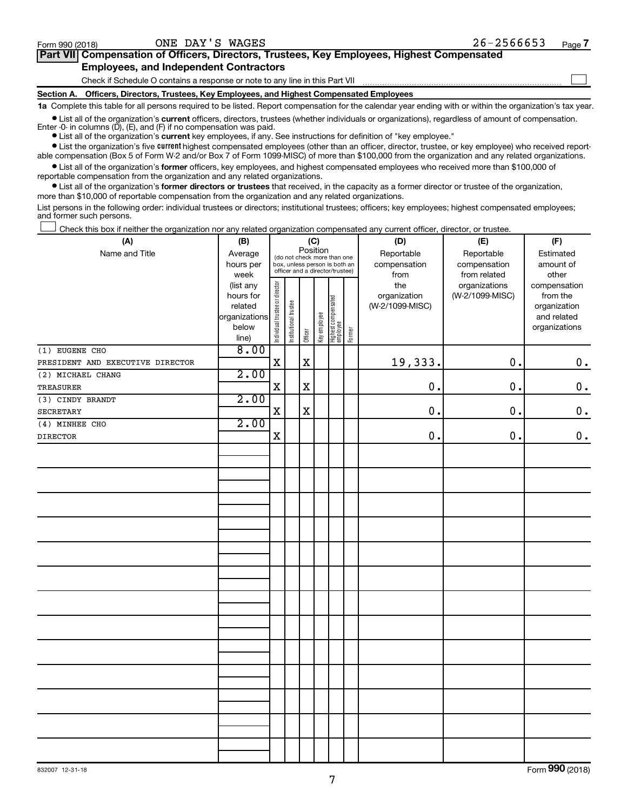$\Box$ 

| Part VII Compensation of Officers, Directors, Trustees, Key Employees, Highest Compensated |
|--------------------------------------------------------------------------------------------|
| <b>Employees, and Independent Contractors</b>                                              |

Check if Schedule O contains a response or note to any line in this Part VII

**Section A. Officers, Directors, Trustees, Key Employees, and Highest Compensated Employees**

**1a**  Complete this table for all persons required to be listed. Report compensation for the calendar year ending with or within the organization's tax year.

**•** List all of the organization's current officers, directors, trustees (whether individuals or organizations), regardless of amount of compensation. Enter  $-0$ - in columns  $(D)$ ,  $(E)$ , and  $(F)$  if no compensation was paid.

**•** List all of the organization's **current** key employees, if any. See instructions for definition of "key employee."

**•** List the organization's five current highest compensated employees (other than an officer, director, trustee, or key employee) who received reportable compensation (Box 5 of Form W-2 and/or Box 7 of Form 1099-MISC) of more than \$100,000 from the organization and any related organizations.

**•** List all of the organization's former officers, key employees, and highest compensated employees who received more than \$100,000 of reportable compensation from the organization and any related organizations.

**•** List all of the organization's former directors or trustees that received, in the capacity as a former director or trustee of the organization, more than \$10,000 of reportable compensation from the organization and any related organizations.

List persons in the following order: individual trustees or directors; institutional trustees; officers; key employees; highest compensated employees; and former such persons.

Check this box if neither the organization nor any related organization compensated any current officer, director, or trustee.  $\Box$ 

| (A)                              | (B)                      | (C)                                     |                       |             |              |                                                                  |        | (D)                             | (E)             | (F)                         |
|----------------------------------|--------------------------|-----------------------------------------|-----------------------|-------------|--------------|------------------------------------------------------------------|--------|---------------------------------|-----------------|-----------------------------|
| Name and Title                   | Average                  | Position<br>(do not check more than one |                       |             |              |                                                                  |        | Reportable                      | Reportable      | Estimated                   |
|                                  | hours per                |                                         |                       |             |              | box, unless person is both an<br>officer and a director/trustee) |        | compensation                    | compensation    | amount of                   |
|                                  | week                     |                                         |                       |             |              |                                                                  |        | from                            | from related    | other                       |
|                                  | (list any                |                                         |                       |             |              |                                                                  |        | the                             | organizations   | compensation                |
|                                  | hours for                |                                         |                       |             |              |                                                                  |        | organization<br>(W-2/1099-MISC) | (W-2/1099-MISC) | from the                    |
|                                  | related<br>organizations |                                         |                       |             |              |                                                                  |        |                                 |                 | organization<br>and related |
|                                  | below                    |                                         |                       |             |              |                                                                  |        |                                 |                 | organizations               |
|                                  | line)                    | Individual trustee or director          | Institutional trustee | Officer     | Key employee | Highest compensated<br>employee                                  | Former |                                 |                 |                             |
| (1) EUGENE CHO                   | 8.00                     |                                         |                       |             |              |                                                                  |        |                                 |                 |                             |
| PRESIDENT AND EXECUTIVE DIRECTOR |                          | $\mathbf X$                             |                       | $\mathbf x$ |              |                                                                  |        | 19,333.                         | 0.              | $\mathbf 0$ .               |
| (2) MICHAEL CHANG                | 2.00                     |                                         |                       |             |              |                                                                  |        |                                 |                 |                             |
| TREASURER                        |                          | $\mathbf X$                             |                       | $\mathbf X$ |              |                                                                  |        | 0.                              | 0.              | $\mathbf 0$ .               |
| (3) CINDY BRANDT                 | 2.00                     |                                         |                       |             |              |                                                                  |        |                                 |                 |                             |
| <b>SECRETARY</b>                 |                          | $\mathbf X$                             |                       | $\mathbf X$ |              |                                                                  |        | 0.                              | $\mathbf 0$ .   | $\mathbf 0$ .               |
| (4) MINHEE CHO                   | 2.00                     |                                         |                       |             |              |                                                                  |        |                                 |                 |                             |
| <b>DIRECTOR</b>                  |                          | $\mathbf X$                             |                       |             |              |                                                                  |        | $\mathbf 0$ .                   | 0.              | $0$ .                       |
|                                  |                          |                                         |                       |             |              |                                                                  |        |                                 |                 |                             |
|                                  |                          |                                         |                       |             |              |                                                                  |        |                                 |                 |                             |
|                                  |                          |                                         |                       |             |              |                                                                  |        |                                 |                 |                             |
|                                  |                          |                                         |                       |             |              |                                                                  |        |                                 |                 |                             |
|                                  |                          |                                         |                       |             |              |                                                                  |        |                                 |                 |                             |
|                                  |                          |                                         |                       |             |              |                                                                  |        |                                 |                 |                             |
|                                  |                          |                                         |                       |             |              |                                                                  |        |                                 |                 |                             |
|                                  |                          |                                         |                       |             |              |                                                                  |        |                                 |                 |                             |
|                                  |                          |                                         |                       |             |              |                                                                  |        |                                 |                 |                             |
|                                  |                          |                                         |                       |             |              |                                                                  |        |                                 |                 |                             |
|                                  |                          |                                         |                       |             |              |                                                                  |        |                                 |                 |                             |
|                                  |                          |                                         |                       |             |              |                                                                  |        |                                 |                 |                             |
|                                  |                          |                                         |                       |             |              |                                                                  |        |                                 |                 |                             |
|                                  |                          |                                         |                       |             |              |                                                                  |        |                                 |                 |                             |
|                                  |                          |                                         |                       |             |              |                                                                  |        |                                 |                 |                             |
|                                  |                          |                                         |                       |             |              |                                                                  |        |                                 |                 |                             |
|                                  |                          |                                         |                       |             |              |                                                                  |        |                                 |                 |                             |
|                                  |                          |                                         |                       |             |              |                                                                  |        |                                 |                 |                             |
|                                  |                          |                                         |                       |             |              |                                                                  |        |                                 |                 |                             |
|                                  |                          |                                         |                       |             |              |                                                                  |        |                                 |                 |                             |
|                                  |                          |                                         |                       |             |              |                                                                  |        |                                 |                 |                             |
|                                  |                          |                                         |                       |             |              |                                                                  |        |                                 |                 |                             |
|                                  |                          |                                         |                       |             |              |                                                                  |        |                                 |                 |                             |
|                                  |                          |                                         |                       |             |              |                                                                  |        |                                 |                 |                             |
|                                  |                          |                                         |                       |             |              |                                                                  |        |                                 |                 |                             |
|                                  |                          |                                         |                       |             |              |                                                                  |        |                                 |                 |                             |

Form (2018) **990**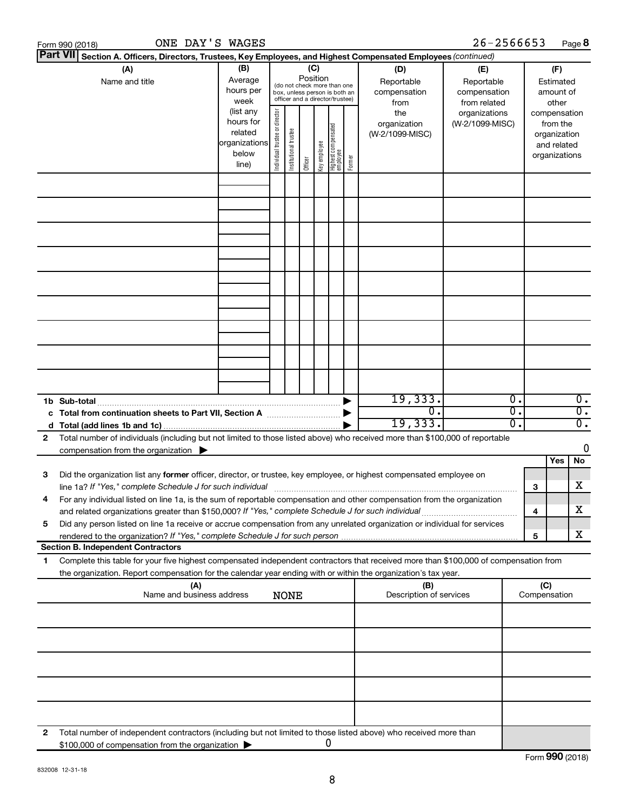|    | ONE DAY'S WAGES<br>Form 990 (2018)                                                                                                                                                                                                                                                                                                                     |                                                                      |                                                                                                                    |                       |         |              |                                   |        |                                           | 26-2566653                                        |              |                                                                          | Page 8                               |
|----|--------------------------------------------------------------------------------------------------------------------------------------------------------------------------------------------------------------------------------------------------------------------------------------------------------------------------------------------------------|----------------------------------------------------------------------|--------------------------------------------------------------------------------------------------------------------|-----------------------|---------|--------------|-----------------------------------|--------|-------------------------------------------|---------------------------------------------------|--------------|--------------------------------------------------------------------------|--------------------------------------|
|    | Part VII Section A. Officers, Directors, Trustees, Key Employees, and Highest Compensated Employees (continued)                                                                                                                                                                                                                                        |                                                                      |                                                                                                                    |                       |         |              |                                   |        |                                           |                                                   |              |                                                                          |                                      |
|    | (A)<br>Name and title                                                                                                                                                                                                                                                                                                                                  | (B)<br>Average<br>hours per<br>week                                  | (C)<br>Position<br>(do not check more than one<br>box, unless person is both an<br>officer and a director/trustee) |                       |         |              |                                   |        | (D)<br>Reportable<br>compensation<br>from | (E)<br>Reportable<br>compensation<br>from related |              | (F)<br>Estimated<br>amount of<br>other                                   |                                      |
|    |                                                                                                                                                                                                                                                                                                                                                        | (list any<br>hours for<br>related<br>organizations<br>below<br>line) | Individual trustee or director                                                                                     | Institutional trustee | Officer | Key employee | Highest compensated<br>  employee | Former | the<br>organization<br>(W-2/1099-MISC)    | organizations<br>(W-2/1099-MISC)                  |              | compensation<br>from the<br>organization<br>and related<br>organizations |                                      |
|    |                                                                                                                                                                                                                                                                                                                                                        |                                                                      |                                                                                                                    |                       |         |              |                                   |        |                                           |                                                   |              |                                                                          |                                      |
|    |                                                                                                                                                                                                                                                                                                                                                        |                                                                      |                                                                                                                    |                       |         |              |                                   |        |                                           |                                                   |              |                                                                          |                                      |
|    |                                                                                                                                                                                                                                                                                                                                                        |                                                                      |                                                                                                                    |                       |         |              |                                   |        |                                           |                                                   |              |                                                                          |                                      |
|    |                                                                                                                                                                                                                                                                                                                                                        |                                                                      |                                                                                                                    |                       |         |              |                                   |        |                                           |                                                   |              |                                                                          |                                      |
|    |                                                                                                                                                                                                                                                                                                                                                        |                                                                      |                                                                                                                    |                       |         |              |                                   |        |                                           |                                                   |              |                                                                          |                                      |
|    |                                                                                                                                                                                                                                                                                                                                                        |                                                                      |                                                                                                                    |                       |         |              |                                   |        |                                           |                                                   |              |                                                                          |                                      |
|    |                                                                                                                                                                                                                                                                                                                                                        |                                                                      |                                                                                                                    |                       |         |              |                                   |        |                                           |                                                   |              |                                                                          |                                      |
|    |                                                                                                                                                                                                                                                                                                                                                        |                                                                      |                                                                                                                    |                       |         |              |                                   |        |                                           |                                                   |              |                                                                          |                                      |
|    | 1b Sub-total                                                                                                                                                                                                                                                                                                                                           |                                                                      |                                                                                                                    |                       |         |              |                                   |        | 19,333.                                   | $\overline{\mathbf{0}}$ .                         |              |                                                                          | $\overline{0}$ .                     |
|    | c Total from continuation sheets to Part VII, Section A manufactured by                                                                                                                                                                                                                                                                                |                                                                      |                                                                                                                    |                       |         |              |                                   |        | $\overline{0}$ .<br>19,333.               | 0.<br>0.                                          |              |                                                                          | $\overline{0}$ .<br>$\overline{0}$ . |
| 2  | Total number of individuals (including but not limited to those listed above) who received more than \$100,000 of reportable<br>compensation from the organization $\blacktriangleright$                                                                                                                                                               |                                                                      |                                                                                                                    |                       |         |              |                                   |        |                                           |                                                   |              |                                                                          | $\mathbf 0$                          |
|    |                                                                                                                                                                                                                                                                                                                                                        |                                                                      |                                                                                                                    |                       |         |              |                                   |        |                                           |                                                   |              | Yes                                                                      | No                                   |
| 3  | Did the organization list any former officer, director, or trustee, key employee, or highest compensated employee on<br>line 1a? If "Yes," complete Schedule J for such individual manufacture content to the set of the set of the such that the set of the set of the set of the set of the set of the set of the set of the set of the set of the s |                                                                      |                                                                                                                    |                       |         |              |                                   |        |                                           |                                                   | з            |                                                                          | х                                    |
|    | For any individual listed on line 1a, is the sum of reportable compensation and other compensation from the organization<br>and related organizations greater than \$150,000? If "Yes," complete Schedule J for such individual                                                                                                                        |                                                                      |                                                                                                                    |                       |         |              |                                   |        |                                           |                                                   | 4            |                                                                          | x                                    |
| 5  | Did any person listed on line 1a receive or accrue compensation from any unrelated organization or individual for services                                                                                                                                                                                                                             |                                                                      |                                                                                                                    |                       |         |              |                                   |        |                                           |                                                   | 5            |                                                                          | x                                    |
|    | <b>Section B. Independent Contractors</b>                                                                                                                                                                                                                                                                                                              |                                                                      |                                                                                                                    |                       |         |              |                                   |        |                                           |                                                   |              |                                                                          |                                      |
| 1. | Complete this table for your five highest compensated independent contractors that received more than \$100,000 of compensation from<br>the organization. Report compensation for the calendar year ending with or within the organization's tax year.                                                                                                 |                                                                      |                                                                                                                    |                       |         |              |                                   |        |                                           |                                                   |              |                                                                          |                                      |
|    | (A)<br>Name and business address                                                                                                                                                                                                                                                                                                                       |                                                                      |                                                                                                                    | <b>NONE</b>           |         |              |                                   |        | (B)<br>Description of services            |                                                   | Compensation | (C)                                                                      |                                      |
|    |                                                                                                                                                                                                                                                                                                                                                        |                                                                      |                                                                                                                    |                       |         |              |                                   |        |                                           |                                                   |              |                                                                          |                                      |
|    |                                                                                                                                                                                                                                                                                                                                                        |                                                                      |                                                                                                                    |                       |         |              |                                   |        |                                           |                                                   |              |                                                                          |                                      |
|    |                                                                                                                                                                                                                                                                                                                                                        |                                                                      |                                                                                                                    |                       |         |              |                                   |        |                                           |                                                   |              |                                                                          |                                      |
|    |                                                                                                                                                                                                                                                                                                                                                        |                                                                      |                                                                                                                    |                       |         |              |                                   |        |                                           |                                                   |              |                                                                          |                                      |
| 2  | Total number of independent contractors (including but not limited to those listed above) who received more than                                                                                                                                                                                                                                       |                                                                      |                                                                                                                    |                       |         |              |                                   |        |                                           |                                                   |              |                                                                          |                                      |
|    | \$100,000 of compensation from the organization                                                                                                                                                                                                                                                                                                        |                                                                      |                                                                                                                    |                       |         |              | O                                 |        |                                           |                                                   |              |                                                                          |                                      |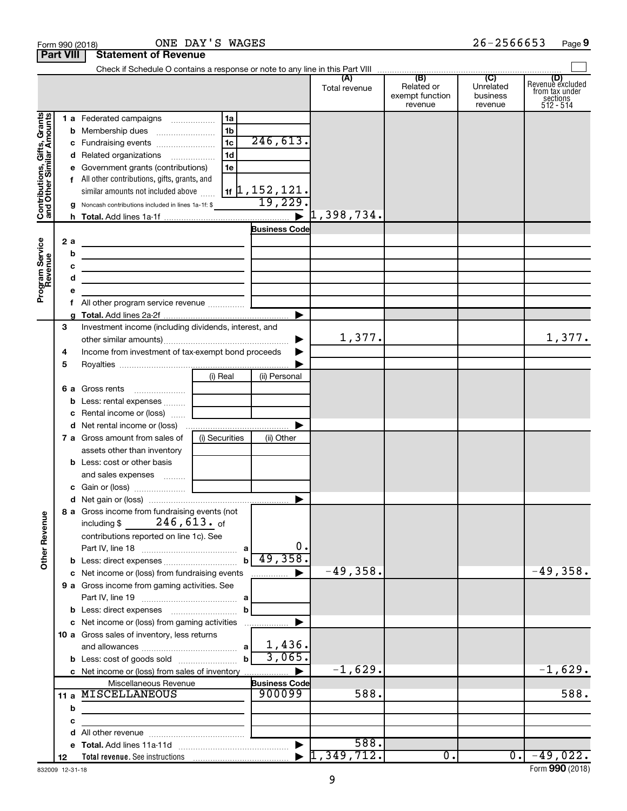|                                                           |                  | Form 990 (2018)                                                                                                        | ONE DAY'S WAGES |                                   |                      |                                                 | $26 - 2566653$                          | Page 9                                                             |
|-----------------------------------------------------------|------------------|------------------------------------------------------------------------------------------------------------------------|-----------------|-----------------------------------|----------------------|-------------------------------------------------|-----------------------------------------|--------------------------------------------------------------------|
|                                                           | <b>Part VIII</b> | <b>Statement of Revenue</b>                                                                                            |                 |                                   |                      |                                                 |                                         |                                                                    |
|                                                           |                  |                                                                                                                        |                 |                                   |                      |                                                 |                                         |                                                                    |
|                                                           |                  |                                                                                                                        |                 |                                   | (A)<br>Total revenue | (B)<br>Related or<br>exempt function<br>revenue | (C)<br>Unrelated<br>business<br>revenue | (D)<br>Revenue excluded<br>from tax under<br>sections<br>512 - 514 |
|                                                           |                  | 1 a Federated campaigns                                                                                                | 1a              |                                   |                      |                                                 |                                         |                                                                    |
|                                                           |                  |                                                                                                                        | 1b              |                                   |                      |                                                 |                                         |                                                                    |
|                                                           |                  | c Fundraising events                                                                                                   | 1 <sub>c</sub>  | 246, 613.                         |                      |                                                 |                                         |                                                                    |
|                                                           |                  | d Related organizations                                                                                                | 1 <sub>d</sub>  |                                   |                      |                                                 |                                         |                                                                    |
|                                                           |                  | e Government grants (contributions)                                                                                    | 1e              |                                   |                      |                                                 |                                         |                                                                    |
|                                                           |                  | f All other contributions, gifts, grants, and                                                                          |                 |                                   |                      |                                                 |                                         |                                                                    |
|                                                           |                  | similar amounts not included above                                                                                     |                 | $\vert$ 1f $\vert$ 1, 152 , 121 . |                      |                                                 |                                         |                                                                    |
| Contributions, Gifts, Grants<br>and Other Similar Amounts |                  | g Noncash contributions included in lines 1a-1f: \$                                                                    |                 | 19,229.                           |                      |                                                 |                                         |                                                                    |
|                                                           |                  |                                                                                                                        |                 |                                   |                      |                                                 |                                         |                                                                    |
|                                                           |                  |                                                                                                                        |                 | <b>Business Code</b>              |                      |                                                 |                                         |                                                                    |
| Program Service<br>Revenue                                | 2 a              | <u> 1989 - Johann Stein, marwolaethau a bhann an t-Albann an t-Albann an t-Albann an t-Albann an t-Albann an t-Alb</u> |                 |                                   |                      |                                                 |                                         |                                                                    |
|                                                           | b                | the contract of the contract of the contract of the contract of the contract of                                        |                 |                                   |                      |                                                 |                                         |                                                                    |
|                                                           | с                | <u> 1989 - Johann Barn, amerikansk politiker (</u>                                                                     |                 |                                   |                      |                                                 |                                         |                                                                    |
|                                                           | d<br>е           | the control of the control of the control of the control of the control of                                             |                 |                                   |                      |                                                 |                                         |                                                                    |
|                                                           | 1.               |                                                                                                                        |                 |                                   |                      |                                                 |                                         |                                                                    |
|                                                           |                  |                                                                                                                        |                 |                                   |                      |                                                 |                                         |                                                                    |
|                                                           | З                | Investment income (including dividends, interest, and                                                                  |                 |                                   |                      |                                                 |                                         |                                                                    |
|                                                           |                  |                                                                                                                        |                 | ▶                                 | 1,377.               |                                                 |                                         | 1,377.                                                             |
|                                                           | 4                | Income from investment of tax-exempt bond proceeds                                                                     |                 |                                   |                      |                                                 |                                         |                                                                    |
|                                                           | 5                |                                                                                                                        |                 |                                   |                      |                                                 |                                         |                                                                    |
|                                                           |                  |                                                                                                                        | (i) Real        | (ii) Personal                     |                      |                                                 |                                         |                                                                    |
|                                                           |                  | 6 a Gross rents                                                                                                        |                 |                                   |                      |                                                 |                                         |                                                                    |
|                                                           |                  | <b>b</b> Less: rental expenses                                                                                         |                 |                                   |                      |                                                 |                                         |                                                                    |
|                                                           |                  | <b>c</b> Rental income or (loss) $\ldots$                                                                              |                 |                                   |                      |                                                 |                                         |                                                                    |
|                                                           |                  |                                                                                                                        |                 |                                   |                      |                                                 |                                         |                                                                    |
|                                                           |                  | 7 a Gross amount from sales of                                                                                         | (i) Securities  | (ii) Other                        |                      |                                                 |                                         |                                                                    |
|                                                           |                  | assets other than inventory                                                                                            |                 |                                   |                      |                                                 |                                         |                                                                    |
|                                                           |                  | <b>b</b> Less: cost or other basis                                                                                     |                 |                                   |                      |                                                 |                                         |                                                                    |
|                                                           |                  | and sales expenses                                                                                                     |                 |                                   |                      |                                                 |                                         |                                                                    |
|                                                           |                  | c Gain or (loss)                                                                                                       |                 |                                   |                      |                                                 |                                         |                                                                    |
|                                                           |                  |                                                                                                                        |                 |                                   |                      |                                                 |                                         |                                                                    |
|                                                           |                  | 8 a Gross income from fundraising events (not                                                                          |                 |                                   |                      |                                                 |                                         |                                                                    |
|                                                           |                  | including \$ $246,613.$ of                                                                                             |                 |                                   |                      |                                                 |                                         |                                                                    |
|                                                           |                  | contributions reported on line 1c). See                                                                                |                 | 0.                                |                      |                                                 |                                         |                                                                    |
| <b>Other Revenue</b>                                      |                  |                                                                                                                        |                 | 49,358.                           |                      |                                                 |                                         |                                                                    |
|                                                           |                  | c Net income or (loss) from fundraising events                                                                         | $\mathbf b$     |                                   | $-49,358.$           |                                                 |                                         | $-49,358.$                                                         |
|                                                           |                  | 9 a Gross income from gaming activities. See                                                                           |                 |                                   |                      |                                                 |                                         |                                                                    |
|                                                           |                  |                                                                                                                        |                 |                                   |                      |                                                 |                                         |                                                                    |
|                                                           |                  |                                                                                                                        | b               |                                   |                      |                                                 |                                         |                                                                    |
|                                                           |                  | c Net income or (loss) from gaming activities                                                                          |                 |                                   |                      |                                                 |                                         |                                                                    |
|                                                           |                  | 10 a Gross sales of inventory, less returns                                                                            |                 |                                   |                      |                                                 |                                         |                                                                    |
|                                                           |                  |                                                                                                                        | a               | 1,436.                            |                      |                                                 |                                         |                                                                    |
|                                                           |                  |                                                                                                                        |                 | 3,065.                            |                      |                                                 |                                         |                                                                    |
|                                                           |                  | c Net income or (loss) from sales of inventory                                                                         |                 |                                   | $-1,629.$            |                                                 |                                         | $-1,629.$                                                          |
|                                                           |                  | Miscellaneous Revenue                                                                                                  |                 | <b>Business Code</b>              |                      |                                                 |                                         |                                                                    |
|                                                           |                  | 11 a MISCELLANEOUS                                                                                                     |                 | 900099                            | 588.                 |                                                 |                                         | 588.                                                               |
|                                                           | b                |                                                                                                                        |                 |                                   |                      |                                                 |                                         |                                                                    |
|                                                           | c                |                                                                                                                        |                 |                                   |                      |                                                 |                                         |                                                                    |
|                                                           | d                |                                                                                                                        |                 |                                   |                      |                                                 |                                         |                                                                    |
|                                                           | е                |                                                                                                                        |                 |                                   | 588.                 |                                                 |                                         |                                                                    |
|                                                           | 12               |                                                                                                                        |                 |                                   | 1,349,712.           | 0.                                              | 0.                                      | $-49,022.$                                                         |

832009 12-31-18

Form (2018) **990**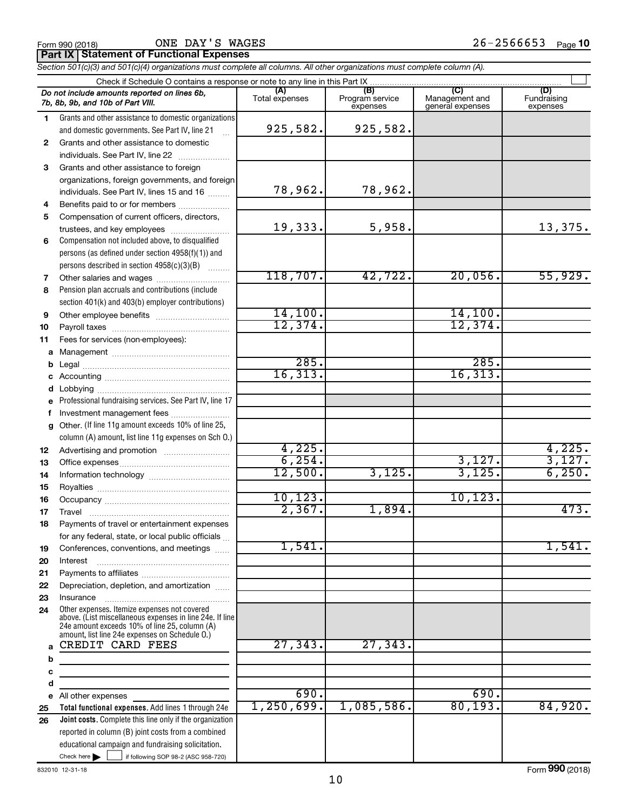**Part IX Statement of Functional Expenses**

*Section 501(c)(3) and 501(c)(4) organizations must complete all columns. All other organizations must complete column (A).*

|              | Do not include amounts reported on lines 6b,<br>7b, 8b, 9b, and 10b of Part VIII.                                                                                                                           | (A)<br>Total expenses | (B)<br>Program service<br>expenses | Management and<br>general expenses | (D)<br>Fundraising<br>expenses |  |  |  |  |  |  |
|--------------|-------------------------------------------------------------------------------------------------------------------------------------------------------------------------------------------------------------|-----------------------|------------------------------------|------------------------------------|--------------------------------|--|--|--|--|--|--|
| 1.           | Grants and other assistance to domestic organizations                                                                                                                                                       |                       |                                    |                                    |                                |  |  |  |  |  |  |
|              | and domestic governments. See Part IV, line 21                                                                                                                                                              | 925,582.              | 925,582.                           |                                    |                                |  |  |  |  |  |  |
| $\mathbf{2}$ | Grants and other assistance to domestic                                                                                                                                                                     |                       |                                    |                                    |                                |  |  |  |  |  |  |
|              | individuals. See Part IV, line 22                                                                                                                                                                           |                       |                                    |                                    |                                |  |  |  |  |  |  |
| 3            | Grants and other assistance to foreign                                                                                                                                                                      |                       |                                    |                                    |                                |  |  |  |  |  |  |
|              | organizations, foreign governments, and foreign                                                                                                                                                             |                       |                                    |                                    |                                |  |  |  |  |  |  |
|              | individuals. See Part IV, lines 15 and 16                                                                                                                                                                   | 78,962.               | 78,962.                            |                                    |                                |  |  |  |  |  |  |
| 4            | Benefits paid to or for members                                                                                                                                                                             |                       |                                    |                                    |                                |  |  |  |  |  |  |
| 5            | Compensation of current officers, directors,                                                                                                                                                                |                       |                                    |                                    |                                |  |  |  |  |  |  |
|              | trustees, and key employees                                                                                                                                                                                 | 19,333.               | 5,958.                             |                                    | 13,375.                        |  |  |  |  |  |  |
| 6            | Compensation not included above, to disqualified                                                                                                                                                            |                       |                                    |                                    |                                |  |  |  |  |  |  |
|              | persons (as defined under section 4958(f)(1)) and                                                                                                                                                           |                       |                                    |                                    |                                |  |  |  |  |  |  |
|              | persons described in section 4958(c)(3)(B)                                                                                                                                                                  |                       |                                    |                                    |                                |  |  |  |  |  |  |
| 7            | Other salaries and wages                                                                                                                                                                                    | 118,707.              | 42,722.                            | 20,056.                            | 55,929.                        |  |  |  |  |  |  |
| 8            | Pension plan accruals and contributions (include                                                                                                                                                            |                       |                                    |                                    |                                |  |  |  |  |  |  |
|              | section 401(k) and 403(b) employer contributions)                                                                                                                                                           |                       |                                    |                                    |                                |  |  |  |  |  |  |
| 9            | Other employee benefits                                                                                                                                                                                     | 14,100.               |                                    | 14,100.                            |                                |  |  |  |  |  |  |
| 10           |                                                                                                                                                                                                             | 12,374.               |                                    | 12,374.                            |                                |  |  |  |  |  |  |
| 11           | Fees for services (non-employees):                                                                                                                                                                          |                       |                                    |                                    |                                |  |  |  |  |  |  |
| a            |                                                                                                                                                                                                             |                       |                                    | 285.                               |                                |  |  |  |  |  |  |
| b            |                                                                                                                                                                                                             | 285.<br>16, 313.      |                                    | 16, 313.                           |                                |  |  |  |  |  |  |
| c            |                                                                                                                                                                                                             |                       |                                    |                                    |                                |  |  |  |  |  |  |
| d            |                                                                                                                                                                                                             |                       |                                    |                                    |                                |  |  |  |  |  |  |
|              | Professional fundraising services. See Part IV, line 17                                                                                                                                                     |                       |                                    |                                    |                                |  |  |  |  |  |  |
| f            | Investment management fees<br>Other. (If line 11g amount exceeds 10% of line 25,                                                                                                                            |                       |                                    |                                    |                                |  |  |  |  |  |  |
| a            | column (A) amount, list line 11g expenses on Sch O.)                                                                                                                                                        |                       |                                    |                                    |                                |  |  |  |  |  |  |
| 12           |                                                                                                                                                                                                             | 4,225.                |                                    |                                    | 4,225.                         |  |  |  |  |  |  |
| 13           |                                                                                                                                                                                                             | 6, 254.               |                                    | 3,127.                             | 3,127.                         |  |  |  |  |  |  |
| 14           |                                                                                                                                                                                                             | 12,500.               | 3,125.                             | 3,125.                             | 6, 250.                        |  |  |  |  |  |  |
| 15           |                                                                                                                                                                                                             |                       |                                    |                                    |                                |  |  |  |  |  |  |
| 16           |                                                                                                                                                                                                             | 10, 123.              |                                    | 10, 123.                           |                                |  |  |  |  |  |  |
| 17           |                                                                                                                                                                                                             | 2,367.                | 1,894.                             |                                    | 473.                           |  |  |  |  |  |  |
| 18           | Payments of travel or entertainment expenses                                                                                                                                                                |                       |                                    |                                    |                                |  |  |  |  |  |  |
|              | for any federal, state, or local public officials                                                                                                                                                           |                       |                                    |                                    |                                |  |  |  |  |  |  |
| 19           | Conferences, conventions, and meetings                                                                                                                                                                      | 1,541.                |                                    |                                    | 1,541.                         |  |  |  |  |  |  |
| 20           | Interest                                                                                                                                                                                                    |                       |                                    |                                    |                                |  |  |  |  |  |  |
| 21           |                                                                                                                                                                                                             |                       |                                    |                                    |                                |  |  |  |  |  |  |
| 22           | Depreciation, depletion, and amortization                                                                                                                                                                   |                       |                                    |                                    |                                |  |  |  |  |  |  |
| 23           | Insurance                                                                                                                                                                                                   |                       |                                    |                                    |                                |  |  |  |  |  |  |
| 24           | Other expenses. Itemize expenses not covered<br>above. (List miscellaneous expenses in line 24e. If line<br>24e amount exceeds 10% of line 25, column (A)<br>amount, list line 24e expenses on Schedule O.) |                       |                                    |                                    |                                |  |  |  |  |  |  |
| a            | CREDIT CARD FEES                                                                                                                                                                                            | 27,343.               | 27, 343.                           |                                    |                                |  |  |  |  |  |  |
| b            |                                                                                                                                                                                                             |                       |                                    |                                    |                                |  |  |  |  |  |  |
| c            |                                                                                                                                                                                                             |                       |                                    |                                    |                                |  |  |  |  |  |  |
| d            |                                                                                                                                                                                                             |                       |                                    |                                    |                                |  |  |  |  |  |  |
| е            | All other expenses                                                                                                                                                                                          | 690.                  |                                    | 690.<br>80, 193.                   |                                |  |  |  |  |  |  |
| 25           | Total functional expenses. Add lines 1 through 24e                                                                                                                                                          | 1, 250, 699.          | 1,085,586.                         |                                    | 84,920.                        |  |  |  |  |  |  |
| 26           | Joint costs. Complete this line only if the organization                                                                                                                                                    |                       |                                    |                                    |                                |  |  |  |  |  |  |
|              | reported in column (B) joint costs from a combined                                                                                                                                                          |                       |                                    |                                    |                                |  |  |  |  |  |  |
|              | educational campaign and fundraising solicitation.<br>Check here $\blacktriangleright$<br>if following SOP 98-2 (ASC 958-720)                                                                               |                       |                                    |                                    |                                |  |  |  |  |  |  |
|              |                                                                                                                                                                                                             |                       |                                    |                                    |                                |  |  |  |  |  |  |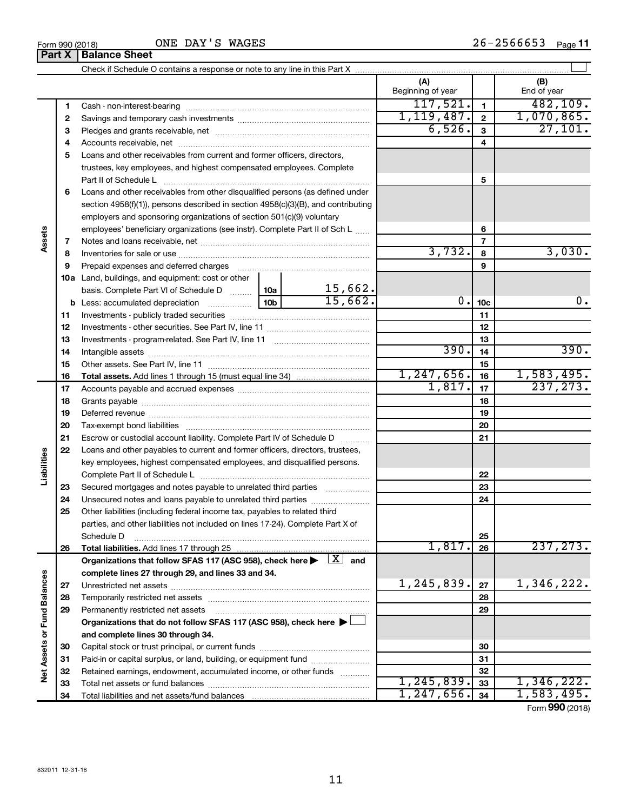**32 33 34**

#### **(A) (B) 1 2 3 4** Accounts receivable, net ~~~~~~~~~~~~~~~~~~~~~~~~~~ **5** Loans and other receivables from current and former officers, directors, **6** Loans and other receivables from other disqualified persons (as defined under **7 8 9 10 a** Land, buildings, and equipment: cost or other **11** Investments - publicly traded securities ~~~~~~~~~~~~~~~~~~~ **12** Investments - other securities. See Part IV, line 11 ~~~~~~~~~~~~~~ **13 14 15 16 17 18 19 20 21 22 23 24 25 26 27 28 29 30 31 1 2 3 4 5 6 7 8 9 10c 11 12 13 14 15 16 17 18 19 20 21 22 23 24 25 26 b** Less: accumulated depreciation  $\ldots$  [10b basis. Complete Part VI of Schedule D  $\frac{1}{10}$  10a **Total assets.**  Add lines 1 through 15 (must equal line 34) **Total liabilities.**  Add lines 17 through 25 Organizations that follow SFAS 117 (ASC 958), check here  $\blacktriangleright$   $\boxed{X}$  and **complete lines 27 through 29, and lines 33 and 34. 27 28 29 Organizations that do not follow SFAS 117 (ASC 958), check here** | † **and complete lines 30 through 34. 30 31 Net Assets or Fund Balances** Check if Schedule O contains a response or note to any line in this Part X Beginning of year | | End of year Cash - non-interest-bearing ~~~~~~~~~~~~~~~~~~~~~~~~~ Savings and temporary cash investments ~~~~~~~~~~~~~~~~~~ Pledges and grants receivable, net ~~~~~~~~~~~~~~~~~~~~~ trustees, key employees, and highest compensated employees. Complete Part II of Schedule L ~~~~~~~~~~~~~~~~~~~~~~~~~~~~ section 4958(f)(1)), persons described in section 4958(c)(3)(B), and contributing employers and sponsoring organizations of section 501(c)(9) voluntary employees' beneficiary organizations (see instr). Complete Part II of Sch L ...... Notes and loans receivable, net ~~~~~~~~~~~~~~~~~~~~~~~ Inventories for sale or use ~~~~~~~~~~~~~~~~~~~~~~~~~~ Prepaid expenses and deferred charges ~~~~~~~~~~~~~~~~~~ Investments - program-related. See Part IV, line 11 ~~~~~~~~~~~~~ Intangible assets ~~~~~~~~~~~~~~~~~~~~~~~~~~~~~~ Other assets. See Part IV, line 11 ~~~~~~~~~~~~~~~~~~~~~~ Accounts payable and accrued expenses ~~~~~~~~~~~~~~~~~~ Grants payable ~~~~~~~~~~~~~~~~~~~~~~~~~~~~~~~ Deferred revenue ~~~~~~~~~~~~~~~~~~~~~~~~~~~~~~ Tax-exempt bond liabilities ~~~~~~~~~~~~~~~~~~~~~~~~~ Escrow or custodial account liability. Complete Part IV of Schedule D ........... Loans and other payables to current and former officers, directors, trustees, key employees, highest compensated employees, and disqualified persons. Complete Part II of Schedule L ~~~~~~~~~~~~~~~~~~~~~~~ Secured mortgages and notes payable to unrelated third parties  $\ldots$  ................. Unsecured notes and loans payable to unrelated third parties ~~~~~~~~ Other liabilities (including federal income tax, payables to related third parties, and other liabilities not included on lines 17-24). Complete Part X of Schedule D ~~~~~~~~~~~~~~~~~~~~~~~~~~~~~~~~ Unrestricted net assets ~~~~~~~~~~~~~~~~~~~~~~~~~~~ Temporarily restricted net assets ~~~~~~~~~~~~~~~~~~~~~~ Permanently restricted net assets ~~~~~~~~~~~~~~~~~~~~~ Capital stock or trust principal, or current funds ~~~~~~~~~~~~~~~  $\perp$  $117,521.$  1 482,109.  $1,119,487.$  | 2 | 1,070,865.  $\overline{6,526.}$  3 27,101. 3,732. 3,030. 15,662.  $15,662.$  0.  $10c$  0. 0.  $390.$   $14$  390.  $1,247,656.$  16 1,583,495.  $1,817.$   $|17|$  237, 273. 1,817. 237,273.  $1,245,839$ .  $|z_7|$  1,346,222.

Form (2018) **990**

**32 33 34**

 $1,245,839.$  33 1, 346, 222.  $1,247,656$ .  $34$  | 1,583,495.

Paid-in or capital surplus, or land, building, or equipment fund ....................... Retained earnings, endowment, accumulated income, or other funds ............ Total net assets or fund balances ~~~~~~~~~~~~~~~~~~~~~~

ONE DAY'S WAGES

Total liabilities and net assets/fund balances

**Part X** | **Balance Sheet** 

**Assets**

**Liabilities**

**Vet Assets or Fund Balances**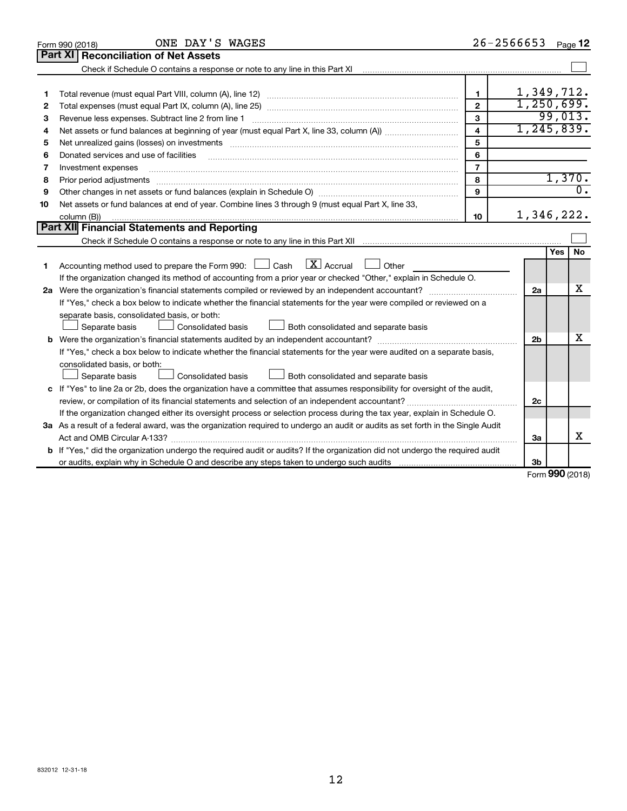| Part XI<br><b>Reconciliation of Net Assets</b><br>1,349,712.<br>1<br>1<br>1,250,699.<br>$\overline{2}$<br>2<br>99,013.<br>3<br>Revenue less expenses. Subtract line 2 from line 1<br>3<br>1, 245, 839.<br>$\overline{\mathbf{4}}$<br>4<br>5<br>Net unrealized gains (losses) on investments [11] matter than the control of the control of the control of the control of the control of the control of the control of the control of the control of the control of the contro<br>5<br>6<br>Donated services and use of facilities<br>6<br>$\overline{7}$<br>Investment expenses<br>7<br>1,370.<br>8<br>8<br>$\overline{0}$ .<br>9<br>9<br>Net assets or fund balances at end of year. Combine lines 3 through 9 (must equal Part X, line 33,<br>10<br>1,346,222.<br>10<br>column (B))<br>Part XII Financial Statements and Reporting<br>No<br>Yes<br>$\lfloor x \rfloor$ Accrual<br>Accounting method used to prepare the Form 990: $\Box$ Cash<br>$\Box$ Other<br>1<br>If the organization changed its method of accounting from a prior year or checked "Other," explain in Schedule O.<br>x<br>2a<br>If "Yes," check a box below to indicate whether the financial statements for the year were compiled or reviewed on a<br>separate basis, consolidated basis, or both:<br>Both consolidated and separate basis<br>Separate basis<br>Consolidated basis<br>x<br><b>b</b> Were the organization's financial statements audited by an independent accountant?<br>2 <sub>b</sub><br>If "Yes," check a box below to indicate whether the financial statements for the year were audited on a separate basis,<br>consolidated basis, or both:<br>Consolidated basis<br>Separate basis<br>Both consolidated and separate basis<br>c If "Yes" to line 2a or 2b, does the organization have a committee that assumes responsibility for oversight of the audit,<br>2c<br>If the organization changed either its oversight process or selection process during the tax year, explain in Schedule O.<br>3a As a result of a federal award, was the organization required to undergo an audit or audits as set forth in the Single Audit<br>x<br>Act and OMB Circular A-133?<br>3a<br>b If "Yes," did the organization undergo the required audit or audits? If the organization did not undergo the required audit<br>3b<br>$\sim$ | ONE DAY'S WAGES<br>Form 990 (2018) | 26-2566653 | Page 12 |
|-------------------------------------------------------------------------------------------------------------------------------------------------------------------------------------------------------------------------------------------------------------------------------------------------------------------------------------------------------------------------------------------------------------------------------------------------------------------------------------------------------------------------------------------------------------------------------------------------------------------------------------------------------------------------------------------------------------------------------------------------------------------------------------------------------------------------------------------------------------------------------------------------------------------------------------------------------------------------------------------------------------------------------------------------------------------------------------------------------------------------------------------------------------------------------------------------------------------------------------------------------------------------------------------------------------------------------------------------------------------------------------------------------------------------------------------------------------------------------------------------------------------------------------------------------------------------------------------------------------------------------------------------------------------------------------------------------------------------------------------------------------------------------------------------------------------------------------------------------------------------------------------------------------------------------------------------------------------------------------------------------------------------------------------------------------------------------------------------------------------------------------------------------------------------------------------------------------------------------------------------------------------------------------------------------------------------------|------------------------------------|------------|---------|
|                                                                                                                                                                                                                                                                                                                                                                                                                                                                                                                                                                                                                                                                                                                                                                                                                                                                                                                                                                                                                                                                                                                                                                                                                                                                                                                                                                                                                                                                                                                                                                                                                                                                                                                                                                                                                                                                                                                                                                                                                                                                                                                                                                                                                                                                                                                               |                                    |            |         |
|                                                                                                                                                                                                                                                                                                                                                                                                                                                                                                                                                                                                                                                                                                                                                                                                                                                                                                                                                                                                                                                                                                                                                                                                                                                                                                                                                                                                                                                                                                                                                                                                                                                                                                                                                                                                                                                                                                                                                                                                                                                                                                                                                                                                                                                                                                                               |                                    |            |         |
|                                                                                                                                                                                                                                                                                                                                                                                                                                                                                                                                                                                                                                                                                                                                                                                                                                                                                                                                                                                                                                                                                                                                                                                                                                                                                                                                                                                                                                                                                                                                                                                                                                                                                                                                                                                                                                                                                                                                                                                                                                                                                                                                                                                                                                                                                                                               |                                    |            |         |
|                                                                                                                                                                                                                                                                                                                                                                                                                                                                                                                                                                                                                                                                                                                                                                                                                                                                                                                                                                                                                                                                                                                                                                                                                                                                                                                                                                                                                                                                                                                                                                                                                                                                                                                                                                                                                                                                                                                                                                                                                                                                                                                                                                                                                                                                                                                               |                                    |            |         |
|                                                                                                                                                                                                                                                                                                                                                                                                                                                                                                                                                                                                                                                                                                                                                                                                                                                                                                                                                                                                                                                                                                                                                                                                                                                                                                                                                                                                                                                                                                                                                                                                                                                                                                                                                                                                                                                                                                                                                                                                                                                                                                                                                                                                                                                                                                                               |                                    |            |         |
|                                                                                                                                                                                                                                                                                                                                                                                                                                                                                                                                                                                                                                                                                                                                                                                                                                                                                                                                                                                                                                                                                                                                                                                                                                                                                                                                                                                                                                                                                                                                                                                                                                                                                                                                                                                                                                                                                                                                                                                                                                                                                                                                                                                                                                                                                                                               |                                    |            |         |
|                                                                                                                                                                                                                                                                                                                                                                                                                                                                                                                                                                                                                                                                                                                                                                                                                                                                                                                                                                                                                                                                                                                                                                                                                                                                                                                                                                                                                                                                                                                                                                                                                                                                                                                                                                                                                                                                                                                                                                                                                                                                                                                                                                                                                                                                                                                               |                                    |            |         |
|                                                                                                                                                                                                                                                                                                                                                                                                                                                                                                                                                                                                                                                                                                                                                                                                                                                                                                                                                                                                                                                                                                                                                                                                                                                                                                                                                                                                                                                                                                                                                                                                                                                                                                                                                                                                                                                                                                                                                                                                                                                                                                                                                                                                                                                                                                                               |                                    |            |         |
|                                                                                                                                                                                                                                                                                                                                                                                                                                                                                                                                                                                                                                                                                                                                                                                                                                                                                                                                                                                                                                                                                                                                                                                                                                                                                                                                                                                                                                                                                                                                                                                                                                                                                                                                                                                                                                                                                                                                                                                                                                                                                                                                                                                                                                                                                                                               |                                    |            |         |
|                                                                                                                                                                                                                                                                                                                                                                                                                                                                                                                                                                                                                                                                                                                                                                                                                                                                                                                                                                                                                                                                                                                                                                                                                                                                                                                                                                                                                                                                                                                                                                                                                                                                                                                                                                                                                                                                                                                                                                                                                                                                                                                                                                                                                                                                                                                               |                                    |            |         |
|                                                                                                                                                                                                                                                                                                                                                                                                                                                                                                                                                                                                                                                                                                                                                                                                                                                                                                                                                                                                                                                                                                                                                                                                                                                                                                                                                                                                                                                                                                                                                                                                                                                                                                                                                                                                                                                                                                                                                                                                                                                                                                                                                                                                                                                                                                                               |                                    |            |         |
|                                                                                                                                                                                                                                                                                                                                                                                                                                                                                                                                                                                                                                                                                                                                                                                                                                                                                                                                                                                                                                                                                                                                                                                                                                                                                                                                                                                                                                                                                                                                                                                                                                                                                                                                                                                                                                                                                                                                                                                                                                                                                                                                                                                                                                                                                                                               |                                    |            |         |
|                                                                                                                                                                                                                                                                                                                                                                                                                                                                                                                                                                                                                                                                                                                                                                                                                                                                                                                                                                                                                                                                                                                                                                                                                                                                                                                                                                                                                                                                                                                                                                                                                                                                                                                                                                                                                                                                                                                                                                                                                                                                                                                                                                                                                                                                                                                               |                                    |            |         |
|                                                                                                                                                                                                                                                                                                                                                                                                                                                                                                                                                                                                                                                                                                                                                                                                                                                                                                                                                                                                                                                                                                                                                                                                                                                                                                                                                                                                                                                                                                                                                                                                                                                                                                                                                                                                                                                                                                                                                                                                                                                                                                                                                                                                                                                                                                                               |                                    |            |         |
|                                                                                                                                                                                                                                                                                                                                                                                                                                                                                                                                                                                                                                                                                                                                                                                                                                                                                                                                                                                                                                                                                                                                                                                                                                                                                                                                                                                                                                                                                                                                                                                                                                                                                                                                                                                                                                                                                                                                                                                                                                                                                                                                                                                                                                                                                                                               |                                    |            |         |
|                                                                                                                                                                                                                                                                                                                                                                                                                                                                                                                                                                                                                                                                                                                                                                                                                                                                                                                                                                                                                                                                                                                                                                                                                                                                                                                                                                                                                                                                                                                                                                                                                                                                                                                                                                                                                                                                                                                                                                                                                                                                                                                                                                                                                                                                                                                               |                                    |            |         |
|                                                                                                                                                                                                                                                                                                                                                                                                                                                                                                                                                                                                                                                                                                                                                                                                                                                                                                                                                                                                                                                                                                                                                                                                                                                                                                                                                                                                                                                                                                                                                                                                                                                                                                                                                                                                                                                                                                                                                                                                                                                                                                                                                                                                                                                                                                                               |                                    |            |         |
|                                                                                                                                                                                                                                                                                                                                                                                                                                                                                                                                                                                                                                                                                                                                                                                                                                                                                                                                                                                                                                                                                                                                                                                                                                                                                                                                                                                                                                                                                                                                                                                                                                                                                                                                                                                                                                                                                                                                                                                                                                                                                                                                                                                                                                                                                                                               |                                    |            |         |
|                                                                                                                                                                                                                                                                                                                                                                                                                                                                                                                                                                                                                                                                                                                                                                                                                                                                                                                                                                                                                                                                                                                                                                                                                                                                                                                                                                                                                                                                                                                                                                                                                                                                                                                                                                                                                                                                                                                                                                                                                                                                                                                                                                                                                                                                                                                               |                                    |            |         |
|                                                                                                                                                                                                                                                                                                                                                                                                                                                                                                                                                                                                                                                                                                                                                                                                                                                                                                                                                                                                                                                                                                                                                                                                                                                                                                                                                                                                                                                                                                                                                                                                                                                                                                                                                                                                                                                                                                                                                                                                                                                                                                                                                                                                                                                                                                                               |                                    |            |         |
|                                                                                                                                                                                                                                                                                                                                                                                                                                                                                                                                                                                                                                                                                                                                                                                                                                                                                                                                                                                                                                                                                                                                                                                                                                                                                                                                                                                                                                                                                                                                                                                                                                                                                                                                                                                                                                                                                                                                                                                                                                                                                                                                                                                                                                                                                                                               |                                    |            |         |
|                                                                                                                                                                                                                                                                                                                                                                                                                                                                                                                                                                                                                                                                                                                                                                                                                                                                                                                                                                                                                                                                                                                                                                                                                                                                                                                                                                                                                                                                                                                                                                                                                                                                                                                                                                                                                                                                                                                                                                                                                                                                                                                                                                                                                                                                                                                               |                                    |            |         |
|                                                                                                                                                                                                                                                                                                                                                                                                                                                                                                                                                                                                                                                                                                                                                                                                                                                                                                                                                                                                                                                                                                                                                                                                                                                                                                                                                                                                                                                                                                                                                                                                                                                                                                                                                                                                                                                                                                                                                                                                                                                                                                                                                                                                                                                                                                                               |                                    |            |         |
|                                                                                                                                                                                                                                                                                                                                                                                                                                                                                                                                                                                                                                                                                                                                                                                                                                                                                                                                                                                                                                                                                                                                                                                                                                                                                                                                                                                                                                                                                                                                                                                                                                                                                                                                                                                                                                                                                                                                                                                                                                                                                                                                                                                                                                                                                                                               |                                    |            |         |
|                                                                                                                                                                                                                                                                                                                                                                                                                                                                                                                                                                                                                                                                                                                                                                                                                                                                                                                                                                                                                                                                                                                                                                                                                                                                                                                                                                                                                                                                                                                                                                                                                                                                                                                                                                                                                                                                                                                                                                                                                                                                                                                                                                                                                                                                                                                               |                                    |            |         |
|                                                                                                                                                                                                                                                                                                                                                                                                                                                                                                                                                                                                                                                                                                                                                                                                                                                                                                                                                                                                                                                                                                                                                                                                                                                                                                                                                                                                                                                                                                                                                                                                                                                                                                                                                                                                                                                                                                                                                                                                                                                                                                                                                                                                                                                                                                                               |                                    |            |         |
|                                                                                                                                                                                                                                                                                                                                                                                                                                                                                                                                                                                                                                                                                                                                                                                                                                                                                                                                                                                                                                                                                                                                                                                                                                                                                                                                                                                                                                                                                                                                                                                                                                                                                                                                                                                                                                                                                                                                                                                                                                                                                                                                                                                                                                                                                                                               |                                    |            |         |
|                                                                                                                                                                                                                                                                                                                                                                                                                                                                                                                                                                                                                                                                                                                                                                                                                                                                                                                                                                                                                                                                                                                                                                                                                                                                                                                                                                                                                                                                                                                                                                                                                                                                                                                                                                                                                                                                                                                                                                                                                                                                                                                                                                                                                                                                                                                               |                                    |            |         |
|                                                                                                                                                                                                                                                                                                                                                                                                                                                                                                                                                                                                                                                                                                                                                                                                                                                                                                                                                                                                                                                                                                                                                                                                                                                                                                                                                                                                                                                                                                                                                                                                                                                                                                                                                                                                                                                                                                                                                                                                                                                                                                                                                                                                                                                                                                                               |                                    |            |         |
|                                                                                                                                                                                                                                                                                                                                                                                                                                                                                                                                                                                                                                                                                                                                                                                                                                                                                                                                                                                                                                                                                                                                                                                                                                                                                                                                                                                                                                                                                                                                                                                                                                                                                                                                                                                                                                                                                                                                                                                                                                                                                                                                                                                                                                                                                                                               |                                    |            |         |
|                                                                                                                                                                                                                                                                                                                                                                                                                                                                                                                                                                                                                                                                                                                                                                                                                                                                                                                                                                                                                                                                                                                                                                                                                                                                                                                                                                                                                                                                                                                                                                                                                                                                                                                                                                                                                                                                                                                                                                                                                                                                                                                                                                                                                                                                                                                               |                                    |            |         |
|                                                                                                                                                                                                                                                                                                                                                                                                                                                                                                                                                                                                                                                                                                                                                                                                                                                                                                                                                                                                                                                                                                                                                                                                                                                                                                                                                                                                                                                                                                                                                                                                                                                                                                                                                                                                                                                                                                                                                                                                                                                                                                                                                                                                                                                                                                                               |                                    |            |         |
|                                                                                                                                                                                                                                                                                                                                                                                                                                                                                                                                                                                                                                                                                                                                                                                                                                                                                                                                                                                                                                                                                                                                                                                                                                                                                                                                                                                                                                                                                                                                                                                                                                                                                                                                                                                                                                                                                                                                                                                                                                                                                                                                                                                                                                                                                                                               |                                    |            |         |
|                                                                                                                                                                                                                                                                                                                                                                                                                                                                                                                                                                                                                                                                                                                                                                                                                                                                                                                                                                                                                                                                                                                                                                                                                                                                                                                                                                                                                                                                                                                                                                                                                                                                                                                                                                                                                                                                                                                                                                                                                                                                                                                                                                                                                                                                                                                               |                                    |            |         |

Form (2018) **990**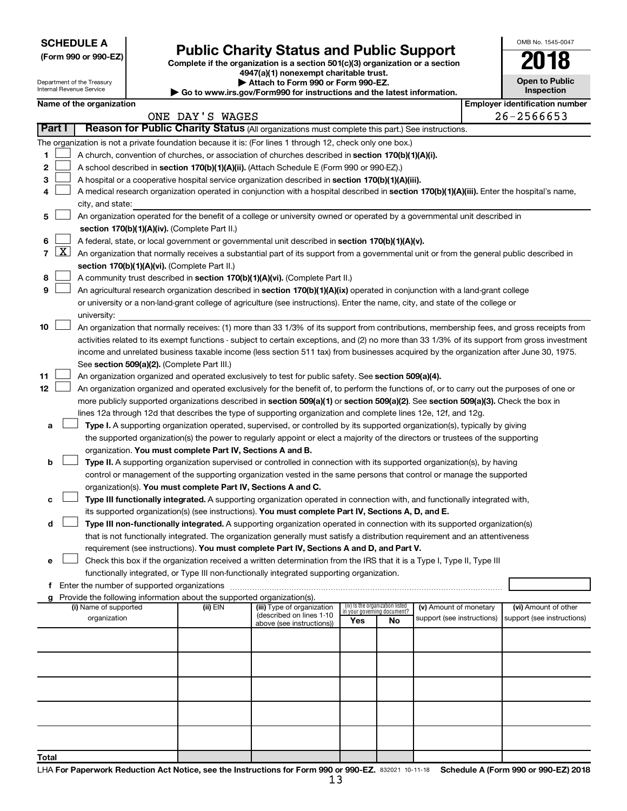| <b>SCHEDULE A</b> |  |
|-------------------|--|
|-------------------|--|

Department of the Treasury

|  |  | (Form 990 or 990-EZ) |  |
|--|--|----------------------|--|
|  |  |                      |  |

# Form 990 or 990-EZ)<br>
Complete if the organization is a section 501(c)(3) organization or a section<br> **Public Charity Status and Public Support**

**4947(a)(1) nonexempt charitable trust.**

**| Attach to Form 990 or Form 990-EZ. | Go to www.irs.gov/Form990 for instructions and the latest information.**

|  | <b>Open to Public</b><br>Inspection |  |  |  |  |  |  |
|--|-------------------------------------|--|--|--|--|--|--|
|  |                                     |  |  |  |  |  |  |

OMB No. 1545-0047

|                | ᇭ ៶៴ ៲ ៴៲ ៲៲៲ ៴៴៴ ៴៲ ៲ ៴៲ ៲៲៲ ៴៴៴<br>Internal Revenue Service<br>Inspection<br>Go to www.irs.gov/Form990 for instructions and the latest information. |                          |  |                                                                                                                                           |                                                                                                                                               |     |                                                                |                            |  |                                       |  |
|----------------|-------------------------------------------------------------------------------------------------------------------------------------------------------|--------------------------|--|-------------------------------------------------------------------------------------------------------------------------------------------|-----------------------------------------------------------------------------------------------------------------------------------------------|-----|----------------------------------------------------------------|----------------------------|--|---------------------------------------|--|
|                |                                                                                                                                                       | Name of the organization |  |                                                                                                                                           |                                                                                                                                               |     |                                                                |                            |  | <b>Employer identification number</b> |  |
|                |                                                                                                                                                       |                          |  | ONE DAY'S WAGES                                                                                                                           |                                                                                                                                               |     |                                                                |                            |  | 26-2566653                            |  |
|                | Part I                                                                                                                                                |                          |  |                                                                                                                                           | Reason for Public Charity Status (All organizations must complete this part.) See instructions.                                               |     |                                                                |                            |  |                                       |  |
|                |                                                                                                                                                       |                          |  |                                                                                                                                           | The organization is not a private foundation because it is: (For lines 1 through 12, check only one box.)                                     |     |                                                                |                            |  |                                       |  |
| 1.             |                                                                                                                                                       |                          |  |                                                                                                                                           | A church, convention of churches, or association of churches described in section 170(b)(1)(A)(i).                                            |     |                                                                |                            |  |                                       |  |
| 2              |                                                                                                                                                       |                          |  |                                                                                                                                           | A school described in section 170(b)(1)(A)(ii). (Attach Schedule E (Form 990 or 990-EZ).)                                                     |     |                                                                |                            |  |                                       |  |
| з              |                                                                                                                                                       |                          |  |                                                                                                                                           | A hospital or a cooperative hospital service organization described in section 170(b)(1)(A)(iii).                                             |     |                                                                |                            |  |                                       |  |
| 4              |                                                                                                                                                       | city, and state:         |  |                                                                                                                                           | A medical research organization operated in conjunction with a hospital described in section 170(b)(1)(A)(iii). Enter the hospital's name,    |     |                                                                |                            |  |                                       |  |
| 5              |                                                                                                                                                       |                          |  |                                                                                                                                           | An organization operated for the benefit of a college or university owned or operated by a governmental unit described in                     |     |                                                                |                            |  |                                       |  |
|                |                                                                                                                                                       |                          |  | section 170(b)(1)(A)(iv). (Complete Part II.)                                                                                             |                                                                                                                                               |     |                                                                |                            |  |                                       |  |
| 6              |                                                                                                                                                       |                          |  | A federal, state, or local government or governmental unit described in section 170(b)(1)(A)(v).                                          |                                                                                                                                               |     |                                                                |                            |  |                                       |  |
| $\overline{7}$ | $\lfloor x \rfloor$                                                                                                                                   |                          |  | An organization that normally receives a substantial part of its support from a governmental unit or from the general public described in |                                                                                                                                               |     |                                                                |                            |  |                                       |  |
|                |                                                                                                                                                       |                          |  | section 170(b)(1)(A)(vi). (Complete Part II.)                                                                                             |                                                                                                                                               |     |                                                                |                            |  |                                       |  |
| 8              |                                                                                                                                                       |                          |  |                                                                                                                                           | A community trust described in section 170(b)(1)(A)(vi). (Complete Part II.)                                                                  |     |                                                                |                            |  |                                       |  |
| 9              |                                                                                                                                                       |                          |  |                                                                                                                                           | An agricultural research organization described in section 170(b)(1)(A)(ix) operated in conjunction with a land-grant college                 |     |                                                                |                            |  |                                       |  |
|                |                                                                                                                                                       |                          |  |                                                                                                                                           | or university or a non-land-grant college of agriculture (see instructions). Enter the name, city, and state of the college or                |     |                                                                |                            |  |                                       |  |
|                |                                                                                                                                                       | university:              |  |                                                                                                                                           |                                                                                                                                               |     |                                                                |                            |  |                                       |  |
| 10             |                                                                                                                                                       |                          |  |                                                                                                                                           | An organization that normally receives: (1) more than 33 1/3% of its support from contributions, membership fees, and gross receipts from     |     |                                                                |                            |  |                                       |  |
|                |                                                                                                                                                       |                          |  |                                                                                                                                           | activities related to its exempt functions - subject to certain exceptions, and (2) no more than 33 1/3% of its support from gross investment |     |                                                                |                            |  |                                       |  |
|                |                                                                                                                                                       |                          |  |                                                                                                                                           | income and unrelated business taxable income (less section 511 tax) from businesses acquired by the organization after June 30, 1975.         |     |                                                                |                            |  |                                       |  |
|                |                                                                                                                                                       |                          |  | See section 509(a)(2). (Complete Part III.)                                                                                               |                                                                                                                                               |     |                                                                |                            |  |                                       |  |
| 11             |                                                                                                                                                       |                          |  |                                                                                                                                           | An organization organized and operated exclusively to test for public safety. See section 509(a)(4).                                          |     |                                                                |                            |  |                                       |  |
| 12             |                                                                                                                                                       |                          |  |                                                                                                                                           | An organization organized and operated exclusively for the benefit of, to perform the functions of, or to carry out the purposes of one or    |     |                                                                |                            |  |                                       |  |
|                |                                                                                                                                                       |                          |  |                                                                                                                                           | more publicly supported organizations described in section 509(a)(1) or section 509(a)(2). See section 509(a)(3). Check the box in            |     |                                                                |                            |  |                                       |  |
|                |                                                                                                                                                       |                          |  |                                                                                                                                           | lines 12a through 12d that describes the type of supporting organization and complete lines 12e, 12f, and 12g.                                |     |                                                                |                            |  |                                       |  |
| а              |                                                                                                                                                       |                          |  |                                                                                                                                           | Type I. A supporting organization operated, supervised, or controlled by its supported organization(s), typically by giving                   |     |                                                                |                            |  |                                       |  |
|                |                                                                                                                                                       |                          |  |                                                                                                                                           | the supported organization(s) the power to regularly appoint or elect a majority of the directors or trustees of the supporting               |     |                                                                |                            |  |                                       |  |
|                |                                                                                                                                                       |                          |  | organization. You must complete Part IV, Sections A and B.                                                                                |                                                                                                                                               |     |                                                                |                            |  |                                       |  |
| b              |                                                                                                                                                       |                          |  |                                                                                                                                           | Type II. A supporting organization supervised or controlled in connection with its supported organization(s), by having                       |     |                                                                |                            |  |                                       |  |
|                |                                                                                                                                                       |                          |  |                                                                                                                                           | control or management of the supporting organization vested in the same persons that control or manage the supported                          |     |                                                                |                            |  |                                       |  |
|                |                                                                                                                                                       |                          |  |                                                                                                                                           | organization(s). You must complete Part IV, Sections A and C.                                                                                 |     |                                                                |                            |  |                                       |  |
| с              |                                                                                                                                                       |                          |  |                                                                                                                                           | Type III functionally integrated. A supporting organization operated in connection with, and functionally integrated with,                    |     |                                                                |                            |  |                                       |  |
|                |                                                                                                                                                       |                          |  |                                                                                                                                           | its supported organization(s) (see instructions). You must complete Part IV, Sections A, D, and E.                                            |     |                                                                |                            |  |                                       |  |
| d              |                                                                                                                                                       |                          |  |                                                                                                                                           | Type III non-functionally integrated. A supporting organization operated in connection with its supported organization(s)                     |     |                                                                |                            |  |                                       |  |
|                |                                                                                                                                                       |                          |  |                                                                                                                                           | that is not functionally integrated. The organization generally must satisfy a distribution requirement and an attentiveness                  |     |                                                                |                            |  |                                       |  |
|                |                                                                                                                                                       |                          |  |                                                                                                                                           | requirement (see instructions). You must complete Part IV, Sections A and D, and Part V.                                                      |     |                                                                |                            |  |                                       |  |
| е              |                                                                                                                                                       |                          |  |                                                                                                                                           | Check this box if the organization received a written determination from the IRS that it is a Type I, Type II, Type III                       |     |                                                                |                            |  |                                       |  |
|                |                                                                                                                                                       |                          |  |                                                                                                                                           | functionally integrated, or Type III non-functionally integrated supporting organization.                                                     |     |                                                                |                            |  |                                       |  |
| f              |                                                                                                                                                       |                          |  |                                                                                                                                           |                                                                                                                                               |     |                                                                |                            |  |                                       |  |
| g              |                                                                                                                                                       | (i) Name of supported    |  | Provide the following information about the supported organization(s).<br>(ii) EIN                                                        | (iii) Type of organization                                                                                                                    |     | (iv) Is the organization listed<br>in your governing document? | (v) Amount of monetary     |  | (vi) Amount of other                  |  |
|                |                                                                                                                                                       | organization             |  |                                                                                                                                           | (described on lines 1-10                                                                                                                      | Yes | No                                                             | support (see instructions) |  | support (see instructions)            |  |
|                |                                                                                                                                                       |                          |  |                                                                                                                                           | above (see instructions))                                                                                                                     |     |                                                                |                            |  |                                       |  |
|                |                                                                                                                                                       |                          |  |                                                                                                                                           |                                                                                                                                               |     |                                                                |                            |  |                                       |  |
|                |                                                                                                                                                       |                          |  |                                                                                                                                           |                                                                                                                                               |     |                                                                |                            |  |                                       |  |
|                |                                                                                                                                                       |                          |  |                                                                                                                                           |                                                                                                                                               |     |                                                                |                            |  |                                       |  |
|                |                                                                                                                                                       |                          |  |                                                                                                                                           |                                                                                                                                               |     |                                                                |                            |  |                                       |  |
|                |                                                                                                                                                       |                          |  |                                                                                                                                           |                                                                                                                                               |     |                                                                |                            |  |                                       |  |
|                |                                                                                                                                                       |                          |  |                                                                                                                                           |                                                                                                                                               |     |                                                                |                            |  |                                       |  |
|                |                                                                                                                                                       |                          |  |                                                                                                                                           |                                                                                                                                               |     |                                                                |                            |  |                                       |  |
| Total          |                                                                                                                                                       |                          |  |                                                                                                                                           |                                                                                                                                               |     |                                                                |                            |  |                                       |  |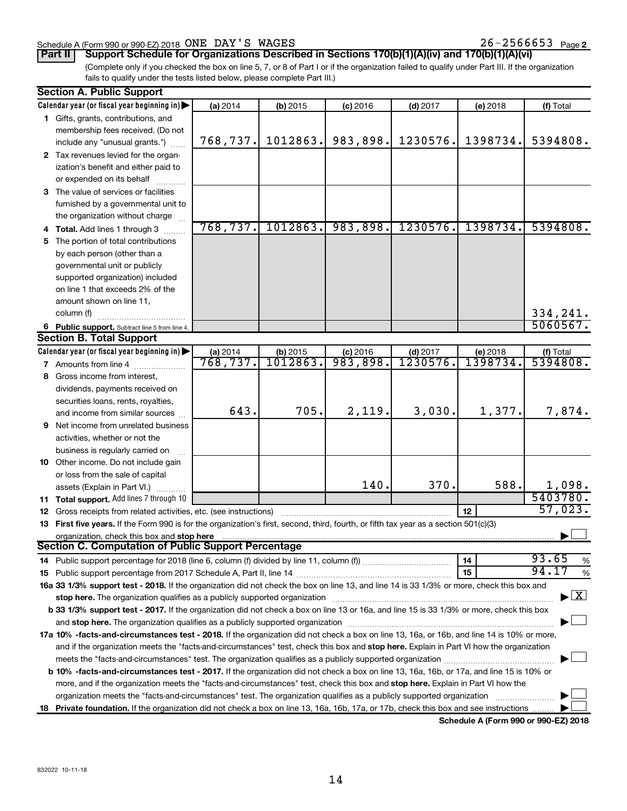#### Schedule A (Form 990 or 990-EZ) 2018 Page ONE DAY'S WAGES 26-2566653

26-2566653 Page 2

**Part II Support Schedule for Organizations Described in Sections 170(b)(1)(A)(iv) and 170(b)(1)(A)(vi)**

(Complete only if you checked the box on line 5, 7, or 8 of Part I or if the organization failed to qualify under Part III. If the organization fails to qualify under the tests listed below, please complete Part III.)

|    | <b>Section A. Public Support</b>                                                                                                                                                                                               |           |            |            |            |          |                                          |  |  |  |
|----|--------------------------------------------------------------------------------------------------------------------------------------------------------------------------------------------------------------------------------|-----------|------------|------------|------------|----------|------------------------------------------|--|--|--|
|    | Calendar year (or fiscal year beginning in)                                                                                                                                                                                    | (a) 2014  | (b) 2015   | $(c)$ 2016 | $(d)$ 2017 | (e) 2018 | (f) Total                                |  |  |  |
|    | 1 Gifts, grants, contributions, and                                                                                                                                                                                            |           |            |            |            |          |                                          |  |  |  |
|    | membership fees received. (Do not                                                                                                                                                                                              |           |            |            |            |          |                                          |  |  |  |
|    | include any "unusual grants.")                                                                                                                                                                                                 | 768, 737. | 1012863.   | 983,898.   | 1230576.   | 1398734. | 5394808.                                 |  |  |  |
|    | 2 Tax revenues levied for the organ-                                                                                                                                                                                           |           |            |            |            |          |                                          |  |  |  |
|    | ization's benefit and either paid to                                                                                                                                                                                           |           |            |            |            |          |                                          |  |  |  |
|    | or expended on its behalf                                                                                                                                                                                                      |           |            |            |            |          |                                          |  |  |  |
|    | 3 The value of services or facilities                                                                                                                                                                                          |           |            |            |            |          |                                          |  |  |  |
|    | furnished by a governmental unit to                                                                                                                                                                                            |           |            |            |            |          |                                          |  |  |  |
|    | the organization without charge                                                                                                                                                                                                |           |            |            |            |          |                                          |  |  |  |
|    | 4 Total. Add lines 1 through 3                                                                                                                                                                                                 | 768, 737. | 1012863.   | 983,898.   | 1230576.   | 1398734. | 5394808.                                 |  |  |  |
| 5. | The portion of total contributions                                                                                                                                                                                             |           |            |            |            |          |                                          |  |  |  |
|    | by each person (other than a                                                                                                                                                                                                   |           |            |            |            |          |                                          |  |  |  |
|    | governmental unit or publicly                                                                                                                                                                                                  |           |            |            |            |          |                                          |  |  |  |
|    | supported organization) included                                                                                                                                                                                               |           |            |            |            |          |                                          |  |  |  |
|    | on line 1 that exceeds 2% of the                                                                                                                                                                                               |           |            |            |            |          |                                          |  |  |  |
|    | amount shown on line 11,                                                                                                                                                                                                       |           |            |            |            |          |                                          |  |  |  |
|    | column (f)                                                                                                                                                                                                                     |           |            |            |            |          | 334,241.                                 |  |  |  |
|    | 6 Public support. Subtract line 5 from line 4.                                                                                                                                                                                 |           |            |            |            |          | 5060567.                                 |  |  |  |
|    | <b>Section B. Total Support</b>                                                                                                                                                                                                |           |            |            |            |          |                                          |  |  |  |
|    | Calendar year (or fiscal year beginning in)                                                                                                                                                                                    | (a) 2014  | $(b)$ 2015 | $(c)$ 2016 | $(d)$ 2017 | (e) 2018 | (f) Total                                |  |  |  |
|    | <b>7</b> Amounts from line 4                                                                                                                                                                                                   | 768,737.  | 1012863    | 983,898.   | 1230576    | 1398734. | 5394808.                                 |  |  |  |
|    | 8 Gross income from interest,                                                                                                                                                                                                  |           |            |            |            |          |                                          |  |  |  |
|    | dividends, payments received on                                                                                                                                                                                                |           |            |            |            |          |                                          |  |  |  |
|    | securities loans, rents, royalties,                                                                                                                                                                                            |           |            |            |            |          |                                          |  |  |  |
|    | and income from similar sources                                                                                                                                                                                                | 643.      | 705.       | 2,119.     | 3,030.     | 1,377.   | 7,874.                                   |  |  |  |
|    | <b>9</b> Net income from unrelated business                                                                                                                                                                                    |           |            |            |            |          |                                          |  |  |  |
|    | activities, whether or not the                                                                                                                                                                                                 |           |            |            |            |          |                                          |  |  |  |
|    | business is regularly carried on                                                                                                                                                                                               |           |            |            |            |          |                                          |  |  |  |
|    | 10 Other income. Do not include gain                                                                                                                                                                                           |           |            |            |            |          |                                          |  |  |  |
|    | or loss from the sale of capital                                                                                                                                                                                               |           |            |            |            |          |                                          |  |  |  |
|    | assets (Explain in Part VI.)                                                                                                                                                                                                   |           |            | 140.       | 370.       | 588.     | 1,098.                                   |  |  |  |
|    | 11 Total support. Add lines 7 through 10                                                                                                                                                                                       |           |            |            |            |          | 5403780.                                 |  |  |  |
|    | <b>12</b> Gross receipts from related activities, etc. (see instructions)                                                                                                                                                      |           |            |            |            | 12       | 57,023.                                  |  |  |  |
|    | 13 First five years. If the Form 990 is for the organization's first, second, third, fourth, or fifth tax year as a section 501(c)(3)                                                                                          |           |            |            |            |          |                                          |  |  |  |
|    | organization, check this box and stop here                                                                                                                                                                                     |           |            |            |            |          |                                          |  |  |  |
|    | Section C. Computation of Public Support Percentage                                                                                                                                                                            |           |            |            |            |          |                                          |  |  |  |
|    |                                                                                                                                                                                                                                |           |            |            |            | 14       | 93.65<br>$\%$                            |  |  |  |
|    |                                                                                                                                                                                                                                |           |            |            |            | 15       | 94.17<br>%                               |  |  |  |
|    | 16a 33 1/3% support test - 2018. If the organization did not check the box on line 13, and line 14 is 33 1/3% or more, check this box and                                                                                      |           |            |            |            |          |                                          |  |  |  |
|    | stop here. The organization qualifies as a publicly supported organization manufactured content and the organization of the state of the state of the state of the state of the state of the state of the state of the state o |           |            |            |            |          | $\blacktriangleright$ $\boxed{\text{X}}$ |  |  |  |
|    | b 33 1/3% support test - 2017. If the organization did not check a box on line 13 or 16a, and line 15 is 33 1/3% or more, check this box                                                                                       |           |            |            |            |          |                                          |  |  |  |
|    | and stop here. The organization qualifies as a publicly supported organization [11,111] and stop here. The organization [11] and stop here. The organization [11] and stop here. The organization [11] and stop here is a publ |           |            |            |            |          |                                          |  |  |  |
|    | 17a 10% -facts-and-circumstances test - 2018. If the organization did not check a box on line 13, 16a, or 16b, and line 14 is 10% or more,                                                                                     |           |            |            |            |          |                                          |  |  |  |
|    |                                                                                                                                                                                                                                |           |            |            |            |          |                                          |  |  |  |
|    | and if the organization meets the "facts-and-circumstances" test, check this box and stop here. Explain in Part VI how the organization                                                                                        |           |            |            |            |          |                                          |  |  |  |
|    | <b>b 10%</b> -facts-and-circumstances test - 2017. If the organization did not check a box on line 13, 16a, 16b, or 17a, and line 15 is 10% or                                                                                 |           |            |            |            |          |                                          |  |  |  |
|    | more, and if the organization meets the "facts-and-circumstances" test, check this box and stop here. Explain in Part VI how the                                                                                               |           |            |            |            |          |                                          |  |  |  |
|    | organization meets the "facts-and-circumstances" test. The organization qualifies as a publicly supported organization                                                                                                         |           |            |            |            |          |                                          |  |  |  |
|    |                                                                                                                                                                                                                                |           |            |            |            |          |                                          |  |  |  |
|    | 18 Private foundation. If the organization did not check a box on line 13, 16a, 16b, 17a, or 17b, check this box and see instructions                                                                                          |           |            |            |            |          |                                          |  |  |  |

**Schedule A (Form 990 or 990-EZ) 2018**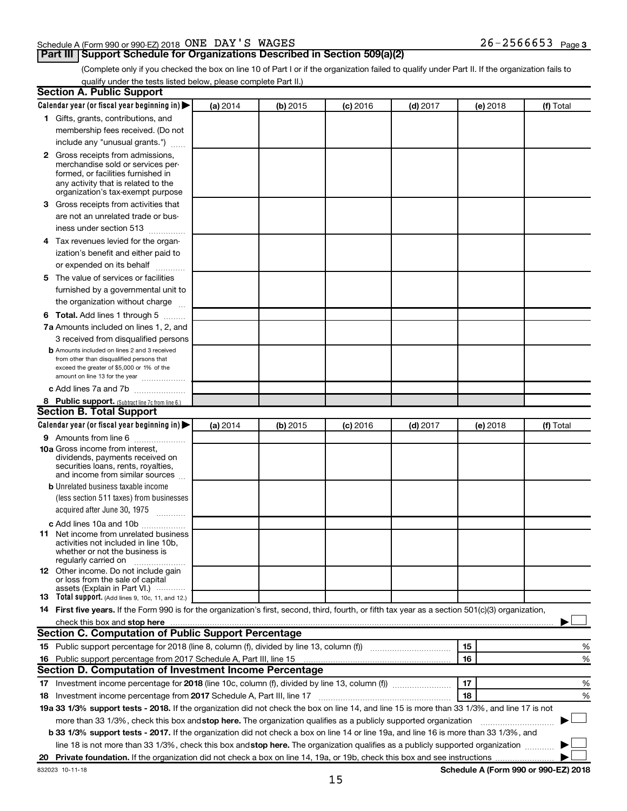#### Schedule A (Form 990 or 990-EZ) 2018 Page ONE DAY'S WAGES 26-2566653

### **Part III Support Schedule for Organizations Described in Section 509(a)(2)**

26-2566653 Page 3

(Complete only if you checked the box on line 10 of Part I or if the organization failed to qualify under Part II. If the organization fails to qualify under the tests listed below, please complete Part II.)

| <b>Section A. Public Support</b>                                                                                                                                                         |          |          |            |            |          |                                      |
|------------------------------------------------------------------------------------------------------------------------------------------------------------------------------------------|----------|----------|------------|------------|----------|--------------------------------------|
| Calendar year (or fiscal year beginning in)                                                                                                                                              | (a) 2014 | (b) 2015 | $(c)$ 2016 | $(d)$ 2017 | (e) 2018 | (f) Total                            |
| 1 Gifts, grants, contributions, and                                                                                                                                                      |          |          |            |            |          |                                      |
| membership fees received. (Do not                                                                                                                                                        |          |          |            |            |          |                                      |
| include any "unusual grants.")                                                                                                                                                           |          |          |            |            |          |                                      |
| 2 Gross receipts from admissions,<br>merchandise sold or services per-<br>formed, or facilities furnished in<br>any activity that is related to the<br>organization's tax-exempt purpose |          |          |            |            |          |                                      |
| 3 Gross receipts from activities that                                                                                                                                                    |          |          |            |            |          |                                      |
| are not an unrelated trade or bus-<br>iness under section 513                                                                                                                            |          |          |            |            |          |                                      |
| 4 Tax revenues levied for the organ-                                                                                                                                                     |          |          |            |            |          |                                      |
| ization's benefit and either paid to<br>or expended on its behalf                                                                                                                        |          |          |            |            |          |                                      |
| 5 The value of services or facilities                                                                                                                                                    |          |          |            |            |          |                                      |
| furnished by a governmental unit to<br>the organization without charge                                                                                                                   |          |          |            |            |          |                                      |
| <b>6 Total.</b> Add lines 1 through 5                                                                                                                                                    |          |          |            |            |          |                                      |
| 7a Amounts included on lines 1, 2, and                                                                                                                                                   |          |          |            |            |          |                                      |
| 3 received from disqualified persons                                                                                                                                                     |          |          |            |            |          |                                      |
| <b>b</b> Amounts included on lines 2 and 3 received<br>from other than disqualified persons that<br>exceed the greater of \$5,000 or 1% of the<br>amount on line 13 for the year         |          |          |            |            |          |                                      |
| c Add lines 7a and 7b                                                                                                                                                                    |          |          |            |            |          |                                      |
| 8 Public support. (Subtract line 7c from line 6.)                                                                                                                                        |          |          |            |            |          |                                      |
| <b>Section B. Total Support</b>                                                                                                                                                          |          |          |            |            |          |                                      |
| Calendar year (or fiscal year beginning in)                                                                                                                                              | (a) 2014 | (b) 2015 | $(c)$ 2016 | $(d)$ 2017 | (e) 2018 | (f) Total                            |
| 9 Amounts from line 6                                                                                                                                                                    |          |          |            |            |          |                                      |
| <b>10a</b> Gross income from interest,<br>dividends, payments received on<br>securities loans, rents, royalties,<br>and income from similar sources                                      |          |          |            |            |          |                                      |
| <b>b</b> Unrelated business taxable income                                                                                                                                               |          |          |            |            |          |                                      |
| (less section 511 taxes) from businesses<br>acquired after June 30, 1975                                                                                                                 |          |          |            |            |          |                                      |
| c Add lines 10a and 10b                                                                                                                                                                  |          |          |            |            |          |                                      |
| <b>11</b> Net income from unrelated business<br>activities not included in line 10b,<br>whether or not the business is<br>regularly carried on                                           |          |          |            |            |          |                                      |
| <b>12</b> Other income. Do not include gain<br>or loss from the sale of capital<br>assets (Explain in Part VI.)                                                                          |          |          |            |            |          |                                      |
| <b>13</b> Total support. (Add lines 9, 10c, 11, and 12.)                                                                                                                                 |          |          |            |            |          |                                      |
| 14 First five years. If the Form 990 is for the organization's first, second, third, fourth, or fifth tax year as a section 501(c)(3) organization,                                      |          |          |            |            |          |                                      |
| check this box and stop here <i>macuum macuum macuum macuum macuum macuum macuum macuum macuum</i>                                                                                       |          |          |            |            |          |                                      |
| Section C. Computation of Public Support Percentage                                                                                                                                      |          |          |            |            |          |                                      |
|                                                                                                                                                                                          |          |          |            |            | 15       | %                                    |
|                                                                                                                                                                                          |          |          |            |            | 16       | %                                    |
| Section D. Computation of Investment Income Percentage                                                                                                                                   |          |          |            |            |          |                                      |
| 17 Investment income percentage for 2018 (line 10c, column (f), divided by line 13, column (f))                                                                                          |          |          |            |            | 17       | %                                    |
| 18 Investment income percentage from 2017 Schedule A, Part III, line 17                                                                                                                  |          |          |            |            | 18       | %                                    |
| 19a 33 1/3% support tests - 2018. If the organization did not check the box on line 14, and line 15 is more than 33 1/3%, and line 17 is not                                             |          |          |            |            |          |                                      |
| more than 33 1/3%, check this box and stop here. The organization qualifies as a publicly supported organization                                                                         |          |          |            |            |          |                                      |
| b 33 1/3% support tests - 2017. If the organization did not check a box on line 14 or line 19a, and line 16 is more than 33 1/3%, and                                                    |          |          |            |            |          |                                      |
| line 18 is not more than 33 1/3%, check this box and stop here. The organization qualifies as a publicly supported organization                                                          |          |          |            |            |          |                                      |
|                                                                                                                                                                                          |          |          |            |            |          |                                      |
| 832023 10-11-18                                                                                                                                                                          |          |          |            |            |          | Schedule A (Form 990 or 990-EZ) 2018 |

**Schedule A (Form 990 or 990-EZ) 2018**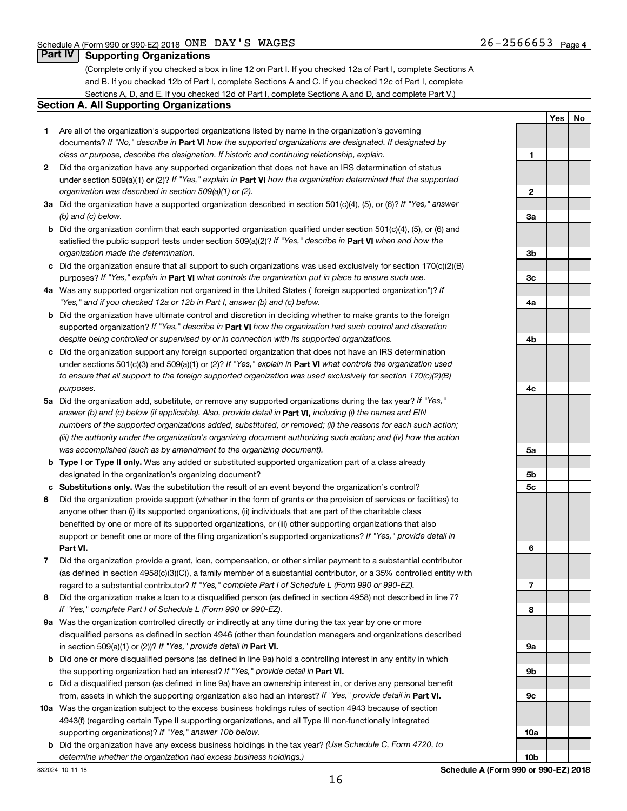**Yes No**

### **Part IV Supporting Organizations**

(Complete only if you checked a box in line 12 on Part I. If you checked 12a of Part I, complete Sections A and B. If you checked 12b of Part I, complete Sections A and C. If you checked 12c of Part I, complete Sections A, D, and E. If you checked 12d of Part I, complete Sections A and D, and complete Part V.)

#### **Section A. All Supporting Organizations**

- **1** Are all of the organization's supported organizations listed by name in the organization's governing documents? If "No," describe in Part VI how the supported organizations are designated. If designated by *class or purpose, describe the designation. If historic and continuing relationship, explain.*
- **2** Did the organization have any supported organization that does not have an IRS determination of status under section 509(a)(1) or (2)? If "Yes," explain in Part **VI** how the organization determined that the supported *organization was described in section 509(a)(1) or (2).*
- **3a** Did the organization have a supported organization described in section 501(c)(4), (5), or (6)? If "Yes," answer *(b) and (c) below.*
- **b** Did the organization confirm that each supported organization qualified under section 501(c)(4), (5), or (6) and satisfied the public support tests under section 509(a)(2)? If "Yes," describe in Part VI when and how the *organization made the determination.*
- **c** Did the organization ensure that all support to such organizations was used exclusively for section 170(c)(2)(B) purposes? If "Yes," explain in Part VI what controls the organization put in place to ensure such use.
- **4 a** *If* Was any supported organization not organized in the United States ("foreign supported organization")? *"Yes," and if you checked 12a or 12b in Part I, answer (b) and (c) below.*
- **b** Did the organization have ultimate control and discretion in deciding whether to make grants to the foreign supported organization? If "Yes," describe in Part VI how the organization had such control and discretion *despite being controlled or supervised by or in connection with its supported organizations.*
- **c** Did the organization support any foreign supported organization that does not have an IRS determination under sections 501(c)(3) and 509(a)(1) or (2)? If "Yes," explain in Part VI what controls the organization used *to ensure that all support to the foreign supported organization was used exclusively for section 170(c)(2)(B) purposes.*
- **5a** Did the organization add, substitute, or remove any supported organizations during the tax year? If "Yes," answer (b) and (c) below (if applicable). Also, provide detail in **Part VI,** including (i) the names and EIN *numbers of the supported organizations added, substituted, or removed; (ii) the reasons for each such action; (iii) the authority under the organization's organizing document authorizing such action; and (iv) how the action was accomplished (such as by amendment to the organizing document).*
- **b Type I or Type II only.** Was any added or substituted supported organization part of a class already designated in the organization's organizing document?
- **c Substitutions only.**  Was the substitution the result of an event beyond the organization's control?
- **6** Did the organization provide support (whether in the form of grants or the provision of services or facilities) to **Part VI.** support or benefit one or more of the filing organization's supported organizations? If "Yes," provide detail in anyone other than (i) its supported organizations, (ii) individuals that are part of the charitable class benefited by one or more of its supported organizations, or (iii) other supporting organizations that also
- **7** Did the organization provide a grant, loan, compensation, or other similar payment to a substantial contributor regard to a substantial contributor? If "Yes," complete Part I of Schedule L (Form 990 or 990-EZ). (as defined in section 4958(c)(3)(C)), a family member of a substantial contributor, or a 35% controlled entity with
- **8** Did the organization make a loan to a disqualified person (as defined in section 4958) not described in line 7? *If "Yes," complete Part I of Schedule L (Form 990 or 990-EZ).*
- **9 a** Was the organization controlled directly or indirectly at any time during the tax year by one or more in section 509(a)(1) or (2))? If "Yes," provide detail in **Part VI.** disqualified persons as defined in section 4946 (other than foundation managers and organizations described
- **b** Did one or more disqualified persons (as defined in line 9a) hold a controlling interest in any entity in which the supporting organization had an interest? If "Yes," provide detail in Part VI.
- **c** Did a disqualified person (as defined in line 9a) have an ownership interest in, or derive any personal benefit from, assets in which the supporting organization also had an interest? If "Yes," provide detail in Part VI.
- **10 a** Was the organization subject to the excess business holdings rules of section 4943 because of section supporting organizations)? If "Yes," answer 10b below. 4943(f) (regarding certain Type II supporting organizations, and all Type III non-functionally integrated
- **b** Did the organization have any excess business holdings in the tax year? (Use Schedule C, Form 4720, to *determine whether the organization had excess business holdings.)*

**1 2 3a 3b 3c 4a 4b 4c 5a 5b 5c 6 7 8 9a 9b 9c 10a**

**10b**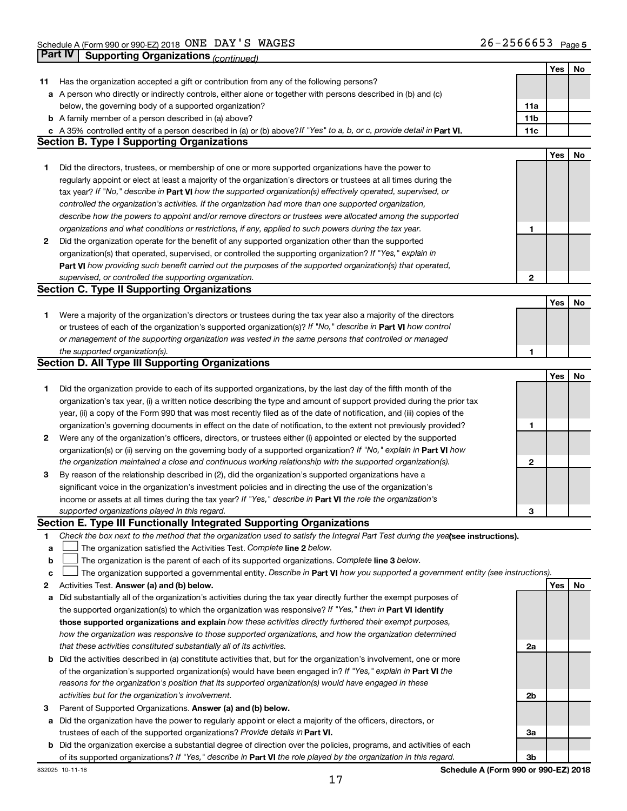|        |                                                                                                                                 |              | Yes | No |
|--------|---------------------------------------------------------------------------------------------------------------------------------|--------------|-----|----|
| 11     | Has the organization accepted a gift or contribution from any of the following persons?                                         |              |     |    |
|        | a A person who directly or indirectly controls, either alone or together with persons described in (b) and (c)                  |              |     |    |
|        | below, the governing body of a supported organization?                                                                          | 11a          |     |    |
|        | <b>b</b> A family member of a person described in (a) above?                                                                    | 11b          |     |    |
|        | A 35% controlled entity of a person described in (a) or (b) above? If "Yes" to a, b, or c, provide detail in Part VI.           | 11c          |     |    |
|        | <b>Section B. Type I Supporting Organizations</b>                                                                               |              |     |    |
|        |                                                                                                                                 |              | Yes | No |
| 1      | Did the directors, trustees, or membership of one or more supported organizations have the power to                             |              |     |    |
|        | regularly appoint or elect at least a majority of the organization's directors or trustees at all times during the              |              |     |    |
|        | tax year? If "No," describe in Part VI how the supported organization(s) effectively operated, supervised, or                   |              |     |    |
|        | controlled the organization's activities. If the organization had more than one supported organization,                         |              |     |    |
|        | describe how the powers to appoint and/or remove directors or trustees were allocated among the supported                       |              |     |    |
|        |                                                                                                                                 |              |     |    |
|        | organizations and what conditions or restrictions, if any, applied to such powers during the tax year.                          | 1            |     |    |
| 2      | Did the organization operate for the benefit of any supported organization other than the supported                             |              |     |    |
|        | organization(s) that operated, supervised, or controlled the supporting organization? If "Yes," explain in                      |              |     |    |
|        | Part VI how providing such benefit carried out the purposes of the supported organization(s) that operated,                     |              |     |    |
|        | supervised, or controlled the supporting organization.                                                                          | $\mathbf{2}$ |     |    |
|        | <b>Section C. Type II Supporting Organizations</b>                                                                              |              |     |    |
|        |                                                                                                                                 |              | Yes | No |
| 1      | Were a majority of the organization's directors or trustees during the tax year also a majority of the directors                |              |     |    |
|        | or trustees of each of the organization's supported organization(s)? If "No," describe in Part VI how control                   |              |     |    |
|        | or management of the supporting organization was vested in the same persons that controlled or managed                          |              |     |    |
|        | the supported organization(s).                                                                                                  | 1            |     |    |
|        | <b>Section D. All Type III Supporting Organizations</b>                                                                         |              |     |    |
|        |                                                                                                                                 |              | Yes | No |
| 1      | Did the organization provide to each of its supported organizations, by the last day of the fifth month of the                  |              |     |    |
|        | organization's tax year, (i) a written notice describing the type and amount of support provided during the prior tax           |              |     |    |
|        | year, (ii) a copy of the Form 990 that was most recently filed as of the date of notification, and (iii) copies of the          |              |     |    |
|        | organization's governing documents in effect on the date of notification, to the extent not previously provided?                | 1            |     |    |
| 2      | Were any of the organization's officers, directors, or trustees either (i) appointed or elected by the supported                |              |     |    |
|        | organization(s) or (ii) serving on the governing body of a supported organization? If "No," explain in Part VI how              |              |     |    |
|        | the organization maintained a close and continuous working relationship with the supported organization(s).                     | 2            |     |    |
| 3      | By reason of the relationship described in (2), did the organization's supported organizations have a                           |              |     |    |
|        | significant voice in the organization's investment policies and in directing the use of the organization's                      |              |     |    |
|        | income or assets at all times during the tax year? If "Yes," describe in Part VI the role the organization's                    |              |     |    |
|        | supported organizations played in this regard.                                                                                  | З            |     |    |
|        | Section E. Type III Functionally Integrated Supporting Organizations                                                            |              |     |    |
| 1      | Check the box next to the method that the organization used to satisfy the Integral Part Test during the yealsee instructions). |              |     |    |
|        | The organization satisfied the Activities Test. Complete line 2 below.                                                          |              |     |    |
| а<br>b | The organization is the parent of each of its supported organizations. Complete line 3 below.                                   |              |     |    |
|        |                                                                                                                                 |              |     |    |
| с      | The organization supported a governmental entity. Describe in Part VI how you supported a government entity (see instructions). |              |     |    |
| 2      | Activities Test. Answer (a) and (b) below.                                                                                      |              | Yes | No |
| а      | Did substantially all of the organization's activities during the tax year directly further the exempt purposes of              |              |     |    |
|        | the supported organization(s) to which the organization was responsive? If "Yes," then in Part VI identify                      |              |     |    |
|        | those supported organizations and explain how these activities directly furthered their exempt purposes,                        |              |     |    |
|        | how the organization was responsive to those supported organizations, and how the organization determined                       |              |     |    |
|        | that these activities constituted substantially all of its activities.                                                          | 2a           |     |    |
| b      | Did the activities described in (a) constitute activities that, but for the organization's involvement, one or more             |              |     |    |
|        | of the organization's supported organization(s) would have been engaged in? If "Yes," explain in Part VI the                    |              |     |    |
|        | reasons for the organization's position that its supported organization(s) would have engaged in these                          |              |     |    |
|        | activities but for the organization's involvement.                                                                              | 2b           |     |    |
| 3      | Parent of Supported Organizations. Answer (a) and (b) below.                                                                    |              |     |    |
| а      | Did the organization have the power to regularly appoint or elect a majority of the officers, directors, or                     |              |     |    |
|        | trustees of each of the supported organizations? Provide details in Part VI.                                                    | За           |     |    |
| b      | Did the organization exercise a substantial degree of direction over the policies, programs, and activities of each             |              |     |    |
|        | of its supported organizations? If "Yes," describe in Part VI the role played by the organization in this regard.               | 3b           |     |    |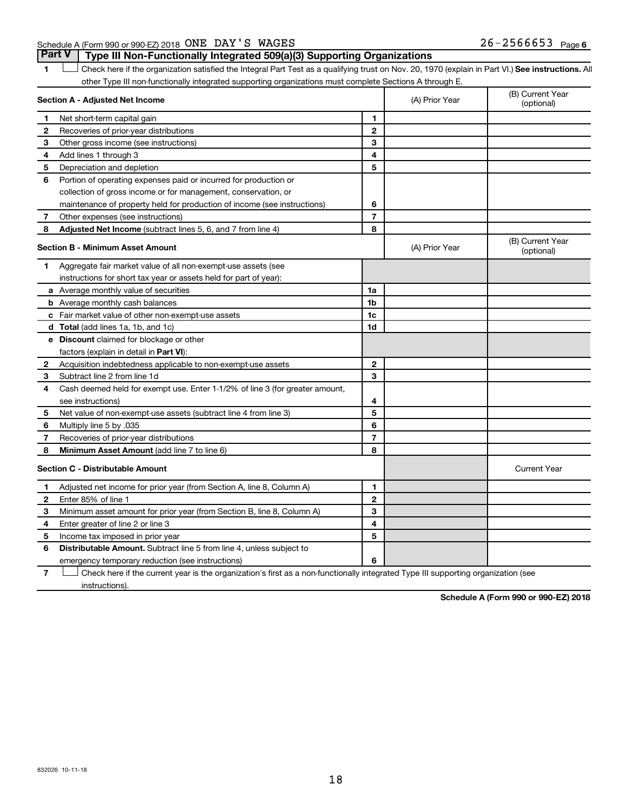1 **Letter See instructions.** All Check here if the organization satisfied the Integral Part Test as a qualifying trust on Nov. 20, 1970 (explain in Part VI.) See instructions. All other Type III non-functionally integrated supporting organizations must complete Sections A through E.

|              | Section A - Adjusted Net Income                                              |                | (A) Prior Year | (B) Current Year<br>(optional) |
|--------------|------------------------------------------------------------------------------|----------------|----------------|--------------------------------|
| 1            | Net short-term capital gain                                                  | 1              |                |                                |
| 2            | Recoveries of prior-year distributions                                       | $\mathbf{2}$   |                |                                |
| 3            | Other gross income (see instructions)                                        | 3              |                |                                |
| 4            | Add lines 1 through 3                                                        | 4              |                |                                |
| 5            | Depreciation and depletion                                                   | 5              |                |                                |
| 6            | Portion of operating expenses paid or incurred for production or             |                |                |                                |
|              | collection of gross income or for management, conservation, or               |                |                |                                |
|              | maintenance of property held for production of income (see instructions)     | 6              |                |                                |
| 7            | Other expenses (see instructions)                                            | $\overline{7}$ |                |                                |
| 8            | Adjusted Net Income (subtract lines 5, 6, and 7 from line 4)                 | 8              |                |                                |
|              | <b>Section B - Minimum Asset Amount</b>                                      |                | (A) Prior Year | (B) Current Year<br>(optional) |
| 1.           | Aggregate fair market value of all non-exempt-use assets (see                |                |                |                                |
|              | instructions for short tax year or assets held for part of year):            |                |                |                                |
|              | a Average monthly value of securities                                        | 1a             |                |                                |
|              | <b>b</b> Average monthly cash balances                                       | 1 <sub>b</sub> |                |                                |
|              | c Fair market value of other non-exempt-use assets                           | 1c             |                |                                |
|              | <b>d</b> Total (add lines 1a, 1b, and 1c)                                    | 1 <sub>d</sub> |                |                                |
|              | e Discount claimed for blockage or other                                     |                |                |                                |
|              | factors (explain in detail in <b>Part VI</b> ):                              |                |                |                                |
| $\mathbf{2}$ | Acquisition indebtedness applicable to non-exempt-use assets                 | $\mathbf{2}$   |                |                                |
| 3            | Subtract line 2 from line 1d                                                 | 3              |                |                                |
| 4            | Cash deemed held for exempt use. Enter 1-1/2% of line 3 (for greater amount, |                |                |                                |
|              | see instructions)                                                            | 4              |                |                                |
| 5            | Net value of non-exempt-use assets (subtract line 4 from line 3)             | 5              |                |                                |
| 6            | Multiply line 5 by .035                                                      | 6              |                |                                |
| 7            | Recoveries of prior-year distributions                                       | $\overline{7}$ |                |                                |
| 8            | <b>Minimum Asset Amount (add line 7 to line 6)</b>                           | 8              |                |                                |
|              | <b>Section C - Distributable Amount</b>                                      |                |                | <b>Current Year</b>            |
| 1            | Adjusted net income for prior year (from Section A, line 8, Column A)        | 1              |                |                                |
| $\mathbf{2}$ | Enter 85% of line 1                                                          | $\mathbf{2}$   |                |                                |
| 3            | Minimum asset amount for prior year (from Section B, line 8, Column A)       | 3              |                |                                |
| 4            | Enter greater of line 2 or line 3                                            | 4              |                |                                |
| 5            | Income tax imposed in prior year                                             | 5              |                |                                |
| 6            | Distributable Amount. Subtract line 5 from line 4, unless subject to         |                |                |                                |
|              | emergency temporary reduction (see instructions)                             | 6              |                |                                |
|              |                                                                              |                |                |                                |

**7** Let Check here if the current year is the organization's first as a non-functionally integrated Type III supporting organization (see instructions).

**Schedule A (Form 990 or 990-EZ) 2018**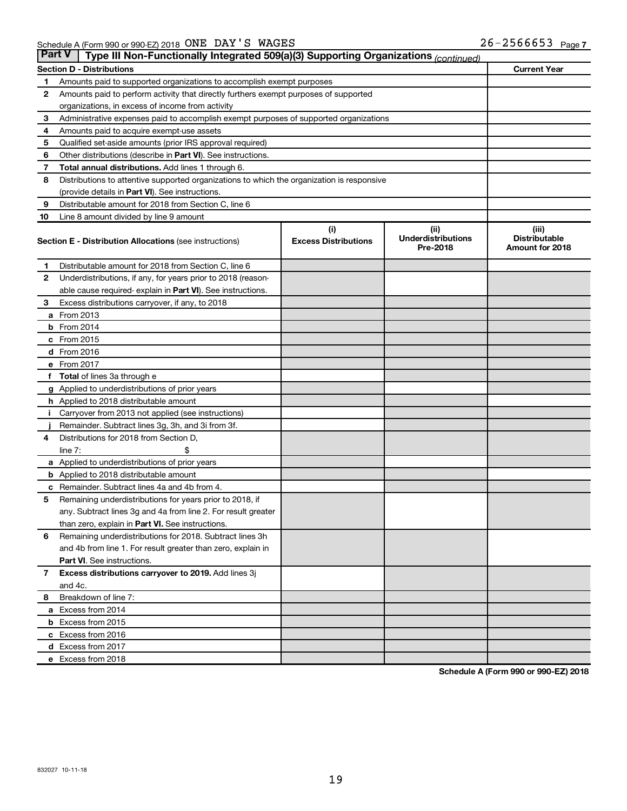|              | <b>Part V</b><br>Type III Non-Functionally Integrated 509(a)(3) Supporting Organizations (continued) |                             |                                       |                                         |  |
|--------------|------------------------------------------------------------------------------------------------------|-----------------------------|---------------------------------------|-----------------------------------------|--|
|              | <b>Section D - Distributions</b>                                                                     |                             |                                       | <b>Current Year</b>                     |  |
| 1            | Amounts paid to supported organizations to accomplish exempt purposes                                |                             |                                       |                                         |  |
| 2            | Amounts paid to perform activity that directly furthers exempt purposes of supported                 |                             |                                       |                                         |  |
|              | organizations, in excess of income from activity                                                     |                             |                                       |                                         |  |
| 3            | Administrative expenses paid to accomplish exempt purposes of supported organizations                |                             |                                       |                                         |  |
| 4            | Amounts paid to acquire exempt-use assets                                                            |                             |                                       |                                         |  |
| 5            | Qualified set-aside amounts (prior IRS approval required)                                            |                             |                                       |                                         |  |
| 6            | Other distributions (describe in Part VI). See instructions.                                         |                             |                                       |                                         |  |
| 7            | Total annual distributions. Add lines 1 through 6.                                                   |                             |                                       |                                         |  |
| 8            | Distributions to attentive supported organizations to which the organization is responsive           |                             |                                       |                                         |  |
|              | (provide details in Part VI). See instructions.                                                      |                             |                                       |                                         |  |
| 9            | Distributable amount for 2018 from Section C, line 6                                                 |                             |                                       |                                         |  |
| 10           | Line 8 amount divided by line 9 amount                                                               |                             |                                       |                                         |  |
|              |                                                                                                      | (i)                         | (ii)                                  | (iii)                                   |  |
|              | Section E - Distribution Allocations (see instructions)                                              | <b>Excess Distributions</b> | <b>Underdistributions</b><br>Pre-2018 | <b>Distributable</b><br>Amount for 2018 |  |
| 1            | Distributable amount for 2018 from Section C, line 6                                                 |                             |                                       |                                         |  |
| 2            | Underdistributions, if any, for years prior to 2018 (reason-                                         |                             |                                       |                                         |  |
|              | able cause required- explain in Part VI). See instructions.                                          |                             |                                       |                                         |  |
| 3            | Excess distributions carryover, if any, to 2018                                                      |                             |                                       |                                         |  |
|              | a From 2013                                                                                          |                             |                                       |                                         |  |
|              | $b$ From 2014                                                                                        |                             |                                       |                                         |  |
|              | c From 2015                                                                                          |                             |                                       |                                         |  |
|              | d From 2016                                                                                          |                             |                                       |                                         |  |
|              | e From 2017                                                                                          |                             |                                       |                                         |  |
| f            | <b>Total</b> of lines 3a through e                                                                   |                             |                                       |                                         |  |
|              | <b>g</b> Applied to underdistributions of prior years                                                |                             |                                       |                                         |  |
|              | <b>h</b> Applied to 2018 distributable amount                                                        |                             |                                       |                                         |  |
|              | Carryover from 2013 not applied (see instructions)                                                   |                             |                                       |                                         |  |
|              | Remainder. Subtract lines 3g, 3h, and 3i from 3f.                                                    |                             |                                       |                                         |  |
| 4            | Distributions for 2018 from Section D,                                                               |                             |                                       |                                         |  |
|              | line $7:$                                                                                            |                             |                                       |                                         |  |
|              | a Applied to underdistributions of prior years                                                       |                             |                                       |                                         |  |
|              | <b>b</b> Applied to 2018 distributable amount                                                        |                             |                                       |                                         |  |
| с            | Remainder. Subtract lines 4a and 4b from 4.                                                          |                             |                                       |                                         |  |
| 5            | Remaining underdistributions for years prior to 2018, if                                             |                             |                                       |                                         |  |
|              | any. Subtract lines 3g and 4a from line 2. For result greater                                        |                             |                                       |                                         |  |
|              | than zero, explain in Part VI. See instructions.                                                     |                             |                                       |                                         |  |
| 6            | Remaining underdistributions for 2018. Subtract lines 3h                                             |                             |                                       |                                         |  |
|              | and 4b from line 1. For result greater than zero, explain in                                         |                             |                                       |                                         |  |
|              | <b>Part VI.</b> See instructions.                                                                    |                             |                                       |                                         |  |
| $\mathbf{7}$ | Excess distributions carryover to 2019. Add lines 3j                                                 |                             |                                       |                                         |  |
|              | and 4c.                                                                                              |                             |                                       |                                         |  |
| 8            | Breakdown of line 7:                                                                                 |                             |                                       |                                         |  |
|              | a Excess from 2014                                                                                   |                             |                                       |                                         |  |
|              | <b>b</b> Excess from 2015                                                                            |                             |                                       |                                         |  |
|              | c Excess from 2016                                                                                   |                             |                                       |                                         |  |
|              | d Excess from 2017                                                                                   |                             |                                       |                                         |  |
|              | e Excess from 2018                                                                                   |                             |                                       |                                         |  |

**Schedule A (Form 990 or 990-EZ) 2018**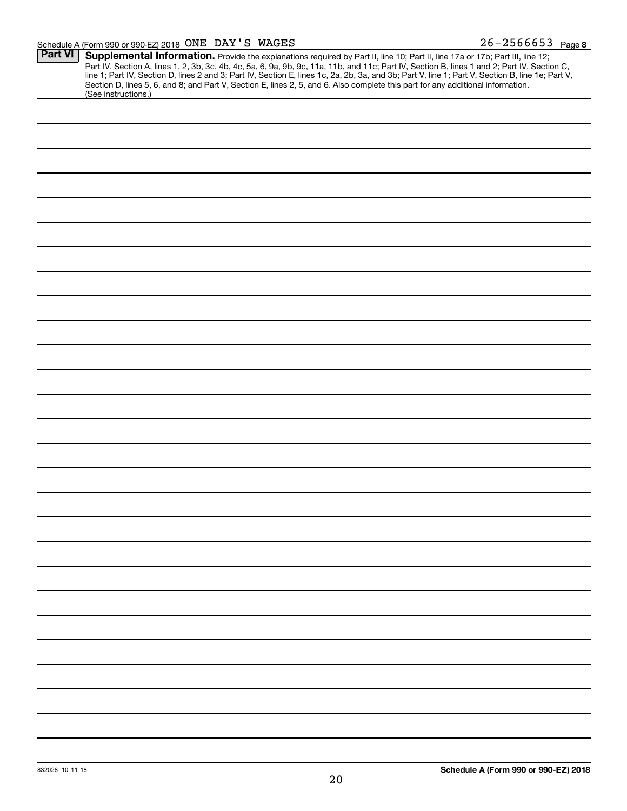#### Schedule A (Form 990 or 990-EZ) 2018 Page ONE DAY'S WAGES 26-2566653

| <b>Part VI</b> | Supplemental Information. Provide the explanations required by Part II, line 10; Part II, line 17a or 17b; Part III, line 12;                    |
|----------------|--------------------------------------------------------------------------------------------------------------------------------------------------|
|                | Part IV, Section A, lines 1, 2, 3b, 3c, 4b, 4c, 5a, 6, 9a, 9b, 9c, 11a, 11b, and 11c; Part IV, Section B, lines 1 and 2; Part IV, Section C,     |
|                | line 1; Part IV, Section D, lines 2 and 3; Part IV, Section E, lines 1c, 2a, 2b, 3a, and 3b; Part V, line 1; Part V, Section B, line 1e; Part V, |
|                | Section D, lines 5, 6, and 8; and Part V, Section E, lines 2, 5, and 6. Also complete this part for any additional information.                  |
|                | (See instructions.)                                                                                                                              |
|                |                                                                                                                                                  |
|                |                                                                                                                                                  |
|                |                                                                                                                                                  |
|                |                                                                                                                                                  |
|                |                                                                                                                                                  |
|                |                                                                                                                                                  |
|                |                                                                                                                                                  |
|                |                                                                                                                                                  |
|                |                                                                                                                                                  |
|                |                                                                                                                                                  |
|                |                                                                                                                                                  |
|                |                                                                                                                                                  |
|                |                                                                                                                                                  |
|                |                                                                                                                                                  |
|                |                                                                                                                                                  |
|                |                                                                                                                                                  |
|                |                                                                                                                                                  |
|                |                                                                                                                                                  |
|                |                                                                                                                                                  |
|                |                                                                                                                                                  |
|                |                                                                                                                                                  |
|                |                                                                                                                                                  |
|                |                                                                                                                                                  |
|                |                                                                                                                                                  |
|                |                                                                                                                                                  |
|                |                                                                                                                                                  |
|                |                                                                                                                                                  |
|                |                                                                                                                                                  |
|                |                                                                                                                                                  |
|                |                                                                                                                                                  |
|                |                                                                                                                                                  |
|                |                                                                                                                                                  |
|                |                                                                                                                                                  |
|                |                                                                                                                                                  |
|                |                                                                                                                                                  |
|                |                                                                                                                                                  |
|                |                                                                                                                                                  |
|                |                                                                                                                                                  |
|                |                                                                                                                                                  |
|                |                                                                                                                                                  |
|                |                                                                                                                                                  |
|                |                                                                                                                                                  |
|                |                                                                                                                                                  |
|                |                                                                                                                                                  |
|                |                                                                                                                                                  |
|                |                                                                                                                                                  |
|                |                                                                                                                                                  |
|                |                                                                                                                                                  |
|                |                                                                                                                                                  |
|                |                                                                                                                                                  |
|                |                                                                                                                                                  |
|                |                                                                                                                                                  |
|                |                                                                                                                                                  |
|                |                                                                                                                                                  |
|                |                                                                                                                                                  |
|                |                                                                                                                                                  |
|                |                                                                                                                                                  |
|                |                                                                                                                                                  |
|                |                                                                                                                                                  |
|                |                                                                                                                                                  |
|                |                                                                                                                                                  |
|                |                                                                                                                                                  |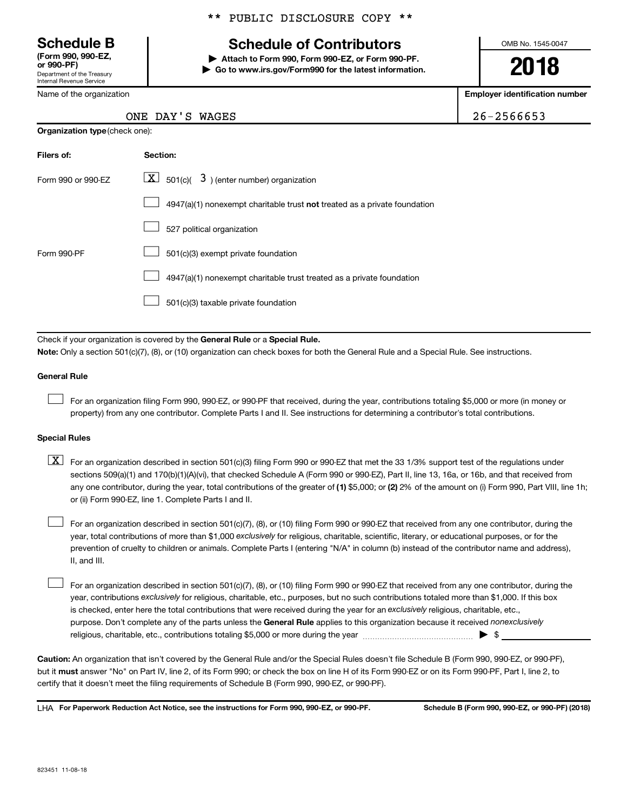Department of the Treasury Internal Revenue Service **(Form 990, 990-EZ,**

Name of the organization

#### \*\* PUBLIC DISCLOSURE COPY \*\*

## **Schedule B Schedule of Contributors**

**or 990-PF) | Attach to Form 990, Form 990-EZ, or Form 990-PF. | Go to www.irs.gov/Form990 for the latest information.** OMB No. 1545-0047

**2018**

**Employer identification number**

| ONE DAY'S WAGES | 26-2566653 |
|-----------------|------------|
|                 |            |

| <b>Organization type (check one):</b> |                                                                           |  |  |
|---------------------------------------|---------------------------------------------------------------------------|--|--|
| Filers of:                            | Section:                                                                  |  |  |
| Form 990 or 990-EZ                    | $\underline{\mathbf{X}}$ 501(c)( 3) (enter number) organization           |  |  |
|                                       | 4947(a)(1) nonexempt charitable trust not treated as a private foundation |  |  |
|                                       | 527 political organization                                                |  |  |
| Form 990-PF                           | 501(c)(3) exempt private foundation                                       |  |  |
|                                       | 4947(a)(1) nonexempt charitable trust treated as a private foundation     |  |  |
|                                       | 501(c)(3) taxable private foundation                                      |  |  |

Check if your organization is covered by the General Rule or a Special Rule.

**Note:**  Only a section 501(c)(7), (8), or (10) organization can check boxes for both the General Rule and a Special Rule. See instructions.

#### **General Rule**

 $\Box$ 

For an organization filing Form 990, 990-EZ, or 990-PF that received, during the year, contributions totaling \$5,000 or more (in money or property) from any one contributor. Complete Parts I and II. See instructions for determining a contributor's total contributions.

#### **Special Rules**

any one contributor, during the year, total contributions of the greater of (1) \$5,000; or (2) 2% of the amount on (i) Form 990, Part VIII, line 1h;  $\boxed{\text{X}}$  For an organization described in section 501(c)(3) filing Form 990 or 990-EZ that met the 33 1/3% support test of the regulations under sections 509(a)(1) and 170(b)(1)(A)(vi), that checked Schedule A (Form 990 or 990-EZ), Part II, line 13, 16a, or 16b, and that received from or (ii) Form 990-EZ, line 1. Complete Parts I and II.

year, total contributions of more than \$1,000 *exclusively* for religious, charitable, scientific, literary, or educational purposes, or for the For an organization described in section 501(c)(7), (8), or (10) filing Form 990 or 990-EZ that received from any one contributor, during the prevention of cruelty to children or animals. Complete Parts I (entering "N/A" in column (b) instead of the contributor name and address), II, and III.  $\Box$ 

purpose. Don't complete any of the parts unless the General Rule applies to this organization because it received nonexclusively year, contributions exclusively for religious, charitable, etc., purposes, but no such contributions totaled more than \$1,000. If this box is checked, enter here the total contributions that were received during the year for an exclusively religious, charitable, etc., For an organization described in section 501(c)(7), (8), or (10) filing Form 990 or 990-EZ that received from any one contributor, during the religious, charitable, etc., contributions totaling \$5,000 or more during the year  $\ldots$  $\ldots$  $\ldots$  $\ldots$  $\ldots$  $\ldots$  $\Box$ 

**Caution:**  An organization that isn't covered by the General Rule and/or the Special Rules doesn't file Schedule B (Form 990, 990-EZ, or 990-PF),  **must** but it answer "No" on Part IV, line 2, of its Form 990; or check the box on line H of its Form 990-EZ or on its Form 990-PF, Part I, line 2, to certify that it doesn't meet the filing requirements of Schedule B (Form 990, 990-EZ, or 990-PF).

**For Paperwork Reduction Act Notice, see the instructions for Form 990, 990-EZ, or 990-PF. Schedule B (Form 990, 990-EZ, or 990-PF) (2018)** LHA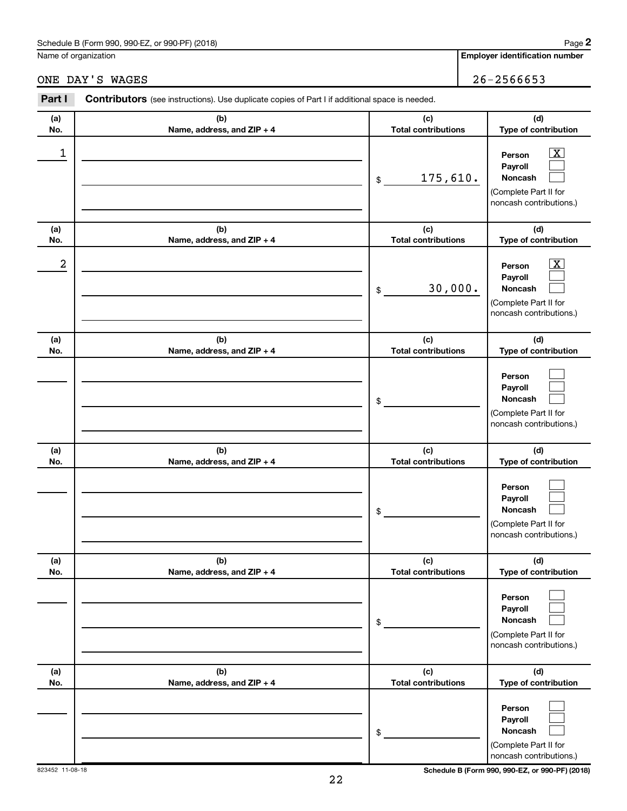### Schedule B (Form 990, 990-EZ, or 990-PF) (2018)

Name of organization

## ONE DAY'S WAGES 26-2566653

| Part I     | <b>Contributors</b> (see instructions). Use duplicate copies of Part I if additional space is needed. |                                   |                                                                                                             |
|------------|-------------------------------------------------------------------------------------------------------|-----------------------------------|-------------------------------------------------------------------------------------------------------------|
| (a)<br>No. | (b)<br>Name, address, and ZIP + 4                                                                     | (c)<br><b>Total contributions</b> | (d)<br>Type of contribution                                                                                 |
| 1          |                                                                                                       | 175,610.<br>\$                    | $\overline{\mathbf{X}}$<br>Person<br>Payroll<br>Noncash<br>(Complete Part II for<br>noncash contributions.) |
| (a)<br>No. | (b)<br>Name, address, and ZIP + 4                                                                     | (c)<br><b>Total contributions</b> | (d)<br>Type of contribution                                                                                 |
| 2          |                                                                                                       | 30,000.<br>\$                     | $\overline{\mathbf{X}}$<br>Person<br>Payroll<br>Noncash<br>(Complete Part II for<br>noncash contributions.) |
| (a)<br>No. | (b)<br>Name, address, and ZIP + 4                                                                     | (c)<br><b>Total contributions</b> | (d)<br>Type of contribution                                                                                 |
|            |                                                                                                       | \$                                | Person<br>Payroll<br>Noncash<br>(Complete Part II for<br>noncash contributions.)                            |
| (a)<br>No. | (b)<br>Name, address, and ZIP + 4                                                                     | (c)<br><b>Total contributions</b> | (d)<br>Type of contribution                                                                                 |
|            |                                                                                                       | \$                                | Person<br>Payroll<br>Noncash<br>(Complete Part II for<br>noncash contributions.)                            |
| (a)<br>No. | (b)<br>Name, address, and ZIP + 4                                                                     | (c)<br><b>Total contributions</b> | (d)<br>Type of contribution                                                                                 |
|            |                                                                                                       | \$                                | Person<br>Payroll<br>Noncash<br>(Complete Part II for<br>noncash contributions.)                            |
| (a)<br>No. | (b)<br>Name, address, and ZIP + 4                                                                     | (c)<br><b>Total contributions</b> | (d)<br>Type of contribution                                                                                 |
|            |                                                                                                       | \$                                | Person<br>Payroll<br>Noncash<br>(Complete Part II for<br>noncash contributions.)                            |

823452 11-08-18 **Schedule B (Form 990, 990-EZ, or 990-PF) (2018)**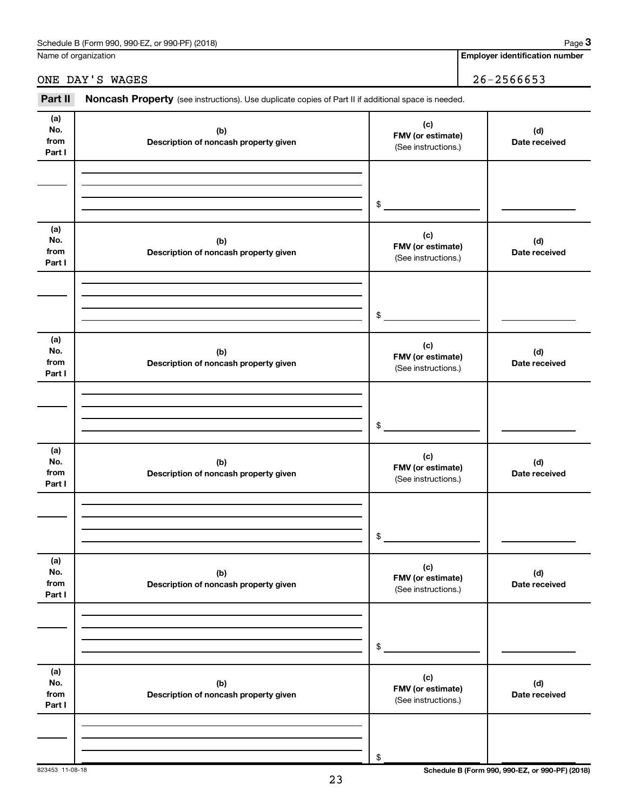| (2018)<br>990-EZ.<br>Schedule<br>. or 990-PF)<br>: B (Form 990. | Paɑe |
|-----------------------------------------------------------------|------|
|                                                                 |      |

Name of organization

**Employer identification number**

ONE DAY'S WAGES 26-2566653

| Part II                      | Noncash Property (see instructions). Use duplicate copies of Part II if additional space is needed. |                                                 |                      |  |
|------------------------------|-----------------------------------------------------------------------------------------------------|-------------------------------------------------|----------------------|--|
| (a)<br>No.<br>from<br>Part I | (b)<br>Description of noncash property given                                                        | (c)<br>FMV (or estimate)<br>(See instructions.) | (d)<br>Date received |  |
|                              |                                                                                                     | \$                                              |                      |  |
| (a)<br>No.<br>from<br>Part I | (b)<br>Description of noncash property given                                                        | (c)<br>FMV (or estimate)<br>(See instructions.) | (d)<br>Date received |  |
|                              |                                                                                                     | \$                                              |                      |  |
| (a)<br>No.<br>from<br>Part I | (b)<br>Description of noncash property given                                                        | (c)<br>FMV (or estimate)<br>(See instructions.) | (d)<br>Date received |  |
|                              |                                                                                                     | \$                                              |                      |  |
| (a)<br>No.<br>from<br>Part I | (b)<br>Description of noncash property given                                                        | (c)<br>FMV (or estimate)<br>(See instructions.) | (d)<br>Date received |  |
|                              |                                                                                                     | \$                                              |                      |  |
| (a)<br>No.<br>from<br>Part I | (b)<br>Description of noncash property given                                                        | (c)<br>FMV (or estimate)<br>(See instructions.) | (d)<br>Date received |  |
|                              |                                                                                                     | \$                                              |                      |  |
| (a)<br>No.<br>from<br>Part I | (b)<br>Description of noncash property given                                                        | (c)<br>FMV (or estimate)<br>(See instructions.) | (d)<br>Date received |  |
|                              |                                                                                                     | \$                                              |                      |  |

823453 11-08-18 **Schedule B (Form 990, 990-EZ, or 990-PF) (2018)**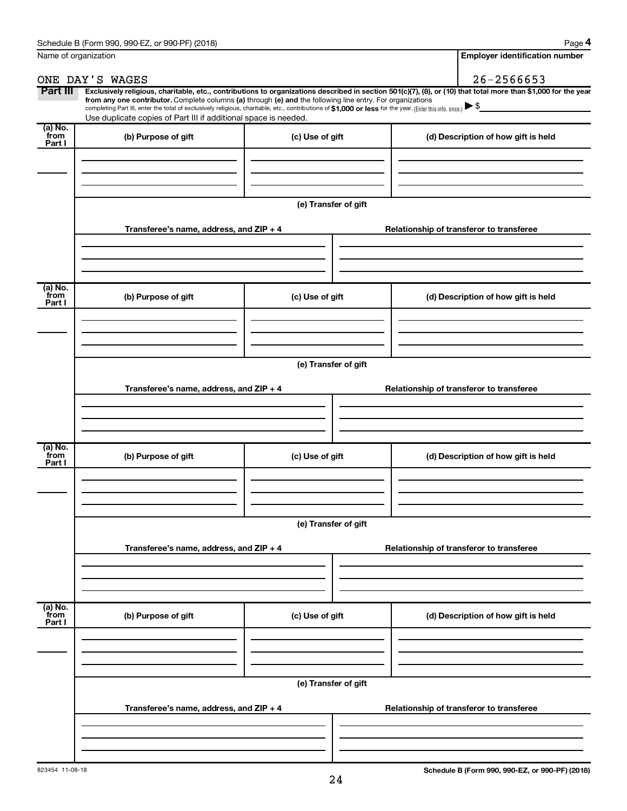| Name of organization      |                                                                                                                                                                                                                                                                                                                                                                                                                                                                                                             |                      | <b>Employer identification number</b>    |
|---------------------------|-------------------------------------------------------------------------------------------------------------------------------------------------------------------------------------------------------------------------------------------------------------------------------------------------------------------------------------------------------------------------------------------------------------------------------------------------------------------------------------------------------------|----------------------|------------------------------------------|
|                           | ONE DAY'S WAGES                                                                                                                                                                                                                                                                                                                                                                                                                                                                                             |                      | $26 - 2566653$                           |
| Part III                  | Exclusively religious, charitable, etc., contributions to organizations described in section 501(c)(7), (8), or (10) that total more than \$1,000 for the year<br>from any one contributor. Complete columns (a) through (e) and the following line entry. For organizations<br>completing Part III, enter the total of exclusively religious, charitable, etc., contributions of \$1,000 or less for the year. (Enter this info. once.)<br>Use duplicate copies of Part III if additional space is needed. |                      |                                          |
| (a) No.<br>from<br>Part I | (b) Purpose of gift                                                                                                                                                                                                                                                                                                                                                                                                                                                                                         | (c) Use of gift      | (d) Description of how gift is held      |
|                           |                                                                                                                                                                                                                                                                                                                                                                                                                                                                                                             |                      |                                          |
|                           |                                                                                                                                                                                                                                                                                                                                                                                                                                                                                                             | (e) Transfer of gift |                                          |
|                           | Transferee's name, address, and ZIP + 4                                                                                                                                                                                                                                                                                                                                                                                                                                                                     |                      | Relationship of transferor to transferee |
| (a) No.                   |                                                                                                                                                                                                                                                                                                                                                                                                                                                                                                             |                      |                                          |
| from<br>Part I            | (b) Purpose of gift                                                                                                                                                                                                                                                                                                                                                                                                                                                                                         | (c) Use of gift      | (d) Description of how gift is held      |
|                           |                                                                                                                                                                                                                                                                                                                                                                                                                                                                                                             | (e) Transfer of gift |                                          |
|                           | Transferee's name, address, and ZIP + 4                                                                                                                                                                                                                                                                                                                                                                                                                                                                     |                      | Relationship of transferor to transferee |
|                           |                                                                                                                                                                                                                                                                                                                                                                                                                                                                                                             |                      |                                          |
| (a) No.<br>from<br>Part I | (b) Purpose of gift                                                                                                                                                                                                                                                                                                                                                                                                                                                                                         | (c) Use of gift      | (d) Description of how gift is held      |
|                           |                                                                                                                                                                                                                                                                                                                                                                                                                                                                                                             |                      |                                          |
|                           |                                                                                                                                                                                                                                                                                                                                                                                                                                                                                                             | (e) Transfer of gift |                                          |
|                           | Transferee's name, address, and ZIP + 4                                                                                                                                                                                                                                                                                                                                                                                                                                                                     |                      | Relationship of transferor to transferee |
|                           |                                                                                                                                                                                                                                                                                                                                                                                                                                                                                                             |                      |                                          |
| (a) No.<br>from<br>Part I | (b) Purpose of gift                                                                                                                                                                                                                                                                                                                                                                                                                                                                                         | (c) Use of gift      | (d) Description of how gift is held      |
|                           |                                                                                                                                                                                                                                                                                                                                                                                                                                                                                                             |                      |                                          |
|                           |                                                                                                                                                                                                                                                                                                                                                                                                                                                                                                             | (e) Transfer of gift |                                          |
|                           | Transferee's name, address, and ZIP + 4                                                                                                                                                                                                                                                                                                                                                                                                                                                                     |                      | Relationship of transferor to transferee |
|                           |                                                                                                                                                                                                                                                                                                                                                                                                                                                                                                             |                      |                                          |
|                           |                                                                                                                                                                                                                                                                                                                                                                                                                                                                                                             |                      |                                          |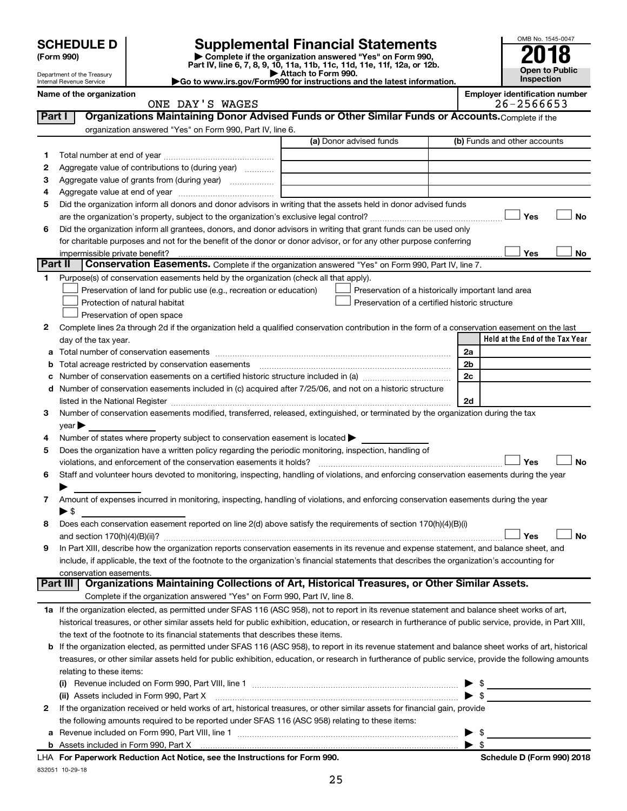| <b>SCHEDULE D</b> |  |
|-------------------|--|
|-------------------|--|

# **SCHEDULE D Supplemental Financial Statements**<br> **Form 990 2018**<br> **Part IV** line 6.7.8.9.10, 11a, 11b, 11d, 11d, 11d, 11d, 11d, 12a, 0r, 12b

**(Form 990) | Complete if the organization answered "Yes" on Form 990, Part IV, line 6, 7, 8, 9, 10, 11a, 11b, 11c, 11d, 11e, 11f, 12a, or 12b.**



Department of the Treasury Internal Revenue Service

| Attach to Form 990.                                                                          |  |
|----------------------------------------------------------------------------------------------|--|
| $\blacktriangleright$ Go to www.irs.gov/Form990 for instructions and the latest information. |  |

|                | Name of the organization<br>ONE DAY'S WAGES                                                                                                                                                                                   |                         | <b>Employer identification number</b><br>26-2566653 |
|----------------|-------------------------------------------------------------------------------------------------------------------------------------------------------------------------------------------------------------------------------|-------------------------|-----------------------------------------------------|
| Part I         | Organizations Maintaining Donor Advised Funds or Other Similar Funds or Accounts. Complete if the                                                                                                                             |                         |                                                     |
|                | organization answered "Yes" on Form 990, Part IV, line 6.                                                                                                                                                                     |                         |                                                     |
|                |                                                                                                                                                                                                                               | (a) Donor advised funds | (b) Funds and other accounts                        |
| 1              |                                                                                                                                                                                                                               |                         |                                                     |
| 2              | Aggregate value of contributions to (during year)                                                                                                                                                                             |                         |                                                     |
| з              | Aggregate value of grants from (during year)                                                                                                                                                                                  |                         |                                                     |
| 4              |                                                                                                                                                                                                                               |                         |                                                     |
| 5              | Did the organization inform all donors and donor advisors in writing that the assets held in donor advised funds                                                                                                              |                         |                                                     |
|                |                                                                                                                                                                                                                               |                         | Yes<br><b>No</b>                                    |
| 6              | Did the organization inform all grantees, donors, and donor advisors in writing that grant funds can be used only                                                                                                             |                         |                                                     |
|                | for charitable purposes and not for the benefit of the donor or donor advisor, or for any other purpose conferring                                                                                                            |                         |                                                     |
|                | impermissible private benefit?                                                                                                                                                                                                |                         | Yes<br>No                                           |
| <b>Part II</b> | <b>Conservation Easements.</b> Complete if the organization answered "Yes" on Form 990, Part IV, line 7.                                                                                                                      |                         |                                                     |
| 1.             | Purpose(s) of conservation easements held by the organization (check all that apply).                                                                                                                                         |                         |                                                     |
|                | Preservation of land for public use (e.g., recreation or education)                                                                                                                                                           |                         | Preservation of a historically important land area  |
|                | Protection of natural habitat                                                                                                                                                                                                 |                         | Preservation of a certified historic structure      |
|                | Preservation of open space                                                                                                                                                                                                    |                         |                                                     |
| 2              | Complete lines 2a through 2d if the organization held a qualified conservation contribution in the form of a conservation easement on the last                                                                                |                         |                                                     |
|                | day of the tax year.                                                                                                                                                                                                          |                         | Held at the End of the Tax Year                     |
| а              | Total number of conservation easements                                                                                                                                                                                        |                         | 2a                                                  |
| b              |                                                                                                                                                                                                                               |                         | 2b                                                  |
| с              |                                                                                                                                                                                                                               |                         | 2c                                                  |
| d              | Number of conservation easements included in (c) acquired after 7/25/06, and not on a historic structure                                                                                                                      |                         |                                                     |
|                | listed in the National Register [111] [12] The Materian Control of the National Property of the National Register [11] [12] [12] The Material Australian Control of the National Register [11] [12] Australian Control of the |                         | 2d                                                  |
| 3              | Number of conservation easements modified, transferred, released, extinguished, or terminated by the organization during the tax                                                                                              |                         |                                                     |
|                | $year \blacktriangleright$                                                                                                                                                                                                    |                         |                                                     |
| 4              | Number of states where property subject to conservation easement is located $\blacktriangleright$                                                                                                                             |                         |                                                     |
| 5              | Does the organization have a written policy regarding the periodic monitoring, inspection, handling of                                                                                                                        |                         |                                                     |
|                | violations, and enforcement of the conservation easements it holds?                                                                                                                                                           |                         | Yes<br><b>No</b>                                    |
| 6              | Staff and volunteer hours devoted to monitoring, inspecting, handling of violations, and enforcing conservation easements during the year                                                                                     |                         |                                                     |
|                |                                                                                                                                                                                                                               |                         |                                                     |
| 7              | Amount of expenses incurred in monitoring, inspecting, handling of violations, and enforcing conservation easements during the year                                                                                           |                         |                                                     |
|                | ▶ \$                                                                                                                                                                                                                          |                         |                                                     |
| 8              | Does each conservation easement reported on line 2(d) above satisfy the requirements of section 170(h)(4)(B)(i)                                                                                                               |                         |                                                     |
|                |                                                                                                                                                                                                                               |                         | No<br>Yes                                           |
| 9              | In Part XIII, describe how the organization reports conservation easements in its revenue and expense statement, and balance sheet, and                                                                                       |                         |                                                     |
|                | include, if applicable, the text of the footnote to the organization's financial statements that describes the organization's accounting for                                                                                  |                         |                                                     |
|                | conservation easements.                                                                                                                                                                                                       |                         |                                                     |
|                | Organizations Maintaining Collections of Art, Historical Treasures, or Other Similar Assets.<br>Part III                                                                                                                      |                         |                                                     |
|                | Complete if the organization answered "Yes" on Form 990, Part IV, line 8.                                                                                                                                                     |                         |                                                     |
|                | 1a If the organization elected, as permitted under SFAS 116 (ASC 958), not to report in its revenue statement and balance sheet works of art,                                                                                 |                         |                                                     |
|                | historical treasures, or other similar assets held for public exhibition, education, or research in furtherance of public service, provide, in Part XIII,                                                                     |                         |                                                     |
|                | the text of the footnote to its financial statements that describes these items.                                                                                                                                              |                         |                                                     |
|                | <b>b</b> If the organization elected, as permitted under SFAS 116 (ASC 958), to report in its revenue statement and balance sheet works of art, historical                                                                    |                         |                                                     |
|                | treasures, or other similar assets held for public exhibition, education, or research in furtherance of public service, provide the following amounts                                                                         |                         |                                                     |
|                | relating to these items:                                                                                                                                                                                                      |                         |                                                     |
|                |                                                                                                                                                                                                                               |                         |                                                     |
|                | (ii) Assets included in Form 990, Part X                                                                                                                                                                                      |                         | $\triangleright$ \$                                 |
| 2              | If the organization received or held works of art, historical treasures, or other similar assets for financial gain, provide                                                                                                  |                         |                                                     |
|                | the following amounts required to be reported under SFAS 116 (ASC 958) relating to these items:                                                                                                                               |                         |                                                     |
|                |                                                                                                                                                                                                                               |                         | - \$                                                |

832051 10-29-18 **For Paperwork Reduction Act Notice, see the Instructions for Form 990. Schedule D (Form 990) 2018** LHA

| \$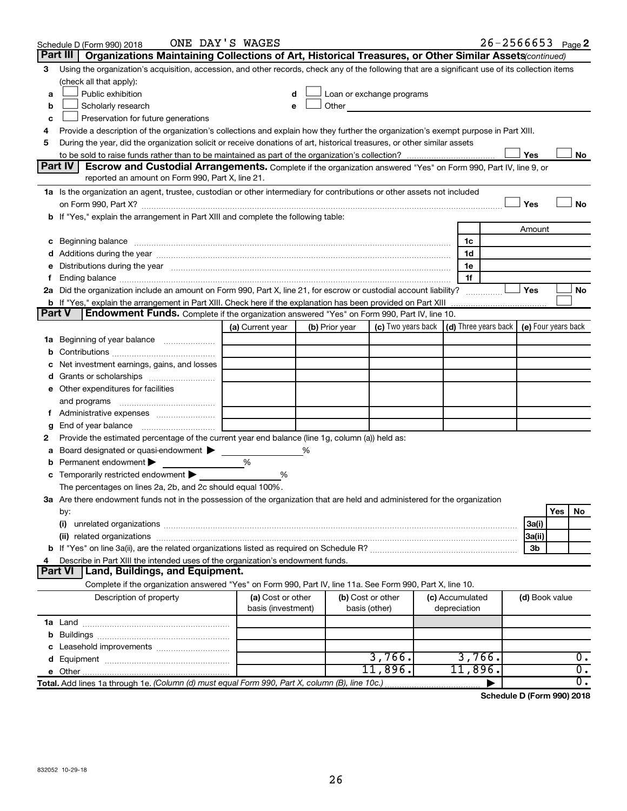|               | Schedule D (Form 990) 2018                                                                                                                                                                                                     | ONE DAY'S WAGES    |   |                |                                                                                                                                                                                                                                      |                 | $26 - 2566653$ Page 2 |     |                  |
|---------------|--------------------------------------------------------------------------------------------------------------------------------------------------------------------------------------------------------------------------------|--------------------|---|----------------|--------------------------------------------------------------------------------------------------------------------------------------------------------------------------------------------------------------------------------------|-----------------|-----------------------|-----|------------------|
|               | Part III<br>Organizations Maintaining Collections of Art, Historical Treasures, or Other Similar Assets(continued)                                                                                                             |                    |   |                |                                                                                                                                                                                                                                      |                 |                       |     |                  |
| 3             | Using the organization's acquisition, accession, and other records, check any of the following that are a significant use of its collection items                                                                              |                    |   |                |                                                                                                                                                                                                                                      |                 |                       |     |                  |
|               | (check all that apply):                                                                                                                                                                                                        |                    |   |                |                                                                                                                                                                                                                                      |                 |                       |     |                  |
| a             | Public exhibition                                                                                                                                                                                                              | d                  |   |                | Loan or exchange programs                                                                                                                                                                                                            |                 |                       |     |                  |
| b             | Scholarly research                                                                                                                                                                                                             | e                  |   |                | Other <u>and the set of the set of the set of the set of the set of the set of the set of the set of the set of the set of the set of the set of the set of the set of the set of the set of the set of the set of the set of th</u> |                 |                       |     |                  |
| c             | Preservation for future generations                                                                                                                                                                                            |                    |   |                |                                                                                                                                                                                                                                      |                 |                       |     |                  |
| 4             | Provide a description of the organization's collections and explain how they further the organization's exempt purpose in Part XIII.                                                                                           |                    |   |                |                                                                                                                                                                                                                                      |                 |                       |     |                  |
| 5             | During the year, did the organization solicit or receive donations of art, historical treasures, or other similar assets                                                                                                       |                    |   |                |                                                                                                                                                                                                                                      |                 |                       |     |                  |
|               |                                                                                                                                                                                                                                |                    |   |                |                                                                                                                                                                                                                                      |                 | Yes                   |     | No               |
|               | <b>Part IV</b><br>Escrow and Custodial Arrangements. Complete if the organization answered "Yes" on Form 990, Part IV, line 9, or                                                                                              |                    |   |                |                                                                                                                                                                                                                                      |                 |                       |     |                  |
|               | reported an amount on Form 990, Part X, line 21.                                                                                                                                                                               |                    |   |                |                                                                                                                                                                                                                                      |                 |                       |     |                  |
|               | 1a Is the organization an agent, trustee, custodian or other intermediary for contributions or other assets not included                                                                                                       |                    |   |                |                                                                                                                                                                                                                                      |                 |                       |     |                  |
|               |                                                                                                                                                                                                                                |                    |   |                |                                                                                                                                                                                                                                      |                 | Yes                   |     | <b>No</b>        |
|               | If "Yes," explain the arrangement in Part XIII and complete the following table:                                                                                                                                               |                    |   |                |                                                                                                                                                                                                                                      |                 |                       |     |                  |
|               |                                                                                                                                                                                                                                |                    |   |                |                                                                                                                                                                                                                                      |                 | Amount                |     |                  |
| с             | Beginning balance measurements and contain the contract of the contract of the contract of the contract of the                                                                                                                 |                    |   |                |                                                                                                                                                                                                                                      | 1c              |                       |     |                  |
|               |                                                                                                                                                                                                                                |                    |   |                |                                                                                                                                                                                                                                      | 1d              |                       |     |                  |
|               | Distributions during the year manufactured and an account of the year manufactured and the year manufactured and the year manufactured and the year manufactured and the year manufactured and the year manufactured and the y |                    |   |                |                                                                                                                                                                                                                                      | 1e              |                       |     |                  |
|               | Ending balance manufacture contains and the contract of the contract of the contract of the contract of the contract of the contract of the contract of the contract of the contract of the contract of the contract of the co |                    |   |                |                                                                                                                                                                                                                                      | 1f              |                       |     |                  |
|               | 2a Did the organization include an amount on Form 990, Part X, line 21, for escrow or custodial account liability?                                                                                                             |                    |   |                |                                                                                                                                                                                                                                      |                 | Yes                   |     | No               |
|               | <b>b</b> If "Yes," explain the arrangement in Part XIII. Check here if the explanation has been provided on Part XIII                                                                                                          |                    |   |                |                                                                                                                                                                                                                                      |                 |                       |     |                  |
| <b>Part V</b> | <b>Endowment Funds.</b> Complete if the organization answered "Yes" on Form 990, Part IV, line 10.                                                                                                                             |                    |   |                |                                                                                                                                                                                                                                      |                 |                       |     |                  |
|               |                                                                                                                                                                                                                                | (a) Current year   |   | (b) Prior year | (c) Two years back $\vert$ (d) Three years back $\vert$ (e) Four years back                                                                                                                                                          |                 |                       |     |                  |
| 1a            | Beginning of year balance                                                                                                                                                                                                      |                    |   |                |                                                                                                                                                                                                                                      |                 |                       |     |                  |
| b             |                                                                                                                                                                                                                                |                    |   |                |                                                                                                                                                                                                                                      |                 |                       |     |                  |
|               | Net investment earnings, gains, and losses                                                                                                                                                                                     |                    |   |                |                                                                                                                                                                                                                                      |                 |                       |     |                  |
| a             |                                                                                                                                                                                                                                |                    |   |                |                                                                                                                                                                                                                                      |                 |                       |     |                  |
|               | e Other expenditures for facilities                                                                                                                                                                                            |                    |   |                |                                                                                                                                                                                                                                      |                 |                       |     |                  |
|               | and programs                                                                                                                                                                                                                   |                    |   |                |                                                                                                                                                                                                                                      |                 |                       |     |                  |
|               | f Administrative expenses                                                                                                                                                                                                      |                    |   |                |                                                                                                                                                                                                                                      |                 |                       |     |                  |
| g             | End of year balance<br>Provide the estimated percentage of the current year end balance (line 1g, column (a)) held as:                                                                                                         |                    |   |                |                                                                                                                                                                                                                                      |                 |                       |     |                  |
| 2             |                                                                                                                                                                                                                                |                    | % |                |                                                                                                                                                                                                                                      |                 |                       |     |                  |
|               | Board designated or quasi-endowment<br>Permanent endowment                                                                                                                                                                     | %                  |   |                |                                                                                                                                                                                                                                      |                 |                       |     |                  |
|               | Temporarily restricted endowment                                                                                                                                                                                               | %                  |   |                |                                                                                                                                                                                                                                      |                 |                       |     |                  |
| с             | The percentages on lines 2a, 2b, and 2c should equal 100%.                                                                                                                                                                     |                    |   |                |                                                                                                                                                                                                                                      |                 |                       |     |                  |
|               | 3a Are there endowment funds not in the possession of the organization that are held and administered for the organization                                                                                                     |                    |   |                |                                                                                                                                                                                                                                      |                 |                       |     |                  |
|               | by:                                                                                                                                                                                                                            |                    |   |                |                                                                                                                                                                                                                                      |                 |                       | Yes | No               |
|               | (i)                                                                                                                                                                                                                            |                    |   |                |                                                                                                                                                                                                                                      |                 | 3a(i)                 |     |                  |
|               |                                                                                                                                                                                                                                |                    |   |                |                                                                                                                                                                                                                                      |                 | 3a(ii)                |     |                  |
|               |                                                                                                                                                                                                                                |                    |   |                |                                                                                                                                                                                                                                      |                 | 3b                    |     |                  |
|               | Describe in Part XIII the intended uses of the organization's endowment funds.                                                                                                                                                 |                    |   |                |                                                                                                                                                                                                                                      |                 |                       |     |                  |
|               | Land, Buildings, and Equipment.<br>Part VI                                                                                                                                                                                     |                    |   |                |                                                                                                                                                                                                                                      |                 |                       |     |                  |
|               | Complete if the organization answered "Yes" on Form 990, Part IV, line 11a. See Form 990, Part X, line 10.                                                                                                                     |                    |   |                |                                                                                                                                                                                                                                      |                 |                       |     |                  |
|               | Description of property                                                                                                                                                                                                        | (a) Cost or other  |   |                | (b) Cost or other                                                                                                                                                                                                                    | (c) Accumulated | (d) Book value        |     |                  |
|               |                                                                                                                                                                                                                                | basis (investment) |   |                | basis (other)                                                                                                                                                                                                                        | depreciation    |                       |     |                  |
|               |                                                                                                                                                                                                                                |                    |   |                |                                                                                                                                                                                                                                      |                 |                       |     |                  |
| b             |                                                                                                                                                                                                                                |                    |   |                |                                                                                                                                                                                                                                      |                 |                       |     |                  |
|               |                                                                                                                                                                                                                                |                    |   |                |                                                                                                                                                                                                                                      |                 |                       |     |                  |
|               |                                                                                                                                                                                                                                |                    |   |                | 3,766.                                                                                                                                                                                                                               | 3,766.          |                       |     | 0.               |
|               | <b>e</b> Other                                                                                                                                                                                                                 |                    |   |                | 11,896.                                                                                                                                                                                                                              | 11,896.         |                       |     | $\overline{0}$ . |
|               | Total. Add lines 1a through 1e. (Column (d) must equal Form 990, Part X, column (B), line 10c.)                                                                                                                                |                    |   |                |                                                                                                                                                                                                                                      |                 |                       |     | σ.               |

**Schedule D (Form 990) 2018**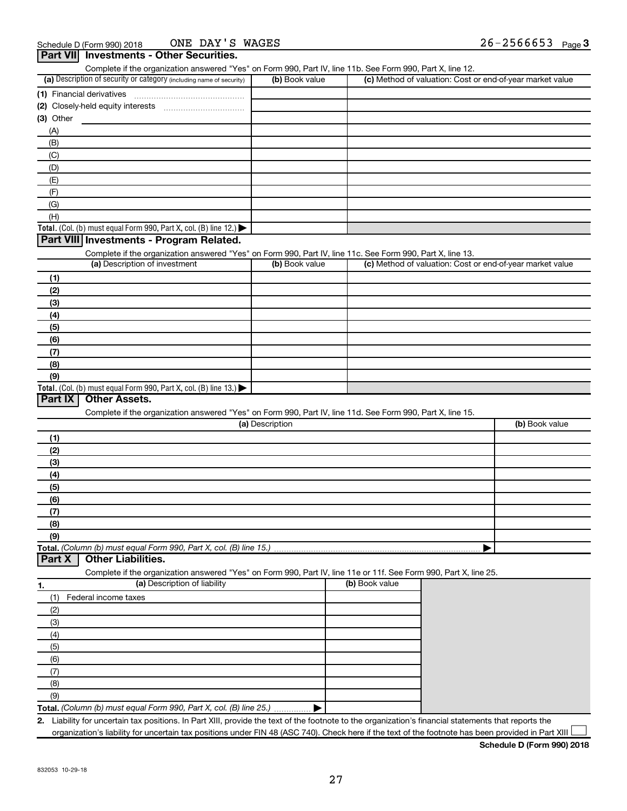| Complete if the organization answered "Yes" on Form 990, Part IV, line 11b. See Form 990, Part X, line 12.<br>(a) Description of security or category (including name of security) | (b) Book value  |                | (c) Method of valuation: Cost or end-of-year market value |
|------------------------------------------------------------------------------------------------------------------------------------------------------------------------------------|-----------------|----------------|-----------------------------------------------------------|
|                                                                                                                                                                                    |                 |                |                                                           |
| (1) Financial derivatives                                                                                                                                                          |                 |                |                                                           |
|                                                                                                                                                                                    |                 |                |                                                           |
| (3) Other                                                                                                                                                                          |                 |                |                                                           |
| (A)                                                                                                                                                                                |                 |                |                                                           |
| (B)                                                                                                                                                                                |                 |                |                                                           |
| (C)                                                                                                                                                                                |                 |                |                                                           |
| (D)                                                                                                                                                                                |                 |                |                                                           |
| (E)                                                                                                                                                                                |                 |                |                                                           |
| (F)                                                                                                                                                                                |                 |                |                                                           |
| (G)                                                                                                                                                                                |                 |                |                                                           |
| (H)                                                                                                                                                                                |                 |                |                                                           |
| Total. (Col. (b) must equal Form 990, Part X, col. (B) line 12.) $\blacktriangleright$                                                                                             |                 |                |                                                           |
| Part VIII Investments - Program Related.                                                                                                                                           |                 |                |                                                           |
| Complete if the organization answered "Yes" on Form 990, Part IV, line 11c. See Form 990, Part X, line 13.                                                                         |                 |                |                                                           |
| (a) Description of investment                                                                                                                                                      | (b) Book value  |                | (c) Method of valuation: Cost or end-of-year market value |
| (1)                                                                                                                                                                                |                 |                |                                                           |
| (2)                                                                                                                                                                                |                 |                |                                                           |
| (3)                                                                                                                                                                                |                 |                |                                                           |
| (4)                                                                                                                                                                                |                 |                |                                                           |
| (5)                                                                                                                                                                                |                 |                |                                                           |
| (6)                                                                                                                                                                                |                 |                |                                                           |
| (7)                                                                                                                                                                                |                 |                |                                                           |
| (8)                                                                                                                                                                                |                 |                |                                                           |
| (9)                                                                                                                                                                                |                 |                |                                                           |
| Total. (Col. (b) must equal Form 990, Part X, col. (B) line 13.) $\blacktriangleright$                                                                                             |                 |                |                                                           |
| Part IX<br><b>Other Assets.</b>                                                                                                                                                    |                 |                |                                                           |
|                                                                                                                                                                                    |                 |                |                                                           |
| Complete if the organization answered "Yes" on Form 990, Part IV, line 11d. See Form 990, Part X, line 15.                                                                         | (a) Description |                | (b) Book value                                            |
|                                                                                                                                                                                    |                 |                |                                                           |
| (1)                                                                                                                                                                                |                 |                |                                                           |
| (2)                                                                                                                                                                                |                 |                |                                                           |
| (3)                                                                                                                                                                                |                 |                |                                                           |
| (4)                                                                                                                                                                                |                 |                |                                                           |
| (5)                                                                                                                                                                                |                 |                |                                                           |
| (6)                                                                                                                                                                                |                 |                |                                                           |
| (7)                                                                                                                                                                                |                 |                |                                                           |
| (8)                                                                                                                                                                                |                 |                |                                                           |
| (9)                                                                                                                                                                                |                 |                |                                                           |
| Total. (Column (b) must equal Form 990, Part X, col. (B) line 15.)                                                                                                                 |                 |                |                                                           |
| Part X<br><b>Other Liabilities.</b>                                                                                                                                                |                 |                |                                                           |
|                                                                                                                                                                                    |                 |                |                                                           |
| Complete if the organization answered "Yes" on Form 990, Part IV, line 11e or 11f. See Form 990, Part X, line 25.                                                                  |                 |                |                                                           |
| (a) Description of liability<br>1.                                                                                                                                                 |                 | (b) Book value |                                                           |
| Federal income taxes<br>(1)                                                                                                                                                        |                 |                |                                                           |
|                                                                                                                                                                                    |                 |                |                                                           |
| (2)                                                                                                                                                                                |                 |                |                                                           |
| (3)                                                                                                                                                                                |                 |                |                                                           |
| (4)                                                                                                                                                                                |                 |                |                                                           |
| (5)                                                                                                                                                                                |                 |                |                                                           |
| (6)                                                                                                                                                                                |                 |                |                                                           |
| (7)                                                                                                                                                                                |                 |                |                                                           |
| (8)                                                                                                                                                                                |                 |                |                                                           |
| (9)<br>Total. (Column (b) must equal Form 990, Part X, col. (B) line 25.)                                                                                                          |                 |                |                                                           |

organization's liability for uncertain tax positions under FIN 48 (ASC 740). Check here if the text of the footnote has been provided in Part XIII

**Schedule D (Form 990) 2018**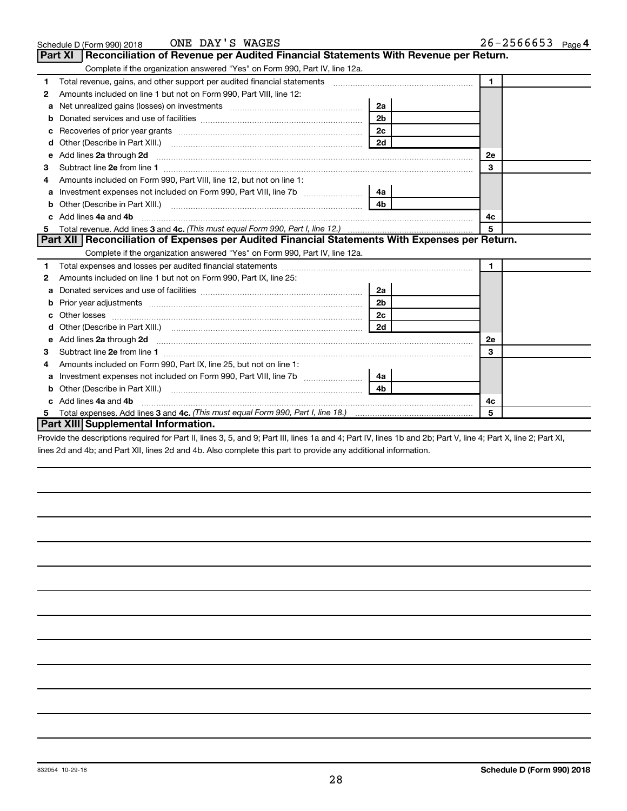|   | ONE DAY'S WAGES<br>Schedule D (Form 990) 2018                                                                                                                                                                                       |                | $26 - 2566653$ Page 4 |
|---|-------------------------------------------------------------------------------------------------------------------------------------------------------------------------------------------------------------------------------------|----------------|-----------------------|
|   | <b>Part XI</b><br>Reconciliation of Revenue per Audited Financial Statements With Revenue per Return.                                                                                                                               |                |                       |
|   | Complete if the organization answered "Yes" on Form 990, Part IV, line 12a.                                                                                                                                                         |                |                       |
| 1 | Total revenue, gains, and other support per audited financial statements [[[[[[[[[[[[[[[[[[[[[[[[]]]]]]]]]]]]                                                                                                                       |                | $\blacksquare$        |
| 2 | Amounts included on line 1 but not on Form 990, Part VIII, line 12:                                                                                                                                                                 |                |                       |
| a |                                                                                                                                                                                                                                     | 2a             |                       |
| b |                                                                                                                                                                                                                                     | 2 <sub>b</sub> |                       |
| c |                                                                                                                                                                                                                                     | 2 <sub>c</sub> |                       |
| d |                                                                                                                                                                                                                                     | 2d             |                       |
| e | Add lines 2a through 2d                                                                                                                                                                                                             |                | 2e                    |
| з |                                                                                                                                                                                                                                     |                | 3                     |
|   | Amounts included on Form 990, Part VIII, line 12, but not on line 1:                                                                                                                                                                |                |                       |
| a |                                                                                                                                                                                                                                     | 4a             |                       |
| b | Other (Describe in Part XIII.)                                                                                                                                                                                                      | 4 <sub>b</sub> |                       |
|   | Add lines 4a and 4b                                                                                                                                                                                                                 | 4c             |                       |
| 5 |                                                                                                                                                                                                                                     |                | 5                     |
|   | Part XII Reconciliation of Expenses per Audited Financial Statements With Expenses per Return.                                                                                                                                      |                |                       |
|   | Complete if the organization answered "Yes" on Form 990, Part IV, line 12a.                                                                                                                                                         |                |                       |
| 1 |                                                                                                                                                                                                                                     |                | $\mathbf 1$           |
| 2 | Amounts included on line 1 but not on Form 990, Part IX, line 25:                                                                                                                                                                   |                |                       |
| a |                                                                                                                                                                                                                                     | 2a             |                       |
| b |                                                                                                                                                                                                                                     | 2 <sub>b</sub> |                       |
|   |                                                                                                                                                                                                                                     | 2c             |                       |
|   |                                                                                                                                                                                                                                     | 2d             |                       |
| е | Add lines 2a through 2d <b>[10]</b> University of the state of the state of the state of the state of the state of the state of the state of the state of the state of the state of the state of the state of the state of the stat |                | <b>2e</b>             |
| З |                                                                                                                                                                                                                                     |                | 3                     |
| 4 | Amounts included on Form 990, Part IX, line 25, but not on line 1:                                                                                                                                                                  |                |                       |
| a |                                                                                                                                                                                                                                     | 4a             |                       |
| b |                                                                                                                                                                                                                                     | 4 <sub>b</sub> |                       |
|   | Add lines 4a and 4b                                                                                                                                                                                                                 |                | 4c                    |
| 5 |                                                                                                                                                                                                                                     |                | 5                     |
|   | <b>Part XIII Supplemental Information.</b>                                                                                                                                                                                          |                |                       |

Provide the descriptions required for Part II, lines 3, 5, and 9; Part III, lines 1a and 4; Part IV, lines 1b and 2b; Part V, line 4; Part X, line 2; Part XI, lines 2d and 4b; and Part XII, lines 2d and 4b. Also complete this part to provide any additional information.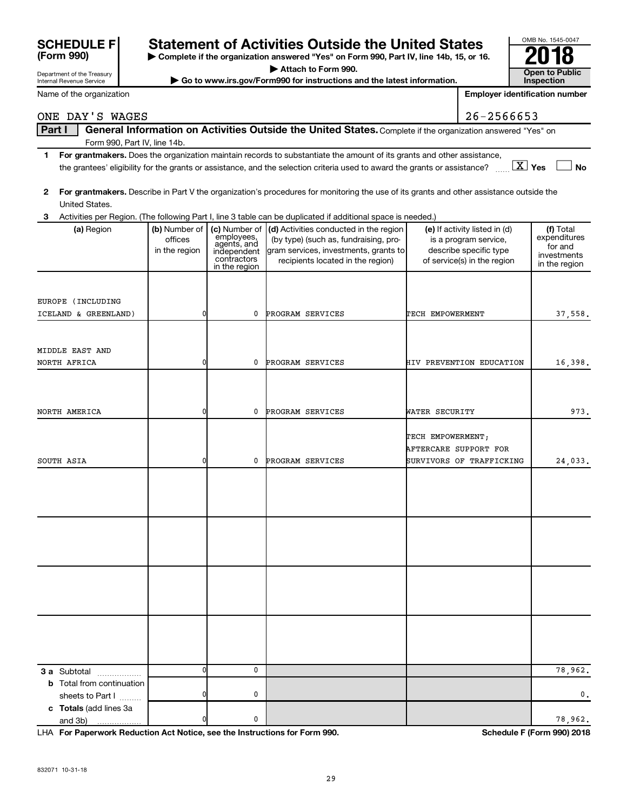| <b>SCHEDULE FI</b> |  |
|--------------------|--|
| (Form 990)         |  |

Department of the Treasury Internal Revenue Service

# **SCHEDULE F** Statement of Activities Outside the United States<br>**(Form 990)**  $\bullet$  Complete if the organization answered "Yes" on Form 990, Part IV, line 14b, 15, or 10

**| Complete if the organization answered "Yes" on Form 990, Part IV, line 14b, 15, or 16. | Attach to Form 990.**

 $\triangleright$  Go to www.irs.gov/Form990 for instructions and the latest information.

| OMB No. 1545-0047     |  |  |  |  |  |
|-----------------------|--|--|--|--|--|
| ۰                     |  |  |  |  |  |
| <b>Open to Public</b> |  |  |  |  |  |
| <b>Inspection</b>     |  |  |  |  |  |

**Employer identification number**

Name of the organization

#### Part I | General Information on Activities Outside the United States. Complete if the organization answered "Yes" on Form 990, Part IV, line 14b.  $26 - 2566653$

- **1 For grantmakers.**  Does the organization maintain records to substantiate the amount of its grants and other assistance, **Yes No** the grantees' eligibility for the grants or assistance, and the selection criteria used to award the grants or assistance? ~~ † † X
- **2 For grantmakers.**  Describe in Part V the organization's procedures for monitoring the use of its grants and other assistance outside the United States.

| 3                                                    |                                           |                                                                                           | Activities per Region. (The following Part I, line 3 table can be duplicated if additional space is needed.)                                                  |                                                                                                                 |                                                                      |
|------------------------------------------------------|-------------------------------------------|-------------------------------------------------------------------------------------------|---------------------------------------------------------------------------------------------------------------------------------------------------------------|-----------------------------------------------------------------------------------------------------------------|----------------------------------------------------------------------|
| (a) Region                                           | (b) Number of<br>offices<br>in the region | (c) Number of<br>enployees,<br>agents, and<br>independent<br>contractors<br>in the region | (d) Activities conducted in the region<br>(by type) (such as, fundraising, pro-<br>gram services, investments, grants to<br>recipients located in the region) | (e) If activity listed in (d)<br>is a program service,<br>describe specific type<br>of service(s) in the region | (f) Total<br>expenditures<br>for and<br>investments<br>in the region |
| EUROPE (INCLUDING<br>ICELAND & GREENLAND)            | 0                                         | 0                                                                                         | PROGRAM SERVICES                                                                                                                                              | TECH EMPOWERMENT                                                                                                | 37,558.                                                              |
| MIDDLE EAST AND<br>NORTH AFRICA                      | 0                                         | 0                                                                                         | PROGRAM SERVICES                                                                                                                                              | HIV PREVENTION EDUCATION                                                                                        | 16,398.                                                              |
| NORTH AMERICA                                        | 0                                         | 0                                                                                         | PROGRAM SERVICES                                                                                                                                              | WATER SECURITY                                                                                                  | 973.                                                                 |
| SOUTH ASIA                                           | 0                                         | 0                                                                                         | PROGRAM SERVICES                                                                                                                                              | TECH EMPOWERMENT;<br>AFTERCARE SUPPORT FOR<br>SURVIVORS OF TRAFFICKING                                          | 24,033.                                                              |
|                                                      |                                           |                                                                                           |                                                                                                                                                               |                                                                                                                 |                                                                      |
|                                                      |                                           |                                                                                           |                                                                                                                                                               |                                                                                                                 |                                                                      |
|                                                      |                                           |                                                                                           |                                                                                                                                                               |                                                                                                                 |                                                                      |
|                                                      |                                           |                                                                                           |                                                                                                                                                               |                                                                                                                 |                                                                      |
| <b>3 a</b> Subtotal<br>.                             | $\mathbf 0$                               | $\mathbf 0$                                                                               |                                                                                                                                                               |                                                                                                                 | 78,962.                                                              |
| <b>b</b> Total from continuation<br>sheets to Part I | $\mathbf 0$                               | 0                                                                                         |                                                                                                                                                               |                                                                                                                 | 0.                                                                   |
| c Totals (add lines 3a<br>and 3b)                    | $\overline{0}$                            | $\mathbf 0$                                                                               |                                                                                                                                                               |                                                                                                                 | 78,962.                                                              |

**For Paperwork Reduction Act Notice, see the Instructions for Form 990. Schedule F (Form 990) 2018** LHA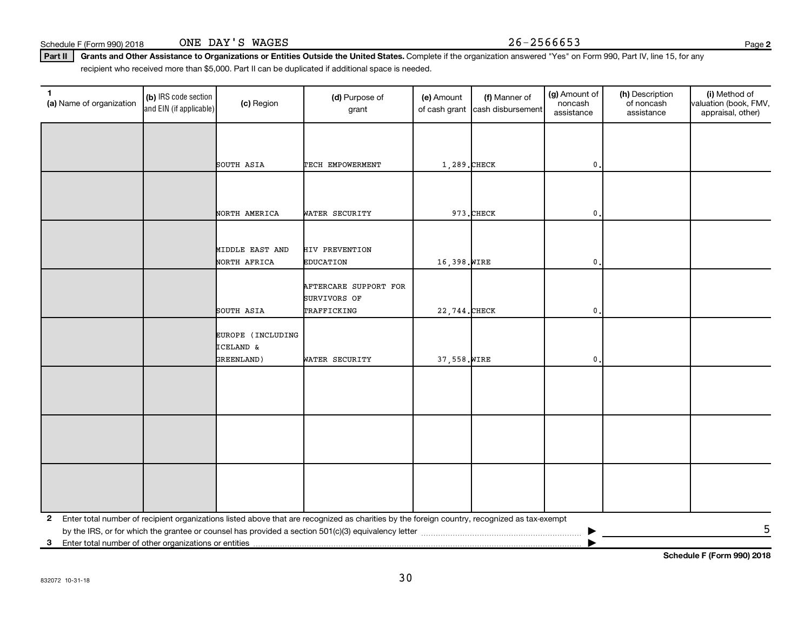Part II | Grants and Other Assistance to Organizations or Entities Outside the United States. Complete if the organization answered "Yes" on Form 990, Part IV, line 15, for any recipient who received more than \$5,000. Part II can be duplicated if additional space is needed.

| 1<br>(a) Name of organization | (b) IRS code section<br>and EIN (if applicable) | (c) Region                      | (d) Purpose of<br>grant                                                                                                                      | (e) Amount    | (f) Manner of<br>of cash grant cash disbursement | (g) Amount of<br>noncash<br>assistance | (h) Description<br>of noncash<br>assistance | (i) Method of<br>valuation (book, FMV,<br>appraisal, other) |
|-------------------------------|-------------------------------------------------|---------------------------------|----------------------------------------------------------------------------------------------------------------------------------------------|---------------|--------------------------------------------------|----------------------------------------|---------------------------------------------|-------------------------------------------------------------|
|                               |                                                 |                                 |                                                                                                                                              |               |                                                  |                                        |                                             |                                                             |
|                               |                                                 | SOUTH ASIA                      | TECH EMPOWERMENT                                                                                                                             | 1,289. CHECK  |                                                  | 0                                      |                                             |                                                             |
|                               |                                                 |                                 |                                                                                                                                              |               |                                                  |                                        |                                             |                                                             |
|                               |                                                 | NORTH AMERICA                   | WATER SECURITY                                                                                                                               |               | 973.CHECK                                        | 0                                      |                                             |                                                             |
|                               |                                                 |                                 |                                                                                                                                              |               |                                                  |                                        |                                             |                                                             |
|                               |                                                 | MIDDLE EAST AND<br>NORTH AFRICA | <b>HIV PREVENTION</b><br><b>EDUCATION</b>                                                                                                    | 16,398. WIRE  |                                                  | $\mathfrak o$ .                        |                                             |                                                             |
|                               |                                                 |                                 | AFTERCARE SUPPORT FOR<br>SURVIVORS OF                                                                                                        |               |                                                  |                                        |                                             |                                                             |
|                               |                                                 | SOUTH ASIA                      | TRAFFICKING                                                                                                                                  | 22,744. CHECK |                                                  | $\mathbf 0$ .                          |                                             |                                                             |
|                               |                                                 | EUROPE (INCLUDING<br>ICELAND &  |                                                                                                                                              |               |                                                  |                                        |                                             |                                                             |
|                               |                                                 | GREENLAND)                      | WATER SECURITY                                                                                                                               | 37,558. WIRE  |                                                  | 0.                                     |                                             |                                                             |
|                               |                                                 |                                 |                                                                                                                                              |               |                                                  |                                        |                                             |                                                             |
|                               |                                                 |                                 |                                                                                                                                              |               |                                                  |                                        |                                             |                                                             |
|                               |                                                 |                                 |                                                                                                                                              |               |                                                  |                                        |                                             |                                                             |
|                               |                                                 |                                 |                                                                                                                                              |               |                                                  |                                        |                                             |                                                             |
|                               |                                                 |                                 |                                                                                                                                              |               |                                                  |                                        |                                             |                                                             |
| $\mathbf{2}$                  |                                                 |                                 | Enter total number of recipient organizations listed above that are recognized as charities by the foreign country, recognized as tax-exempt |               |                                                  |                                        |                                             |                                                             |
|                               |                                                 |                                 |                                                                                                                                              |               |                                                  |                                        |                                             | 5                                                           |
|                               |                                                 |                                 |                                                                                                                                              |               |                                                  |                                        |                                             | Schedule F (Form 990) 2018                                  |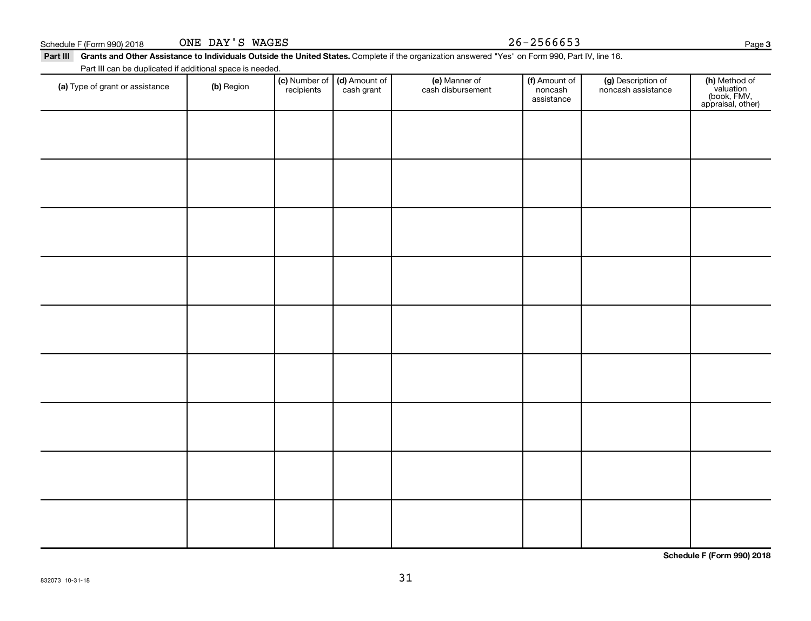| (a) Type of grant or assistance | (b) Region | $\vert$ (c) Number of $\vert$ (d) Amount of $\vert$<br>recipients | cash grant | (e) Manner of<br>cash disbursement | (f) Amount of<br>noncash<br>assistance | (g) Description of<br>noncash assistance | (h)<br>(b<br>appr |
|---------------------------------|------------|-------------------------------------------------------------------|------------|------------------------------------|----------------------------------------|------------------------------------------|-------------------|
|                                 |            |                                                                   |            |                                    |                                        |                                          |                   |

31

**Schedule F (Form 990) 2018**

(f) Amount of noncash assistance

(g) Description of noncash assistance Page 3

**(h)** Method of<br>valuation<br>(book, FMV,<br>appraisal, other)

Schedule F (Form 990) 2018  $\qquad \qquad \text{ONE } \text{DAY } 'S \text{ WAGES}$   $26-2566653$ ONE DAY'S WAGES

Part III can be duplicated if additional space is needed.

Part III Grants and Other Assistance to Individuals Outside the United States. Complete if the organization answered "Yes" on Form 990, Part IV, line 16.

(e) Manner of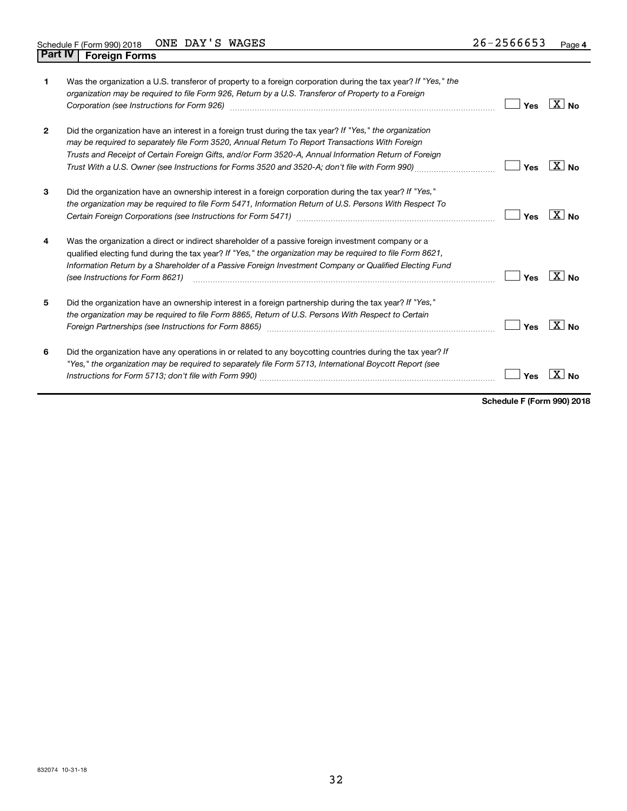| 1            | Was the organization a U.S. transferor of property to a foreign corporation during the tax year? If "Yes," the<br>organization may be required to file Form 926, Return by a U.S. Transferor of Property to a Foreign<br>Corporation (see Instructions for Form 926)                                                                                                                                                   | Yes | ∣X∣ <sub>No</sub> |
|--------------|------------------------------------------------------------------------------------------------------------------------------------------------------------------------------------------------------------------------------------------------------------------------------------------------------------------------------------------------------------------------------------------------------------------------|-----|-------------------|
| $\mathbf{2}$ | Did the organization have an interest in a foreign trust during the tax year? If "Yes," the organization<br>may be required to separately file Form 3520, Annual Return To Report Transactions With Foreign<br>Trusts and Receipt of Certain Foreign Gifts, and/or Form 3520-A, Annual Information Return of Foreign<br>Trust With a U.S. Owner (see Instructions for Forms 3520 and 3520-A; don't file with Form 990) | Yes | $\sqrt{X}$ No     |
| 3            | Did the organization have an ownership interest in a foreign corporation during the tax year? If "Yes,"<br>the organization may be required to file Form 5471, Information Return of U.S. Persons With Respect To                                                                                                                                                                                                      | Yes | ∣X∣ <sub>No</sub> |
| 4            | Was the organization a direct or indirect shareholder of a passive foreign investment company or a<br>qualified electing fund during the tax year? If "Yes," the organization may be required to file Form 8621,<br>Information Return by a Shareholder of a Passive Foreign Investment Company or Qualified Electing Fund<br>(see Instructions for Form 8621)                                                         | Yes | $\sqrt{X}$ No     |
| 5            | Did the organization have an ownership interest in a foreign partnership during the tax year? If "Yes,"<br>the organization may be required to file Form 8865, Return of U.S. Persons With Respect to Certain<br>Foreign Partnerships (see Instructions for Form 8865)                                                                                                                                                 | Yes | ∣X∣ <sub>No</sub> |
| 6            | Did the organization have any operations in or related to any boycotting countries during the tax year? If<br>"Yes," the organization may be required to separately file Form 5713, International Boycott Report (see                                                                                                                                                                                                  | Yes |                   |

**Schedule F (Form 990) 2018**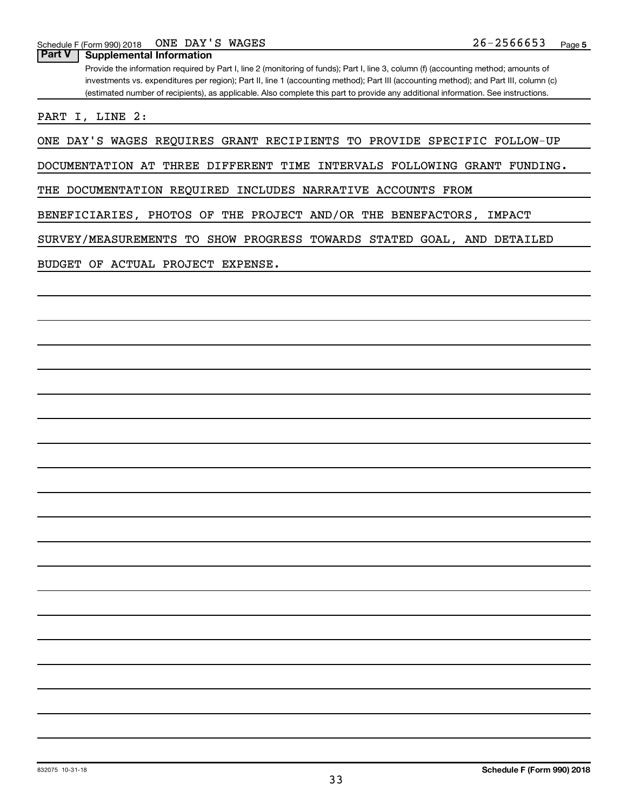**Part V Supplemental Information**

Provide the information required by Part I, line 2 (monitoring of funds); Part I, line 3, column (f) (accounting method; amounts of investments vs. expenditures per region); Part II, line 1 (accounting method); Part III (accounting method); and Part III, column (c) (estimated number of recipients), as applicable. Also complete this part to provide any additional information. See instructions.

PART I, LINE 2:

ONE DAY'S WAGES REQUIRES GRANT RECIPIENTS TO PROVIDE SPECIFIC FOLLOW-UP

DOCUMENTATION AT THREE DIFFERENT TIME INTERVALS FOLLOWING GRANT FUNDING.

THE DOCUMENTATION REQUIRED INCLUDES NARRATIVE ACCOUNTS FROM

BENEFICIARIES, PHOTOS OF THE PROJECT AND/OR THE BENEFACTORS, IMPACT

SURVEY/MEASUREMENTS TO SHOW PROGRESS TOWARDS STATED GOAL, AND DETAILED

BUDGET OF ACTUAL PROJECT EXPENSE.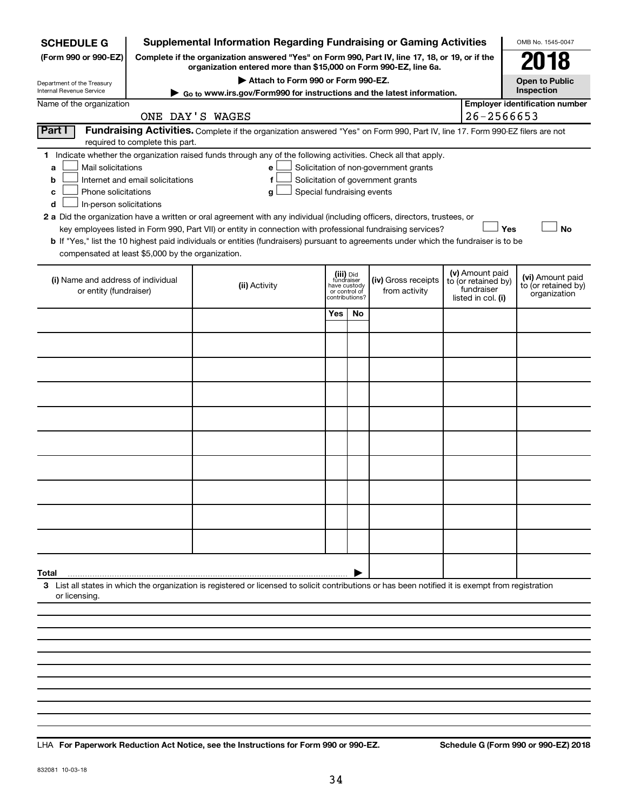| Complete if the organization answered "Yes" on Form 990, Part IV, line 17, 18, or 19, or if the<br>(Form 990 or 990-EZ)<br>018<br>organization entered more than \$15,000 on Form 990-EZ, line 6a.<br>Attach to Form 990 or Form 990-EZ.<br><b>Open to Public</b><br>Department of the Treasury<br>Inspection<br>Internal Revenue Service<br>Go to www.irs.gov/Form990 for instructions and the latest information.<br><b>Employer identification number</b><br>Name of the organization<br>26-2566653<br>ONE DAY'S WAGES<br>Part I<br>Fundraising Activities. Complete if the organization answered "Yes" on Form 990, Part IV, line 17. Form 990-EZ filers are not<br>required to complete this part.<br>Indicate whether the organization raised funds through any of the following activities. Check all that apply.<br>1.<br>Mail solicitations<br>Solicitation of non-government grants<br>а<br>е<br>Solicitation of government grants<br>Internet and email solicitations<br>f<br>b<br>Phone solicitations<br>Special fundraising events<br>с<br>g<br>In-person solicitations<br>d<br>2 a Did the organization have a written or oral agreement with any individual (including officers, directors, trustees, or<br><b>No</b><br>key employees listed in Form 990, Part VII) or entity in connection with professional fundraising services?<br>Yes<br>b If "Yes," list the 10 highest paid individuals or entities (fundraisers) pursuant to agreements under which the fundraiser is to be<br>compensated at least \$5,000 by the organization.<br>(v) Amount paid<br>(iii) Did<br>fundraiser<br>(vi) Amount paid<br>(i) Name and address of individual<br>(iv) Gross receipts<br>to (or retained by)<br>(ii) Activity<br>to (or retained by)<br>have custody<br>fundraiser<br>or entity (fundraiser)<br>from activity<br>or control of<br>organization<br>contributions?<br>listed in col. (i)<br>Yes<br>No.<br>Total<br>3 List all states in which the organization is registered or licensed to solicit contributions or has been notified it is exempt from registration<br>or licensing. | <b>SCHEDULE G</b> |  | <b>Supplemental Information Regarding Fundraising or Gaming Activities</b> |  |  |  |  |  | OMB No. 1545-0047 |  |  |  |
|--------------------------------------------------------------------------------------------------------------------------------------------------------------------------------------------------------------------------------------------------------------------------------------------------------------------------------------------------------------------------------------------------------------------------------------------------------------------------------------------------------------------------------------------------------------------------------------------------------------------------------------------------------------------------------------------------------------------------------------------------------------------------------------------------------------------------------------------------------------------------------------------------------------------------------------------------------------------------------------------------------------------------------------------------------------------------------------------------------------------------------------------------------------------------------------------------------------------------------------------------------------------------------------------------------------------------------------------------------------------------------------------------------------------------------------------------------------------------------------------------------------------------------------------------------------------------------------------------------------------------------------------------------------------------------------------------------------------------------------------------------------------------------------------------------------------------------------------------------------------------------------------------------------------------------------------------------------------------------------------------------------------------------------------------------------------------------------------------------|-------------------|--|----------------------------------------------------------------------------|--|--|--|--|--|-------------------|--|--|--|
|                                                                                                                                                                                                                                                                                                                                                                                                                                                                                                                                                                                                                                                                                                                                                                                                                                                                                                                                                                                                                                                                                                                                                                                                                                                                                                                                                                                                                                                                                                                                                                                                                                                                                                                                                                                                                                                                                                                                                                                                                                                                                                        |                   |  |                                                                            |  |  |  |  |  |                   |  |  |  |
|                                                                                                                                                                                                                                                                                                                                                                                                                                                                                                                                                                                                                                                                                                                                                                                                                                                                                                                                                                                                                                                                                                                                                                                                                                                                                                                                                                                                                                                                                                                                                                                                                                                                                                                                                                                                                                                                                                                                                                                                                                                                                                        |                   |  |                                                                            |  |  |  |  |  |                   |  |  |  |
|                                                                                                                                                                                                                                                                                                                                                                                                                                                                                                                                                                                                                                                                                                                                                                                                                                                                                                                                                                                                                                                                                                                                                                                                                                                                                                                                                                                                                                                                                                                                                                                                                                                                                                                                                                                                                                                                                                                                                                                                                                                                                                        |                   |  |                                                                            |  |  |  |  |  |                   |  |  |  |
|                                                                                                                                                                                                                                                                                                                                                                                                                                                                                                                                                                                                                                                                                                                                                                                                                                                                                                                                                                                                                                                                                                                                                                                                                                                                                                                                                                                                                                                                                                                                                                                                                                                                                                                                                                                                                                                                                                                                                                                                                                                                                                        |                   |  |                                                                            |  |  |  |  |  |                   |  |  |  |
|                                                                                                                                                                                                                                                                                                                                                                                                                                                                                                                                                                                                                                                                                                                                                                                                                                                                                                                                                                                                                                                                                                                                                                                                                                                                                                                                                                                                                                                                                                                                                                                                                                                                                                                                                                                                                                                                                                                                                                                                                                                                                                        |                   |  |                                                                            |  |  |  |  |  |                   |  |  |  |
|                                                                                                                                                                                                                                                                                                                                                                                                                                                                                                                                                                                                                                                                                                                                                                                                                                                                                                                                                                                                                                                                                                                                                                                                                                                                                                                                                                                                                                                                                                                                                                                                                                                                                                                                                                                                                                                                                                                                                                                                                                                                                                        |                   |  |                                                                            |  |  |  |  |  |                   |  |  |  |
|                                                                                                                                                                                                                                                                                                                                                                                                                                                                                                                                                                                                                                                                                                                                                                                                                                                                                                                                                                                                                                                                                                                                                                                                                                                                                                                                                                                                                                                                                                                                                                                                                                                                                                                                                                                                                                                                                                                                                                                                                                                                                                        |                   |  |                                                                            |  |  |  |  |  |                   |  |  |  |
|                                                                                                                                                                                                                                                                                                                                                                                                                                                                                                                                                                                                                                                                                                                                                                                                                                                                                                                                                                                                                                                                                                                                                                                                                                                                                                                                                                                                                                                                                                                                                                                                                                                                                                                                                                                                                                                                                                                                                                                                                                                                                                        |                   |  |                                                                            |  |  |  |  |  |                   |  |  |  |
|                                                                                                                                                                                                                                                                                                                                                                                                                                                                                                                                                                                                                                                                                                                                                                                                                                                                                                                                                                                                                                                                                                                                                                                                                                                                                                                                                                                                                                                                                                                                                                                                                                                                                                                                                                                                                                                                                                                                                                                                                                                                                                        |                   |  |                                                                            |  |  |  |  |  |                   |  |  |  |
|                                                                                                                                                                                                                                                                                                                                                                                                                                                                                                                                                                                                                                                                                                                                                                                                                                                                                                                                                                                                                                                                                                                                                                                                                                                                                                                                                                                                                                                                                                                                                                                                                                                                                                                                                                                                                                                                                                                                                                                                                                                                                                        |                   |  |                                                                            |  |  |  |  |  |                   |  |  |  |
|                                                                                                                                                                                                                                                                                                                                                                                                                                                                                                                                                                                                                                                                                                                                                                                                                                                                                                                                                                                                                                                                                                                                                                                                                                                                                                                                                                                                                                                                                                                                                                                                                                                                                                                                                                                                                                                                                                                                                                                                                                                                                                        |                   |  |                                                                            |  |  |  |  |  |                   |  |  |  |
|                                                                                                                                                                                                                                                                                                                                                                                                                                                                                                                                                                                                                                                                                                                                                                                                                                                                                                                                                                                                                                                                                                                                                                                                                                                                                                                                                                                                                                                                                                                                                                                                                                                                                                                                                                                                                                                                                                                                                                                                                                                                                                        |                   |  |                                                                            |  |  |  |  |  |                   |  |  |  |
|                                                                                                                                                                                                                                                                                                                                                                                                                                                                                                                                                                                                                                                                                                                                                                                                                                                                                                                                                                                                                                                                                                                                                                                                                                                                                                                                                                                                                                                                                                                                                                                                                                                                                                                                                                                                                                                                                                                                                                                                                                                                                                        |                   |  |                                                                            |  |  |  |  |  |                   |  |  |  |
|                                                                                                                                                                                                                                                                                                                                                                                                                                                                                                                                                                                                                                                                                                                                                                                                                                                                                                                                                                                                                                                                                                                                                                                                                                                                                                                                                                                                                                                                                                                                                                                                                                                                                                                                                                                                                                                                                                                                                                                                                                                                                                        |                   |  |                                                                            |  |  |  |  |  |                   |  |  |  |
|                                                                                                                                                                                                                                                                                                                                                                                                                                                                                                                                                                                                                                                                                                                                                                                                                                                                                                                                                                                                                                                                                                                                                                                                                                                                                                                                                                                                                                                                                                                                                                                                                                                                                                                                                                                                                                                                                                                                                                                                                                                                                                        |                   |  |                                                                            |  |  |  |  |  |                   |  |  |  |
|                                                                                                                                                                                                                                                                                                                                                                                                                                                                                                                                                                                                                                                                                                                                                                                                                                                                                                                                                                                                                                                                                                                                                                                                                                                                                                                                                                                                                                                                                                                                                                                                                                                                                                                                                                                                                                                                                                                                                                                                                                                                                                        |                   |  |                                                                            |  |  |  |  |  |                   |  |  |  |
|                                                                                                                                                                                                                                                                                                                                                                                                                                                                                                                                                                                                                                                                                                                                                                                                                                                                                                                                                                                                                                                                                                                                                                                                                                                                                                                                                                                                                                                                                                                                                                                                                                                                                                                                                                                                                                                                                                                                                                                                                                                                                                        |                   |  |                                                                            |  |  |  |  |  |                   |  |  |  |
|                                                                                                                                                                                                                                                                                                                                                                                                                                                                                                                                                                                                                                                                                                                                                                                                                                                                                                                                                                                                                                                                                                                                                                                                                                                                                                                                                                                                                                                                                                                                                                                                                                                                                                                                                                                                                                                                                                                                                                                                                                                                                                        |                   |  |                                                                            |  |  |  |  |  |                   |  |  |  |
|                                                                                                                                                                                                                                                                                                                                                                                                                                                                                                                                                                                                                                                                                                                                                                                                                                                                                                                                                                                                                                                                                                                                                                                                                                                                                                                                                                                                                                                                                                                                                                                                                                                                                                                                                                                                                                                                                                                                                                                                                                                                                                        |                   |  |                                                                            |  |  |  |  |  |                   |  |  |  |
|                                                                                                                                                                                                                                                                                                                                                                                                                                                                                                                                                                                                                                                                                                                                                                                                                                                                                                                                                                                                                                                                                                                                                                                                                                                                                                                                                                                                                                                                                                                                                                                                                                                                                                                                                                                                                                                                                                                                                                                                                                                                                                        |                   |  |                                                                            |  |  |  |  |  |                   |  |  |  |
|                                                                                                                                                                                                                                                                                                                                                                                                                                                                                                                                                                                                                                                                                                                                                                                                                                                                                                                                                                                                                                                                                                                                                                                                                                                                                                                                                                                                                                                                                                                                                                                                                                                                                                                                                                                                                                                                                                                                                                                                                                                                                                        |                   |  |                                                                            |  |  |  |  |  |                   |  |  |  |
|                                                                                                                                                                                                                                                                                                                                                                                                                                                                                                                                                                                                                                                                                                                                                                                                                                                                                                                                                                                                                                                                                                                                                                                                                                                                                                                                                                                                                                                                                                                                                                                                                                                                                                                                                                                                                                                                                                                                                                                                                                                                                                        |                   |  |                                                                            |  |  |  |  |  |                   |  |  |  |
|                                                                                                                                                                                                                                                                                                                                                                                                                                                                                                                                                                                                                                                                                                                                                                                                                                                                                                                                                                                                                                                                                                                                                                                                                                                                                                                                                                                                                                                                                                                                                                                                                                                                                                                                                                                                                                                                                                                                                                                                                                                                                                        |                   |  |                                                                            |  |  |  |  |  |                   |  |  |  |
|                                                                                                                                                                                                                                                                                                                                                                                                                                                                                                                                                                                                                                                                                                                                                                                                                                                                                                                                                                                                                                                                                                                                                                                                                                                                                                                                                                                                                                                                                                                                                                                                                                                                                                                                                                                                                                                                                                                                                                                                                                                                                                        |                   |  |                                                                            |  |  |  |  |  |                   |  |  |  |
|                                                                                                                                                                                                                                                                                                                                                                                                                                                                                                                                                                                                                                                                                                                                                                                                                                                                                                                                                                                                                                                                                                                                                                                                                                                                                                                                                                                                                                                                                                                                                                                                                                                                                                                                                                                                                                                                                                                                                                                                                                                                                                        |                   |  |                                                                            |  |  |  |  |  |                   |  |  |  |
|                                                                                                                                                                                                                                                                                                                                                                                                                                                                                                                                                                                                                                                                                                                                                                                                                                                                                                                                                                                                                                                                                                                                                                                                                                                                                                                                                                                                                                                                                                                                                                                                                                                                                                                                                                                                                                                                                                                                                                                                                                                                                                        |                   |  |                                                                            |  |  |  |  |  |                   |  |  |  |
|                                                                                                                                                                                                                                                                                                                                                                                                                                                                                                                                                                                                                                                                                                                                                                                                                                                                                                                                                                                                                                                                                                                                                                                                                                                                                                                                                                                                                                                                                                                                                                                                                                                                                                                                                                                                                                                                                                                                                                                                                                                                                                        |                   |  |                                                                            |  |  |  |  |  |                   |  |  |  |
|                                                                                                                                                                                                                                                                                                                                                                                                                                                                                                                                                                                                                                                                                                                                                                                                                                                                                                                                                                                                                                                                                                                                                                                                                                                                                                                                                                                                                                                                                                                                                                                                                                                                                                                                                                                                                                                                                                                                                                                                                                                                                                        |                   |  |                                                                            |  |  |  |  |  |                   |  |  |  |
|                                                                                                                                                                                                                                                                                                                                                                                                                                                                                                                                                                                                                                                                                                                                                                                                                                                                                                                                                                                                                                                                                                                                                                                                                                                                                                                                                                                                                                                                                                                                                                                                                                                                                                                                                                                                                                                                                                                                                                                                                                                                                                        |                   |  |                                                                            |  |  |  |  |  |                   |  |  |  |
|                                                                                                                                                                                                                                                                                                                                                                                                                                                                                                                                                                                                                                                                                                                                                                                                                                                                                                                                                                                                                                                                                                                                                                                                                                                                                                                                                                                                                                                                                                                                                                                                                                                                                                                                                                                                                                                                                                                                                                                                                                                                                                        |                   |  |                                                                            |  |  |  |  |  |                   |  |  |  |
|                                                                                                                                                                                                                                                                                                                                                                                                                                                                                                                                                                                                                                                                                                                                                                                                                                                                                                                                                                                                                                                                                                                                                                                                                                                                                                                                                                                                                                                                                                                                                                                                                                                                                                                                                                                                                                                                                                                                                                                                                                                                                                        |                   |  |                                                                            |  |  |  |  |  |                   |  |  |  |
|                                                                                                                                                                                                                                                                                                                                                                                                                                                                                                                                                                                                                                                                                                                                                                                                                                                                                                                                                                                                                                                                                                                                                                                                                                                                                                                                                                                                                                                                                                                                                                                                                                                                                                                                                                                                                                                                                                                                                                                                                                                                                                        |                   |  |                                                                            |  |  |  |  |  |                   |  |  |  |
|                                                                                                                                                                                                                                                                                                                                                                                                                                                                                                                                                                                                                                                                                                                                                                                                                                                                                                                                                                                                                                                                                                                                                                                                                                                                                                                                                                                                                                                                                                                                                                                                                                                                                                                                                                                                                                                                                                                                                                                                                                                                                                        |                   |  |                                                                            |  |  |  |  |  |                   |  |  |  |
|                                                                                                                                                                                                                                                                                                                                                                                                                                                                                                                                                                                                                                                                                                                                                                                                                                                                                                                                                                                                                                                                                                                                                                                                                                                                                                                                                                                                                                                                                                                                                                                                                                                                                                                                                                                                                                                                                                                                                                                                                                                                                                        |                   |  |                                                                            |  |  |  |  |  |                   |  |  |  |
|                                                                                                                                                                                                                                                                                                                                                                                                                                                                                                                                                                                                                                                                                                                                                                                                                                                                                                                                                                                                                                                                                                                                                                                                                                                                                                                                                                                                                                                                                                                                                                                                                                                                                                                                                                                                                                                                                                                                                                                                                                                                                                        |                   |  |                                                                            |  |  |  |  |  |                   |  |  |  |

**For Paperwork Reduction Act Notice, see the Instructions for Form 990 or 990-EZ. Schedule G (Form 990 or 990-EZ) 2018** LHA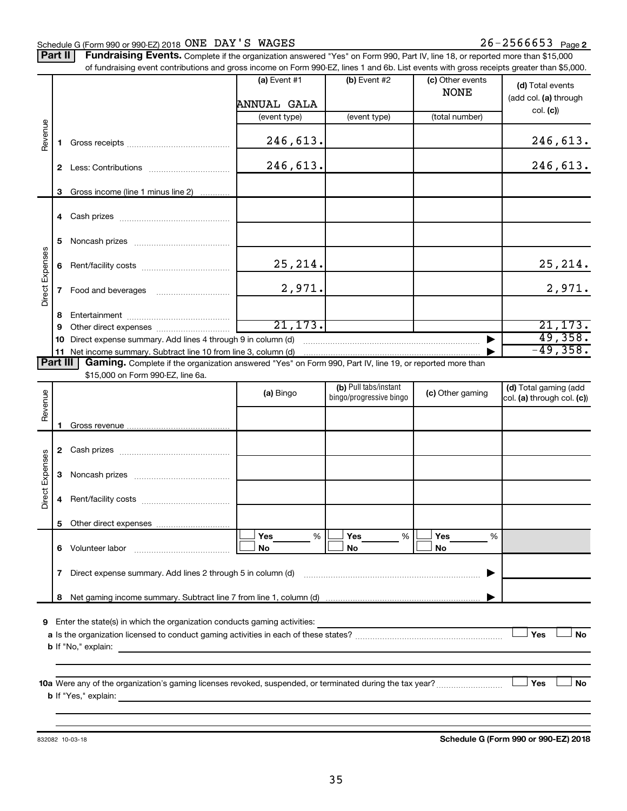#### Schedule G (Form 990 or 990-EZ) 2018  $\overline{ONE}$   $\overline{DAY}$   $\overline{S}$   $\overline{WAGES}$  26  $\overline{S}$  2566653  $\overline{Page}$

Part II | Fundraising Events. Complete if the organization answered "Yes" on Form 990, Part IV, line 18, or reported more than \$15,000 of fundraising event contributions and gross income on Form 990-EZ, lines 1 and 6b. List events with gross receipts greater than \$5,000.

|                        |    | 01 Turidiaishiy event contributions and gross income on Form 990-EZ, illies T and OD. Elst events with gross receipts greater than \$0,000. |                |                         |                                 |                            |
|------------------------|----|---------------------------------------------------------------------------------------------------------------------------------------------|----------------|-------------------------|---------------------------------|----------------------------|
|                        |    |                                                                                                                                             | (a) Event $#1$ | $(b)$ Event #2          | (c) Other events<br><b>NONE</b> | (d) Total events           |
|                        |    |                                                                                                                                             | ANNUAL GALA    |                         |                                 | (add col. (a) through      |
|                        |    |                                                                                                                                             | (event type)   | (event type)            | (total number)                  | col. (c)                   |
| Revenue                | 1. |                                                                                                                                             | 246,613.       |                         |                                 | 246,613.                   |
|                        |    |                                                                                                                                             | 246,613.       |                         |                                 | 246,613.                   |
|                        | 3  | Gross income (line 1 minus line 2)                                                                                                          |                |                         |                                 |                            |
|                        |    |                                                                                                                                             |                |                         |                                 |                            |
|                        | 5. |                                                                                                                                             |                |                         |                                 |                            |
|                        | 6  |                                                                                                                                             | 25, 214.       |                         |                                 | 25, 214.                   |
| <b>Direct Expenses</b> |    |                                                                                                                                             | 2,971.         |                         |                                 | 2,971.                     |
|                        | 8  |                                                                                                                                             |                |                         |                                 |                            |
|                        | 9  |                                                                                                                                             | 21, 173.       |                         |                                 | 21, 173.                   |
|                        | 10 | Direct expense summary. Add lines 4 through 9 in column (d)                                                                                 |                |                         |                                 | 49,358.                    |
|                        |    | 11 Net income summary. Subtract line 10 from line 3, column (d)                                                                             |                |                         |                                 | $-49,358.$                 |
| <b>Part III</b>        |    | Gaming. Complete if the organization answered "Yes" on Form 990, Part IV, line 19, or reported more than                                    |                |                         |                                 |                            |
|                        |    | \$15,000 on Form 990-EZ, line 6a.                                                                                                           |                | (b) Pull tabs/instant   |                                 | (d) Total gaming (add      |
| Revenue                |    |                                                                                                                                             | (a) Bingo      | bingo/progressive bingo | (c) Other gaming                | col. (a) through col. (c)) |
|                        |    |                                                                                                                                             |                |                         |                                 |                            |
|                        | 1. |                                                                                                                                             |                |                         |                                 |                            |
|                        |    |                                                                                                                                             |                |                         |                                 |                            |
|                        |    |                                                                                                                                             |                |                         |                                 |                            |
|                        | 3  |                                                                                                                                             |                |                         |                                 |                            |
| <b>Direct Expenses</b> |    |                                                                                                                                             |                |                         |                                 |                            |
|                        | 4  |                                                                                                                                             |                |                         |                                 |                            |
|                        |    |                                                                                                                                             |                |                         |                                 |                            |
|                        |    |                                                                                                                                             | Yes<br>%       | Yes<br>%                | Yes<br>%                        |                            |
|                        | 6  | Volunteer labor                                                                                                                             | No             | No                      | No                              |                            |
|                        | 7  | Direct expense summary. Add lines 2 through 5 in column (d)                                                                                 |                |                         |                                 |                            |
|                        | 8  |                                                                                                                                             |                |                         |                                 |                            |
|                        |    |                                                                                                                                             |                |                         |                                 |                            |
| 9                      |    | Enter the state(s) in which the organization conducts gaming activities:                                                                    |                |                         |                                 |                            |
|                        |    |                                                                                                                                             |                |                         |                                 | Yes<br><b>No</b>           |
|                        |    | <b>b</b> If "No," explain:                                                                                                                  |                |                         |                                 |                            |
|                        |    |                                                                                                                                             |                |                         |                                 |                            |
|                        |    | 10a Were any of the organization's gaming licenses revoked, suspended, or terminated during the tax year?                                   |                |                         |                                 | Yes<br>No                  |
|                        |    | <b>b</b> If "Yes," explain:                                                                                                                 |                |                         |                                 |                            |
|                        |    |                                                                                                                                             |                |                         |                                 |                            |
|                        |    |                                                                                                                                             |                |                         |                                 |                            |

832082 10-03-18

**Schedule G (Form 990 or 990-EZ) 2018**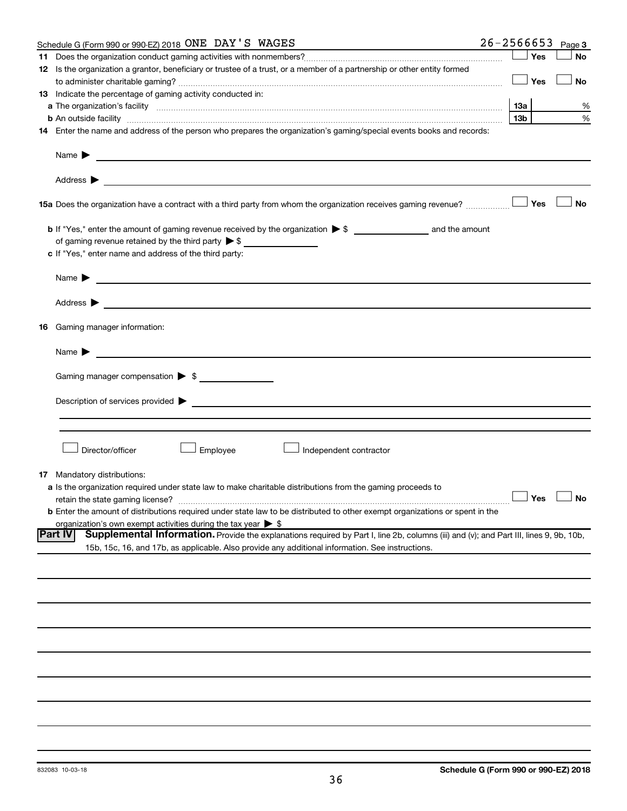|    | Schedule G (Form 990 or 990-EZ) 2018 ONE DAY'S WAGES                                                                                                          | $26 - 2566653$ |                 |     | Page 3               |
|----|---------------------------------------------------------------------------------------------------------------------------------------------------------------|----------------|-----------------|-----|----------------------|
|    |                                                                                                                                                               |                |                 | Yes | <b>No</b>            |
|    | 12 Is the organization a grantor, beneficiary or trustee of a trust, or a member of a partnership or other entity formed                                      |                |                 |     |                      |
|    |                                                                                                                                                               |                |                 | Yes | No                   |
|    | 13 Indicate the percentage of gaming activity conducted in:                                                                                                   |                |                 |     |                      |
|    |                                                                                                                                                               |                | 13а             |     | %                    |
|    | <b>b</b> An outside facility <i>www.communicality www.communicality.communicality www.communicality www.communicality.communicality www.communicality.com</i> |                | 13 <sub>b</sub> |     | %                    |
|    | 14 Enter the name and address of the person who prepares the organization's gaming/special events books and records:                                          |                |                 |     |                      |
|    | Name $\blacktriangleright$<br><u>and the contract of the contract of the contract of the contract of the contract of the contract of the contract of</u>      |                |                 |     |                      |
|    |                                                                                                                                                               |                |                 |     |                      |
|    | 15a Does the organization have a contract with a third party from whom the organization receives gaming revenue?                                              |                |                 | Yes | <b>No</b>            |
|    |                                                                                                                                                               |                |                 |     |                      |
|    |                                                                                                                                                               |                |                 |     |                      |
|    | of gaming revenue retained by the third party $\triangleright$ \$                                                                                             |                |                 |     |                      |
|    | c If "Yes," enter name and address of the third party:                                                                                                        |                |                 |     |                      |
|    | <u>and the control of the control of the control of the control of the control of the control of the control of</u><br>Name $\blacktriangleright$             |                |                 |     |                      |
|    | Address $\blacktriangleright$<br><u> 1989 - John Harry Harry Harry Harry Harry Harry Harry Harry Harry Harry Harry Harry Harry Harry Harry Harry H</u>        |                |                 |     |                      |
|    | <b>16</b> Gaming manager information:                                                                                                                         |                |                 |     |                      |
|    | <u> 1989 - Johann Stein, marwolaethau a bhann an t-</u><br>Name $\blacktriangleright$                                                                         |                |                 |     |                      |
|    |                                                                                                                                                               |                |                 |     |                      |
|    | Gaming manager compensation > \$                                                                                                                              |                |                 |     |                      |
|    |                                                                                                                                                               |                |                 |     |                      |
|    |                                                                                                                                                               |                |                 |     |                      |
|    |                                                                                                                                                               |                |                 |     |                      |
|    |                                                                                                                                                               |                |                 |     |                      |
|    | Director/officer<br>Employee<br>Independent contractor                                                                                                        |                |                 |     |                      |
|    |                                                                                                                                                               |                |                 |     |                      |
| 17 | Mandatory distributions:                                                                                                                                      |                |                 |     |                      |
|    | a Is the organization required under state law to make charitable distributions from the gaming proceeds to                                                   |                |                 |     |                      |
|    | retain the state gaming license?                                                                                                                              |                |                 |     | $\Box$ Yes $\Box$ No |
|    | <b>b</b> Enter the amount of distributions required under state law to be distributed to other exempt organizations or spent in the                           |                |                 |     |                      |
|    | organization's own exempt activities during the tax year $\triangleright$ \$<br><b>Part IV</b>                                                                |                |                 |     |                      |
|    | Supplemental Information. Provide the explanations required by Part I, line 2b, columns (iii) and (v); and Part III, lines 9, 9b, 10b,                        |                |                 |     |                      |
|    | 15b, 15c, 16, and 17b, as applicable. Also provide any additional information. See instructions.                                                              |                |                 |     |                      |
|    |                                                                                                                                                               |                |                 |     |                      |
|    |                                                                                                                                                               |                |                 |     |                      |
|    |                                                                                                                                                               |                |                 |     |                      |
|    |                                                                                                                                                               |                |                 |     |                      |
|    |                                                                                                                                                               |                |                 |     |                      |
|    |                                                                                                                                                               |                |                 |     |                      |
|    |                                                                                                                                                               |                |                 |     |                      |
|    |                                                                                                                                                               |                |                 |     |                      |
|    |                                                                                                                                                               |                |                 |     |                      |
|    |                                                                                                                                                               |                |                 |     |                      |
|    |                                                                                                                                                               |                |                 |     |                      |
|    |                                                                                                                                                               |                |                 |     |                      |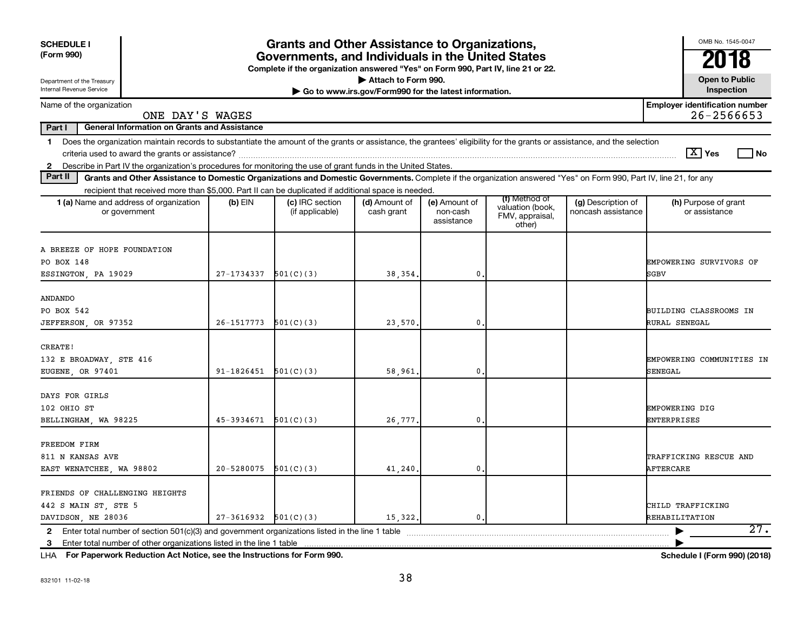| Attach to Form 990.<br>Department of the Treasury<br>Internal Revenue Service<br>Go to www.irs.gov/Form990 for the latest information.<br><b>Employer identification number</b><br>Name of the organization                                                                                                                                      | <b>Open to Public</b><br>Inspection |
|--------------------------------------------------------------------------------------------------------------------------------------------------------------------------------------------------------------------------------------------------------------------------------------------------------------------------------------------------|-------------------------------------|
|                                                                                                                                                                                                                                                                                                                                                  |                                     |
| $26 - 2566653$<br>ONE DAY'S WAGES                                                                                                                                                                                                                                                                                                                |                                     |
| Part I<br><b>General Information on Grants and Assistance</b>                                                                                                                                                                                                                                                                                    |                                     |
| Does the organization maintain records to substantiate the amount of the grants or assistance, the grantees' eligibility for the grants or assistance, and the selection<br>$\mathbf 1$<br>$ \mathbf{X} $ Yes                                                                                                                                    | l No                                |
| Describe in Part IV the organization's procedures for monitoring the use of grant funds in the United States.<br>$\mathbf{2}$<br>Part II                                                                                                                                                                                                         |                                     |
| Grants and Other Assistance to Domestic Organizations and Domestic Governments. Complete if the organization answered "Yes" on Form 990, Part IV, line 21, for any<br>recipient that received more than \$5,000. Part II can be duplicated if additional space is needed.                                                                        |                                     |
| (f) Method of<br>(c) IRC section<br>(h) Purpose of grant<br><b>1 (a)</b> Name and address of organization<br>(b) EIN<br>(d) Amount of<br>(e) Amount of<br>(g) Description of<br>valuation (book,<br>(if applicable)<br>cash grant<br>non-cash<br>noncash assistance<br>or assistance<br>or government<br>FMV, appraisal,<br>assistance<br>other) |                                     |
| A BREEZE OF HOPE FOUNDATION<br>PO BOX 148<br>EMPOWERING SURVIVORS OF<br>27-1734337<br>501(C)(3)<br>$\mathbf{0}$ .<br>ESSINGTON, PA 19029<br>38, 354,<br>SGBV                                                                                                                                                                                     |                                     |
| <b>ANDANDO</b><br>PO BOX 542<br><b>BUILDING CLASSROOMS IN</b><br>JEFFERSON, OR 97352<br>26-1517773<br>501(C)(3)<br>23,570.<br>$\mathbf 0$<br>RURAL SENEGAL                                                                                                                                                                                       |                                     |
| CREATE!<br>132 E BROADWAY, STE 416<br>EMPOWERING COMMUNITIES IN<br>EUGENE, OR 97401<br>$91-1826451$ $501(C)(3)$<br>$\mathbf 0$<br><b>SENEGAL</b><br>58,961.                                                                                                                                                                                      |                                     |
| DAYS FOR GIRLS<br>102 OHIO ST<br><b>EMPOWERING DIG</b><br>501(C)(3)<br>$\mathbf{0}$<br><b>ENTERPRISES</b><br>BELLINGHAM, WA 98225<br>45-3934671<br>26,777.                                                                                                                                                                                       |                                     |
| FREEDOM FIRM<br>811 N KANSAS AVE<br>TRAFFICKING RESCUE AND<br>20-5280075<br>501(C)(3)<br>$\mathbf 0$<br>AFTERCARE<br>EAST WENATCHEE, WA 98802<br>41,240.                                                                                                                                                                                         |                                     |
| FRIENDS OF CHALLENGING HEIGHTS<br>442 S MAIN ST, STE 5<br>CHILD TRAFFICKING<br>DAVIDSON, NE 28036<br>$27-3616932$ $501(C)(3)$<br>15,322.<br>0.<br>REHABILITATION                                                                                                                                                                                 |                                     |
| 3                                                                                                                                                                                                                                                                                                                                                | 27.                                 |

**For Paperwork Reduction Act Notice, see the Instructions for Form 990. Schedule I (Form 990) (2018)** LHA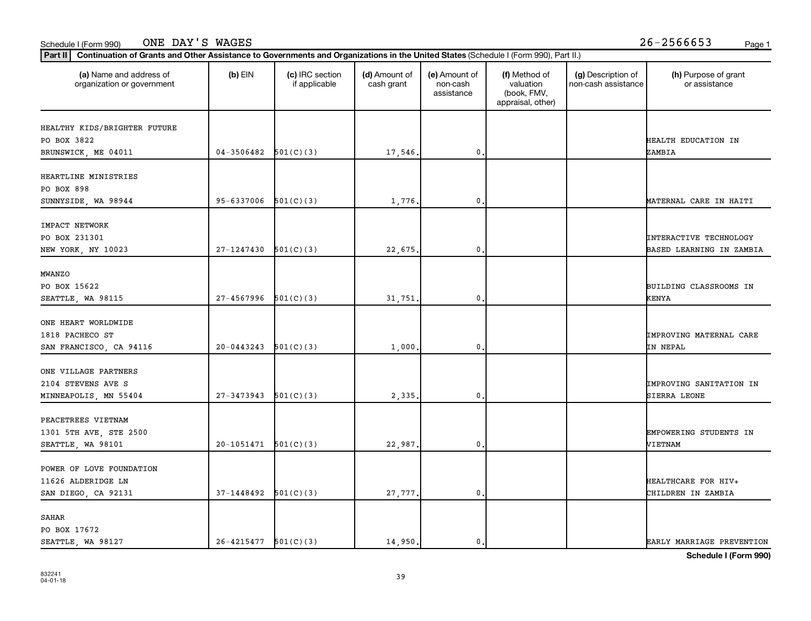#### Schedule I (Form 990) Page 1 ONE DAY'S WAGES 26-2566653

| (a) Name and address of<br>organization or government | $(b)$ EIN                | (c) IRC section<br>if applicable | (d) Amount of<br>cash grant | (e) Amount of<br>non-cash<br>assistance | (f) Method of<br>valuation<br>(book, FMV,<br>appraisal, other) | (g) Description of<br>non-cash assistance | (h) Purpose of grant<br>or assistance |
|-------------------------------------------------------|--------------------------|----------------------------------|-----------------------------|-----------------------------------------|----------------------------------------------------------------|-------------------------------------------|---------------------------------------|
| HEALTHY KIDS/BRIGHTER FUTURE                          |                          |                                  |                             |                                         |                                                                |                                           |                                       |
| PO BOX 3822                                           |                          |                                  |                             |                                         |                                                                |                                           | HEALTH EDUCATION IN                   |
| BRUNSWICK, ME 04011                                   | $04-3506482$ $501(C)(3)$ |                                  | 17,546.                     | $\mathbf 0$                             |                                                                |                                           | ZAMBIA                                |
|                                                       |                          |                                  |                             |                                         |                                                                |                                           |                                       |
| HEARTLINE MINISTRIES                                  |                          |                                  |                             |                                         |                                                                |                                           |                                       |
| PO BOX 898                                            |                          |                                  |                             |                                         |                                                                |                                           |                                       |
| SUNNYSIDE, WA 98944                                   | 95-6337006               | 501(C)(3)                        | 1,776                       | $\mathbf 0$                             |                                                                |                                           | MATERNAL CARE IN HAITI                |
| IMPACT NETWORK                                        |                          |                                  |                             |                                         |                                                                |                                           |                                       |
| PO BOX 231301                                         |                          |                                  |                             |                                         |                                                                |                                           | <b>INTERACTIVE TECHNOLOGY</b>         |
| NEW YORK, NY 10023                                    | 27-1247430               | 501(C)(3)                        | 22,675.                     | $\mathbf 0$                             |                                                                |                                           | BASED LEARNING IN ZAMBIA              |
| <b>MWANZO</b>                                         |                          |                                  |                             |                                         |                                                                |                                           |                                       |
| PO BOX 15622                                          |                          |                                  |                             |                                         |                                                                |                                           | BUILDING CLASSROOMS IN                |
| SEATTLE, WA 98115                                     | $27-4567996$ $501(C)(3)$ |                                  | 31,751.                     | 0.                                      |                                                                |                                           | <b>KENYA</b>                          |
|                                                       |                          |                                  |                             |                                         |                                                                |                                           |                                       |
| ONE HEART WORLDWIDE                                   |                          |                                  |                             |                                         |                                                                |                                           |                                       |
| 1818 PACHECO ST                                       |                          |                                  |                             |                                         |                                                                |                                           | <b>IMPROVING MATERNAL CARE</b>        |
| SAN FRANCISCO, CA 94116                               | 20-0443243               | 501(C)(3)                        | 1,000                       | 0                                       |                                                                |                                           | IN NEPAL                              |
|                                                       |                          |                                  |                             |                                         |                                                                |                                           |                                       |
| ONE VILLAGE PARTNERS<br>2104 STEVENS AVE S            |                          |                                  |                             |                                         |                                                                |                                           | IMPROVING SANITATION IN               |
|                                                       | 27-3473943               | 501(C)(3)                        |                             | 0.                                      |                                                                |                                           |                                       |
| MINNEAPOLIS, MN 55404                                 |                          |                                  | 2,335                       |                                         |                                                                |                                           | SIERRA LEONE                          |
| PEACETREES VIETNAM                                    |                          |                                  |                             |                                         |                                                                |                                           |                                       |
| 1301 5TH AVE, STE 2500                                |                          |                                  |                             |                                         |                                                                |                                           | EMPOWERING STUDENTS IN                |
| SEATTLE, WA 98101                                     | $20-1051471$ $501(C)(3)$ |                                  | 22,987.                     | 0.                                      |                                                                |                                           | VIETNAM                               |
|                                                       |                          |                                  |                             |                                         |                                                                |                                           |                                       |
| POWER OF LOVE FOUNDATION                              |                          |                                  |                             |                                         |                                                                |                                           |                                       |
| 11626 ALDERIDGE LN                                    |                          |                                  |                             |                                         |                                                                |                                           | HEALTHCARE FOR HIV+                   |
| SAN DIEGO, CA 92131                                   | $37-1448492$ $501(C)(3)$ |                                  | 27,777.                     | 0.                                      |                                                                |                                           | CHILDREN IN ZAMBIA                    |
| SAHAR                                                 |                          |                                  |                             |                                         |                                                                |                                           |                                       |
| PO BOX 17672                                          |                          |                                  |                             |                                         |                                                                |                                           |                                       |
| SEATTLE, WA 98127                                     | $26-4215477$ $501(C)(3)$ |                                  | 14,950.                     | 0.                                      |                                                                |                                           | EARLY MARRIAGE PREVENTION             |

**Schedule I (Form 990)**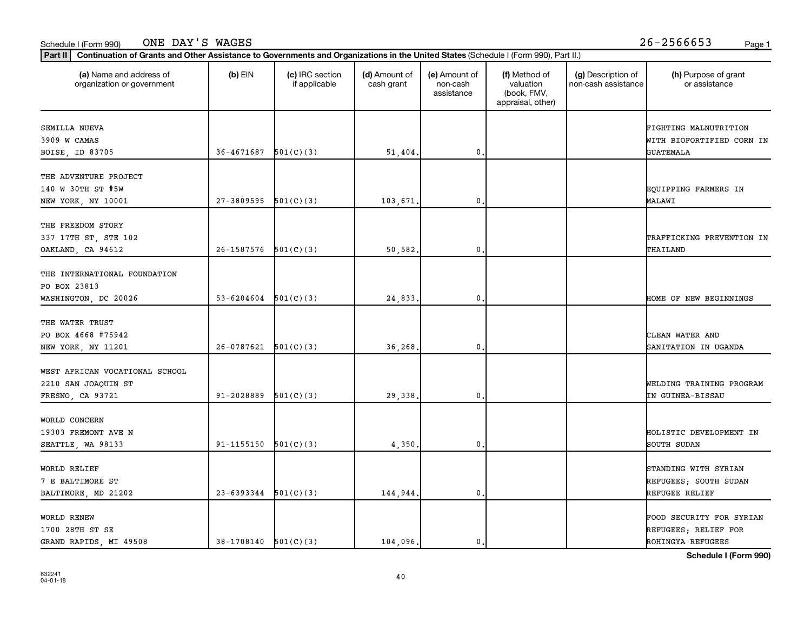#### Schedule I (Form 990) Page 1 ONE DAY'S WAGES 26-2566653

| (a) Name and address of<br>organization or government                     | $(b)$ EIN                | (c) IRC section<br>if applicable | (d) Amount of<br>cash grant | (e) Amount of<br>non-cash<br>assistance | (f) Method of<br>valuation<br>(book, FMV,<br>appraisal, other) | (g) Description of<br>non-cash assistance | (h) Purpose of grant<br>or assistance                                 |
|---------------------------------------------------------------------------|--------------------------|----------------------------------|-----------------------------|-----------------------------------------|----------------------------------------------------------------|-------------------------------------------|-----------------------------------------------------------------------|
| SEMILLA NUEVA<br>3909 W CAMAS                                             |                          |                                  |                             |                                         |                                                                |                                           | FIGHTING MALNUTRITION<br>WITH BIOFORTIFIED CORN IN                    |
| BOISE, ID 83705                                                           | $36-4671687$ $501(C)(3)$ |                                  | 51,404.                     | 0                                       |                                                                |                                           | <b>GUATEMALA</b>                                                      |
| THE ADVENTURE PROJECT<br>140 W 30TH ST #5W<br>NEW YORK, NY 10001          | 27-3809595               | 501(C)(3)                        | 103,671.                    | 0                                       |                                                                |                                           | EQUIPPING FARMERS IN<br>MALAWI                                        |
| THE FREEDOM STORY<br>337 17TH ST, STE 102<br>OAKLAND, CA 94612            | 26-1587576               | 501(C)(3)                        | 50,582.                     | $\mathbf 0$ .                           |                                                                |                                           | TRAFFICKING PREVENTION IN<br>THAILAND                                 |
| THE INTERNATIONAL FOUNDATION<br>PO BOX 23813<br>WASHINGTON, DC 20026      | 53-6204604               | 501(C)(3)                        | 24,833.                     | 0                                       |                                                                |                                           | HOME OF NEW BEGINNINGS                                                |
| THE WATER TRUST<br>PO BOX 4668 #75942<br>NEW YORK, NY 11201               | 26-0787621               | 501(C)(3)                        | 36,268                      | 0                                       |                                                                |                                           | CLEAN WATER AND<br>SANITATION IN UGANDA                               |
| WEST AFRICAN VOCATIONAL SCHOOL<br>2210 SAN JOAQUIN ST<br>FRESNO, CA 93721 | 91-2028889               | 501(C)(3)                        | 29,338.                     | $\mathbf{0}$                            |                                                                |                                           | WELDING TRAINING PROGRAM<br>IN GUINEA-BISSAU                          |
| WORLD CONCERN<br>19303 FREMONT AVE N<br>SEATTLE, WA 98133                 | 91-1155150               | 501(C)(3)                        | 4,350                       | 0                                       |                                                                |                                           | HOLISTIC DEVELOPMENT IN<br>SOUTH SUDAN                                |
| WORLD RELIEF<br>7 E BALTIMORE ST<br>BALTIMORE, MD 21202                   | $23-6393344$ $501(C)(3)$ |                                  | 144,944.                    | 0                                       |                                                                |                                           | STANDING WITH SYRIAN<br>REFUGEES; SOUTH SUDAN<br>REFUGEE RELIEF       |
| WORLD RENEW<br>1700 28TH ST SE<br>GRAND RAPIDS, MI 49508                  | $38-1708140$ $501(C)(3)$ |                                  | 104,096.                    | 0.                                      |                                                                |                                           | FOOD SECURITY FOR SYRIAN<br>REFUGEES; RELIEF FOR<br>ROHINGYA REFUGEES |

**Schedule I (Form 990)**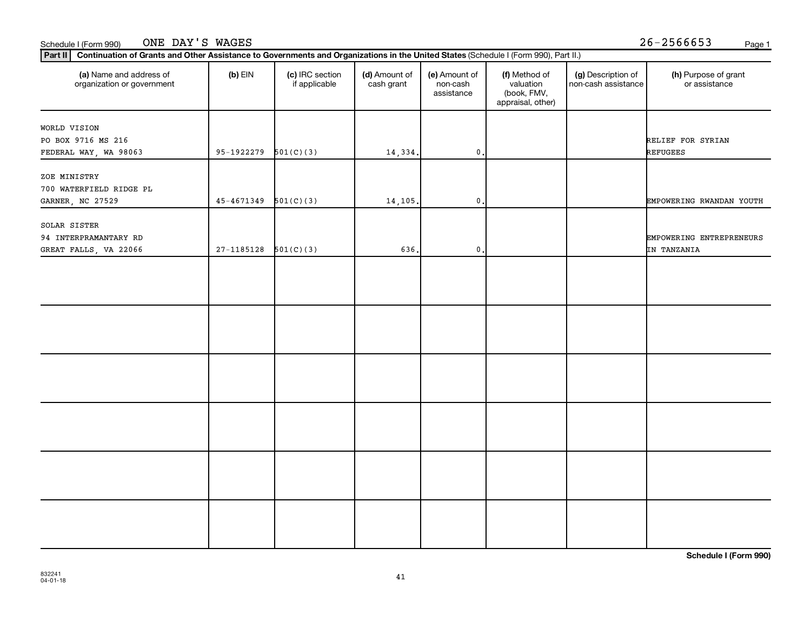#### **Part III Continuation of Grants and Other Assistance to Governments and Organizations in the United States (Schi**<br>Rect III, Continuation of Grants and Other Assistance to Governments and Organizations in the United Stat Schedule I (Form 990) ONE DAY'S WAGES 26-2566653 <sub>Page 1</sub>

| Continuation of Grants and Other Assistance to Governments and Organizations in the United States (Schedule I (Form 990), Part II.)<br>Part II |                            |                                  |                             |                                         |                                                                |                                           |                                         |
|------------------------------------------------------------------------------------------------------------------------------------------------|----------------------------|----------------------------------|-----------------------------|-----------------------------------------|----------------------------------------------------------------|-------------------------------------------|-----------------------------------------|
| (a) Name and address of<br>organization or government                                                                                          | $(b)$ EIN                  | (c) IRC section<br>if applicable | (d) Amount of<br>cash grant | (e) Amount of<br>non-cash<br>assistance | (f) Method of<br>valuation<br>(book, FMV,<br>appraisal, other) | (g) Description of<br>non-cash assistance | (h) Purpose of grant<br>or assistance   |
| WORLD VISION<br>PO BOX 9716 MS 216<br>FEDERAL WAY, WA 98063                                                                                    | $95-1922279$ $501(C)(3)$   |                                  | 14,334.                     | $\mathbf{0}$ .                          |                                                                |                                           | RELIEF FOR SYRIAN<br>REFUGEES           |
| ZOE MINISTRY<br>700 WATERFIELD RIDGE PL<br>GARNER, NC 27529                                                                                    | $45 - 4671349$ $501(C)(3)$ |                                  | 14,105.                     | $\mathbf{0}$ .                          |                                                                |                                           | EMPOWERING RWANDAN YOUTH                |
| SOLAR SISTER<br>94 INTERPRAMANTARY RD<br>GREAT FALLS, VA 22066                                                                                 | $27 - 1185128$             | 501(C)(3)                        | 636.                        | $\mathbf{0}$                            |                                                                |                                           | EMPOWERING ENTREPRENEURS<br>IN TANZANIA |
|                                                                                                                                                |                            |                                  |                             |                                         |                                                                |                                           |                                         |
|                                                                                                                                                |                            |                                  |                             |                                         |                                                                |                                           |                                         |
|                                                                                                                                                |                            |                                  |                             |                                         |                                                                |                                           |                                         |
|                                                                                                                                                |                            |                                  |                             |                                         |                                                                |                                           |                                         |
|                                                                                                                                                |                            |                                  |                             |                                         |                                                                |                                           |                                         |
|                                                                                                                                                |                            |                                  |                             |                                         |                                                                |                                           |                                         |

**Schedule I (Form 990)**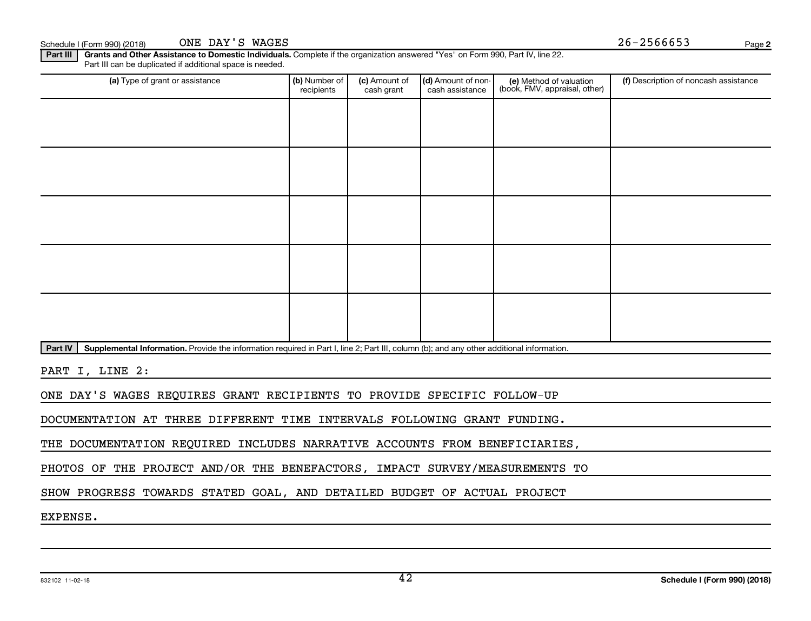**2**

Part III | Grants and Other Assistance to Domestic Individuals. Complete if the organization answered "Yes" on Form 990, Part IV, line 22. Part III can be duplicated if additional space is needed.

| (a) Type of grant or assistance | (b) Number of<br>recipients                                                                                                               | (c) Amount of<br>cash grant | (d) Amount of non-<br>cash assistance | (e) Method of valuation<br>(book, FMV, appraisal, other) | (f) Description of noncash assistance |  |  |  |  |  |
|---------------------------------|-------------------------------------------------------------------------------------------------------------------------------------------|-----------------------------|---------------------------------------|----------------------------------------------------------|---------------------------------------|--|--|--|--|--|
|                                 |                                                                                                                                           |                             |                                       |                                                          |                                       |  |  |  |  |  |
|                                 |                                                                                                                                           |                             |                                       |                                                          |                                       |  |  |  |  |  |
|                                 |                                                                                                                                           |                             |                                       |                                                          |                                       |  |  |  |  |  |
|                                 |                                                                                                                                           |                             |                                       |                                                          |                                       |  |  |  |  |  |
|                                 |                                                                                                                                           |                             |                                       |                                                          |                                       |  |  |  |  |  |
|                                 |                                                                                                                                           |                             |                                       |                                                          |                                       |  |  |  |  |  |
|                                 |                                                                                                                                           |                             |                                       |                                                          |                                       |  |  |  |  |  |
|                                 |                                                                                                                                           |                             |                                       |                                                          |                                       |  |  |  |  |  |
|                                 |                                                                                                                                           |                             |                                       |                                                          |                                       |  |  |  |  |  |
|                                 |                                                                                                                                           |                             |                                       |                                                          |                                       |  |  |  |  |  |
| Part IV                         | Supplemental Information. Provide the information required in Part I, line 2; Part III, column (b); and any other additional information. |                             |                                       |                                                          |                                       |  |  |  |  |  |

PART I, LINE 2:

ONE DAY'S WAGES REQUIRES GRANT RECIPIENTS TO PROVIDE SPECIFIC FOLLOW-UP

DOCUMENTATION AT THREE DIFFERENT TIME INTERVALS FOLLOWING GRANT FUNDING.

THE DOCUMENTATION REQUIRED INCLUDES NARRATIVE ACCOUNTS FROM BENEFICIARIES,

PHOTOS OF THE PROJECT AND/OR THE BENEFACTORS, IMPACT SURVEY/MEASUREMENTS TO

SHOW PROGRESS TOWARDS STATED GOAL, AND DETAILED BUDGET OF ACTUAL PROJECT

EXPENSE.